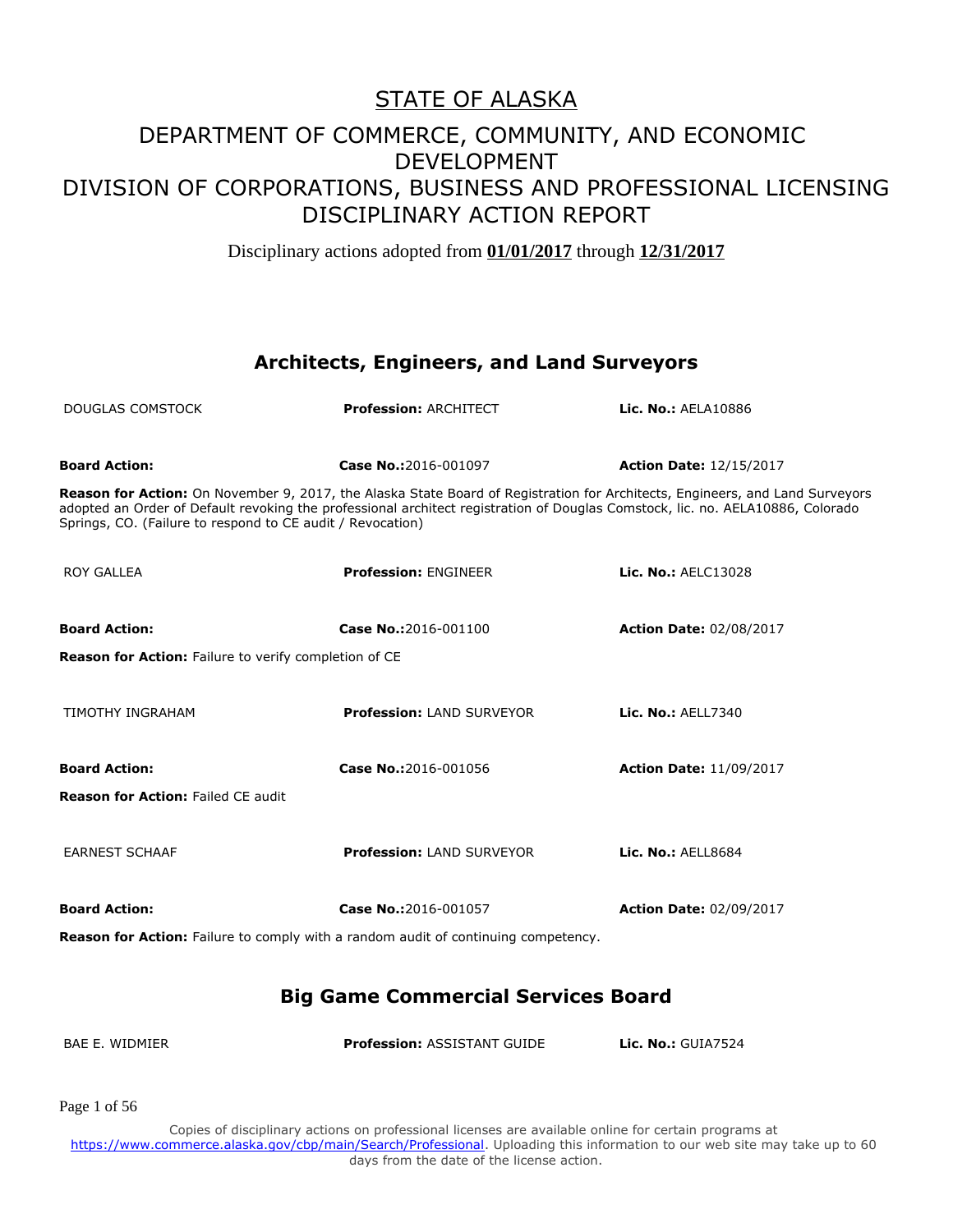Disciplinary actions adopted from **01/01/2017** through **12/31/2017**

#### **Architects, Engineers, and Land Surveyors**

| <b>DOUGLAS COMSTOCK</b>                                                                   | <b>Profession: ARCHITECT</b>                                                                                                                                                                                                                                   | Lic. No.: AELA10886            |  |
|-------------------------------------------------------------------------------------------|----------------------------------------------------------------------------------------------------------------------------------------------------------------------------------------------------------------------------------------------------------------|--------------------------------|--|
| <b>Board Action:</b>                                                                      | Case No.: 2016-001097                                                                                                                                                                                                                                          | <b>Action Date: 12/15/2017</b> |  |
| Springs, CO. (Failure to respond to CE audit / Revocation)                                | Reason for Action: On November 9, 2017, the Alaska State Board of Registration for Architects, Engineers, and Land Surveyors<br>adopted an Order of Default revoking the professional architect registration of Douglas Comstock, lic. no. AELA10886, Colorado |                                |  |
| ROY GALLEA                                                                                | <b>Profession: ENGINEER</b>                                                                                                                                                                                                                                    | Lic. No.: AELC13028            |  |
| <b>Board Action:</b>                                                                      | Case No.:2016-001100                                                                                                                                                                                                                                           | <b>Action Date: 02/08/2017</b> |  |
| <b>Reason for Action:</b> Failure to verify completion of CE                              |                                                                                                                                                                                                                                                                |                                |  |
| TIMOTHY INGRAHAM                                                                          | <b>Profession: LAND SURVEYOR</b>                                                                                                                                                                                                                               | <b>Lic. No.: AELL7340</b>      |  |
| <b>Board Action:</b>                                                                      | Case No.:2016-001056                                                                                                                                                                                                                                           | <b>Action Date: 11/09/2017</b> |  |
| <b>Reason for Action: Failed CE audit</b>                                                 |                                                                                                                                                                                                                                                                |                                |  |
| <b>EARNEST SCHAAF</b>                                                                     | <b>Profession: LAND SURVEYOR</b>                                                                                                                                                                                                                               | <b>Lic. No.: AELL8684</b>      |  |
| <b>Board Action:</b>                                                                      | Case No.:2016-001057                                                                                                                                                                                                                                           | <b>Action Date: 02/09/2017</b> |  |
| <b>Reason for Action:</b> Failure to comply with a random audit of continuing competency. |                                                                                                                                                                                                                                                                |                                |  |

### **Big Game Commercial Services Board**

| BAE E. WIDMIER | <b>Profession: ASSISTANT GUIDE</b> | <b>Lic. No.: GUIA7524</b> |
|----------------|------------------------------------|---------------------------|
|----------------|------------------------------------|---------------------------|

Page 1 of 56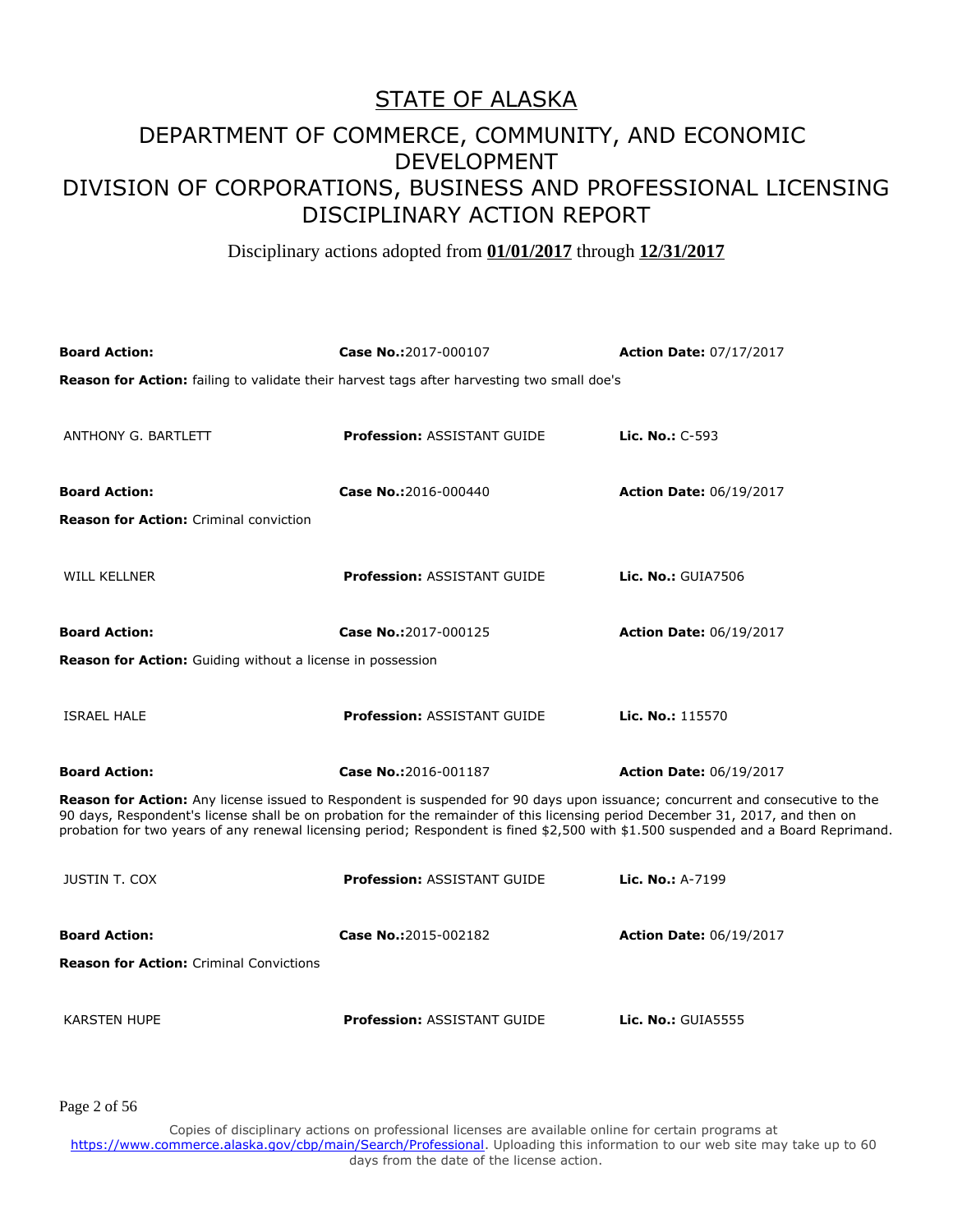Disciplinary actions adopted from **01/01/2017** through **12/31/2017**

| <b>Board Action:</b>                                                                              | Case No.:2017-000107                                                                                                                                                                                                                                                  | <b>Action Date: 07/17/2017</b>      |  |
|---------------------------------------------------------------------------------------------------|-----------------------------------------------------------------------------------------------------------------------------------------------------------------------------------------------------------------------------------------------------------------------|-------------------------------------|--|
| <b>Reason for Action:</b> failing to validate their harvest tags after harvesting two small doe's |                                                                                                                                                                                                                                                                       |                                     |  |
|                                                                                                   |                                                                                                                                                                                                                                                                       |                                     |  |
| ANTHONY G. BARTLETT                                                                               | <b>Profession: ASSISTANT GUIDE</b>                                                                                                                                                                                                                                    | <b>Lic. No.: <math>C-593</math></b> |  |
|                                                                                                   |                                                                                                                                                                                                                                                                       |                                     |  |
| <b>Board Action:</b>                                                                              | Case No.:2016-000440                                                                                                                                                                                                                                                  | <b>Action Date: 06/19/2017</b>      |  |
| <b>Reason for Action: Criminal conviction</b>                                                     |                                                                                                                                                                                                                                                                       |                                     |  |
|                                                                                                   |                                                                                                                                                                                                                                                                       |                                     |  |
| WILL KELLNER                                                                                      | <b>Profession: ASSISTANT GUIDE</b>                                                                                                                                                                                                                                    | <b>Lic. No.: GUIA7506</b>           |  |
|                                                                                                   |                                                                                                                                                                                                                                                                       |                                     |  |
| <b>Board Action:</b>                                                                              | Case No.:2017-000125                                                                                                                                                                                                                                                  | <b>Action Date: 06/19/2017</b>      |  |
| Reason for Action: Guiding without a license in possession                                        |                                                                                                                                                                                                                                                                       |                                     |  |
|                                                                                                   |                                                                                                                                                                                                                                                                       |                                     |  |
| <b>ISRAEL HALE</b>                                                                                | <b>Profession: ASSISTANT GUIDE</b>                                                                                                                                                                                                                                    | <b>Lic. No.: 115570</b>             |  |
|                                                                                                   |                                                                                                                                                                                                                                                                       |                                     |  |
| <b>Board Action:</b>                                                                              | Case No.:2016-001187                                                                                                                                                                                                                                                  | <b>Action Date: 06/19/2017</b>      |  |
|                                                                                                   | <b>Reason for Action:</b> Any license issued to Respondent is suspended for 90 days upon issuance; concurrent and consecutive to the<br>90 days, Respondent's license shall be on probation for the remainder of this licensing period December 31, 2017, and then on |                                     |  |
|                                                                                                   | probation for two years of any renewal licensing period; Respondent is fined \$2,500 with \$1.500 suspended and a Board Reprimand.                                                                                                                                    |                                     |  |
|                                                                                                   |                                                                                                                                                                                                                                                                       |                                     |  |
| <b>JUSTIN T. COX</b>                                                                              | <b>Profession: ASSISTANT GUIDE</b>                                                                                                                                                                                                                                    | Lic. No.: A-7199                    |  |
|                                                                                                   |                                                                                                                                                                                                                                                                       |                                     |  |
| <b>Board Action:</b>                                                                              | Case No.:2015-002182                                                                                                                                                                                                                                                  | <b>Action Date: 06/19/2017</b>      |  |
| <b>Reason for Action: Criminal Convictions</b>                                                    |                                                                                                                                                                                                                                                                       |                                     |  |
|                                                                                                   |                                                                                                                                                                                                                                                                       |                                     |  |
| <b>KARSTEN HUPE</b>                                                                               | <b>Profession: ASSISTANT GUIDE</b>                                                                                                                                                                                                                                    | <b>Lic. No.: GUIA5555</b>           |  |

Page 2 of 56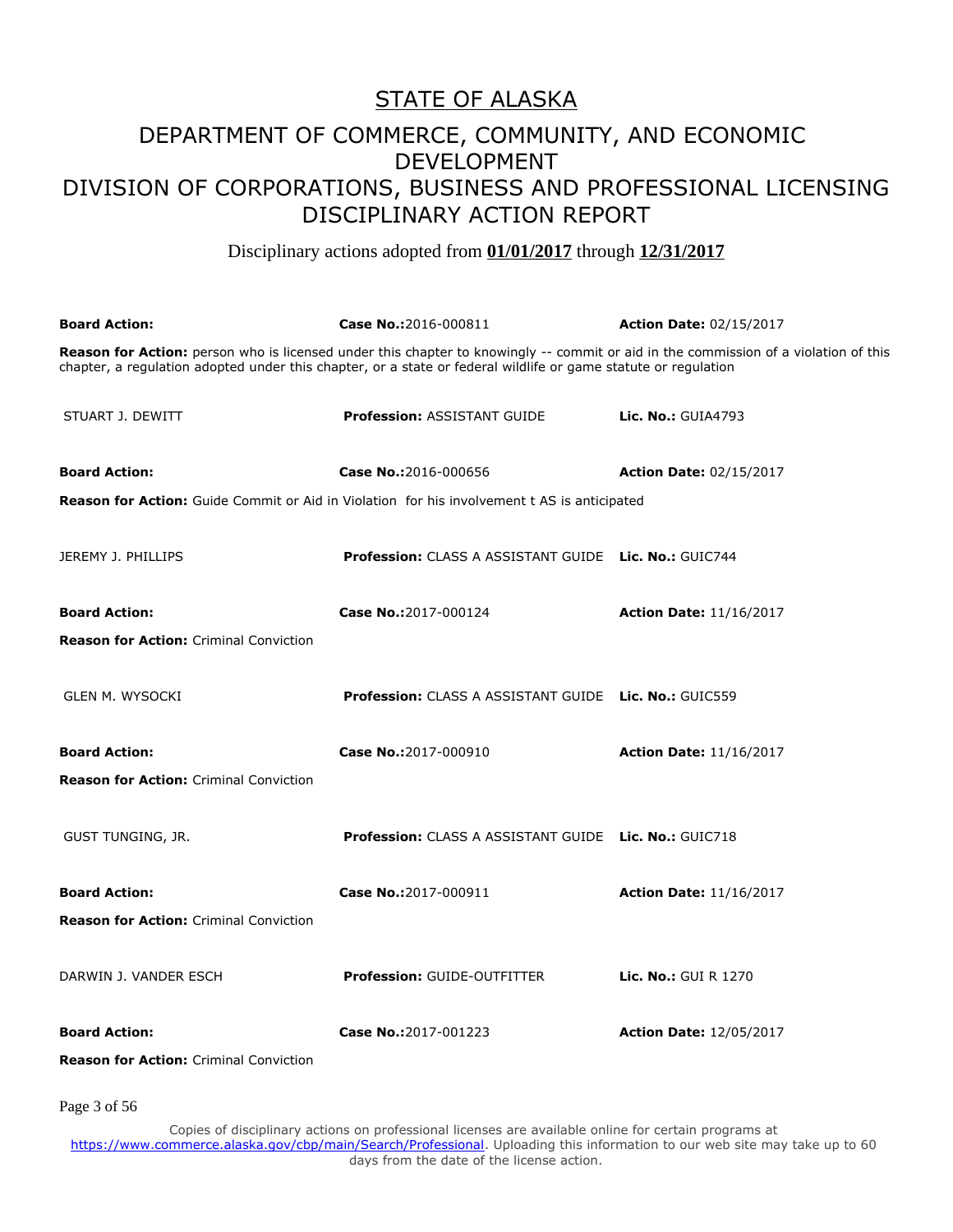Disciplinary actions adopted from **01/01/2017** through **12/31/2017**

| <b>Board Action:</b>                          | Case No.:2016-000811                                                                                           | <b>Action Date: 02/15/2017</b>                                                                                                      |
|-----------------------------------------------|----------------------------------------------------------------------------------------------------------------|-------------------------------------------------------------------------------------------------------------------------------------|
|                                               | chapter, a regulation adopted under this chapter, or a state or federal wildlife or game statute or regulation | Reason for Action: person who is licensed under this chapter to knowingly -- commit or aid in the commission of a violation of this |
| STUART J. DEWITT                              | <b>Profession: ASSISTANT GUIDE</b>                                                                             | <b>Lic. No.: GUIA4793</b>                                                                                                           |
| <b>Board Action:</b>                          | Case No.:2016-000656                                                                                           | <b>Action Date: 02/15/2017</b>                                                                                                      |
|                                               | <b>Reason for Action:</b> Guide Commit or Aid in Violation for his involvement t AS is anticipated             |                                                                                                                                     |
| JEREMY J. PHILLIPS                            | <b>Profession:</b> CLASS A ASSISTANT GUIDE Lic. No.: GUIC744                                                   |                                                                                                                                     |
| <b>Board Action:</b>                          | Case No.:2017-000124                                                                                           | <b>Action Date: 11/16/2017</b>                                                                                                      |
| <b>Reason for Action: Criminal Conviction</b> |                                                                                                                |                                                                                                                                     |
| <b>GLEN M. WYSOCKI</b>                        | <b>Profession:</b> CLASS A ASSISTANT GUIDE Lic. No.: GUIC559                                                   |                                                                                                                                     |
| <b>Board Action:</b>                          | Case No.:2017-000910                                                                                           | <b>Action Date: 11/16/2017</b>                                                                                                      |
| <b>Reason for Action: Criminal Conviction</b> |                                                                                                                |                                                                                                                                     |
| GUST TUNGING, JR.                             | <b>Profession:</b> CLASS A ASSISTANT GUIDE Lic. No.: GUIC718                                                   |                                                                                                                                     |
| <b>Board Action:</b>                          | Case No.:2017-000911                                                                                           | <b>Action Date: 11/16/2017</b>                                                                                                      |
| <b>Reason for Action: Criminal Conviction</b> |                                                                                                                |                                                                                                                                     |
| DARWIN J. VANDER ESCH                         | <b>Profession: GUIDE-OUTFITTER</b>                                                                             | <b>Lic. No.: GUI R 1270</b>                                                                                                         |
| <b>Board Action:</b>                          | Case No.:2017-001223                                                                                           | <b>Action Date: 12/05/2017</b>                                                                                                      |
| <b>Reason for Action: Criminal Conviction</b> |                                                                                                                |                                                                                                                                     |

Page 3 of 56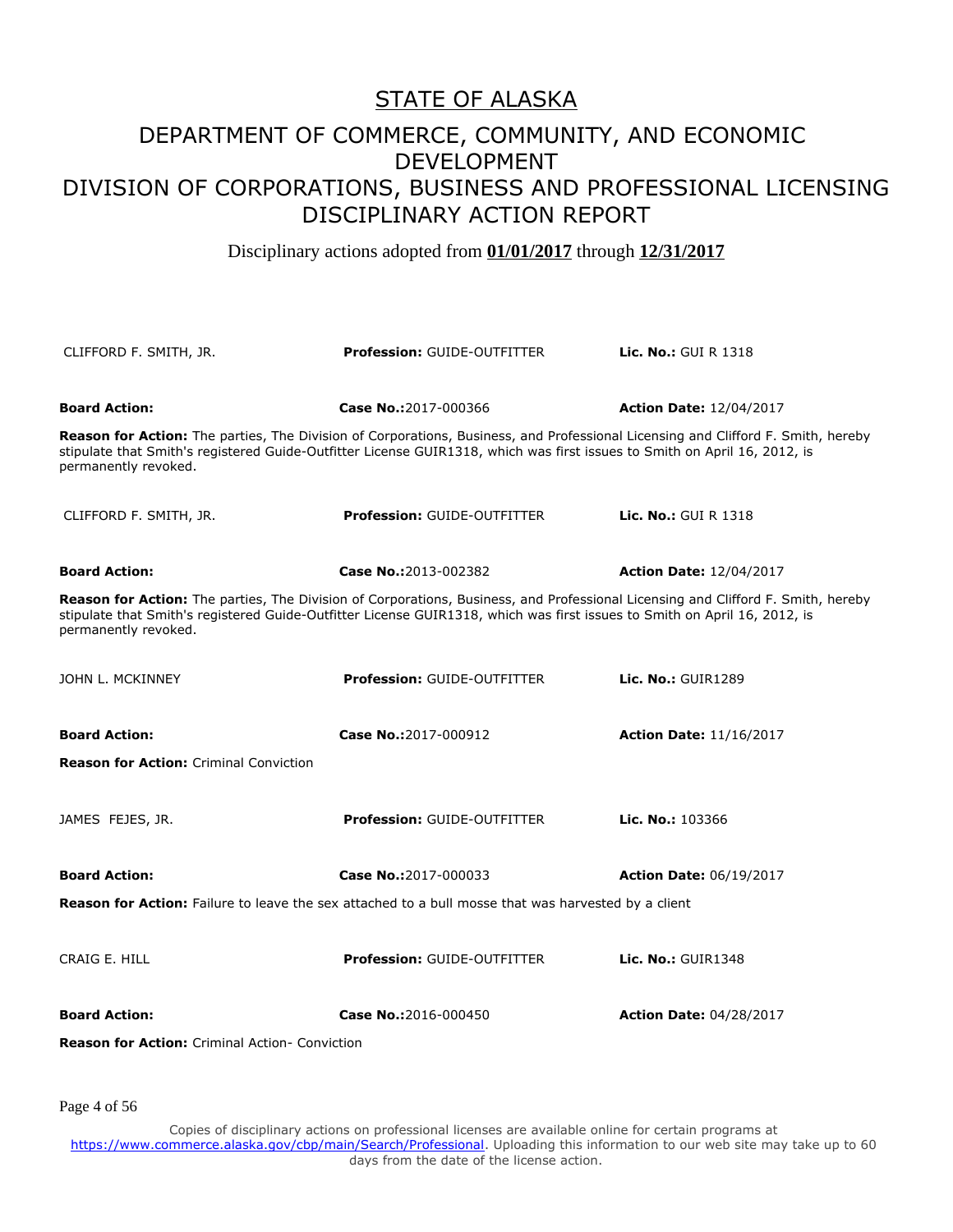Disciplinary actions adopted from **01/01/2017** through **12/31/2017**

| CLIFFORD F. SMITH, JR.                                                                                     | <b>Profession: GUIDE-OUTFITTER</b>                                                                                                                                                                                                                            | Lic. No.: GUI R $1318$         |  |
|------------------------------------------------------------------------------------------------------------|---------------------------------------------------------------------------------------------------------------------------------------------------------------------------------------------------------------------------------------------------------------|--------------------------------|--|
| <b>Board Action:</b>                                                                                       | Case No.:2017-000366                                                                                                                                                                                                                                          | <b>Action Date: 12/04/2017</b> |  |
| permanently revoked.                                                                                       | Reason for Action: The parties, The Division of Corporations, Business, and Professional Licensing and Clifford F. Smith, hereby<br>stipulate that Smith's registered Guide-Outfitter License GUIR1318, which was first issues to Smith on April 16, 2012, is |                                |  |
| CLIFFORD F. SMITH, JR.                                                                                     | <b>Profession: GUIDE-OUTFITTER</b>                                                                                                                                                                                                                            | <b>Lic. No.:</b> GUI R $1318$  |  |
| <b>Board Action:</b>                                                                                       | Case No.:2013-002382                                                                                                                                                                                                                                          | <b>Action Date: 12/04/2017</b> |  |
| permanently revoked.                                                                                       | Reason for Action: The parties, The Division of Corporations, Business, and Professional Licensing and Clifford F. Smith, hereby<br>stipulate that Smith's registered Guide-Outfitter License GUIR1318, which was first issues to Smith on April 16, 2012, is |                                |  |
| JOHN L. MCKINNEY                                                                                           | <b>Profession: GUIDE-OUTFITTER</b>                                                                                                                                                                                                                            | <b>Lic. No.: GUIR1289</b>      |  |
| <b>Board Action:</b>                                                                                       | Case No.:2017-000912                                                                                                                                                                                                                                          | <b>Action Date: 11/16/2017</b> |  |
| <b>Reason for Action: Criminal Conviction</b>                                                              |                                                                                                                                                                                                                                                               |                                |  |
| JAMES FEJES, JR.                                                                                           | Profession: GUIDE-OUTFITTER                                                                                                                                                                                                                                   | Lic. No.: 103366               |  |
| <b>Board Action:</b>                                                                                       | Case No.:2017-000033                                                                                                                                                                                                                                          | <b>Action Date: 06/19/2017</b> |  |
| <b>Reason for Action:</b> Failure to leave the sex attached to a bull mosse that was harvested by a client |                                                                                                                                                                                                                                                               |                                |  |
| CRAIG E. HILL                                                                                              | <b>Profession: GUIDE-OUTFITTER</b>                                                                                                                                                                                                                            | <b>Lic. No.: GUIR1348</b>      |  |
| <b>Board Action:</b>                                                                                       | Case No.:2016-000450                                                                                                                                                                                                                                          | <b>Action Date: 04/28/2017</b> |  |
| <b>Reason for Action:</b> Criminal Action- Conviction                                                      |                                                                                                                                                                                                                                                               |                                |  |

Page 4 of 56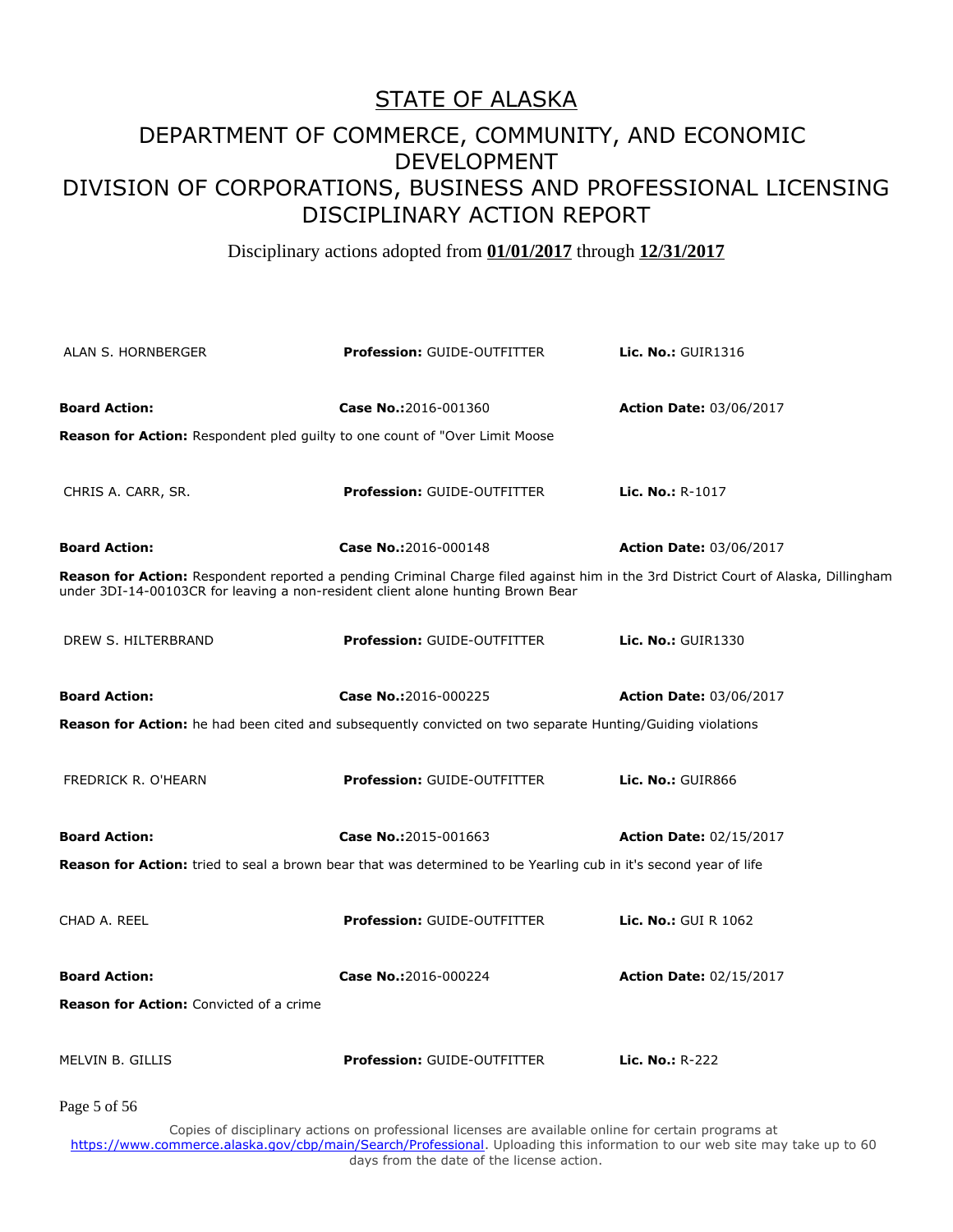Disciplinary actions adopted from **01/01/2017** through **12/31/2017**

| ALAN S. HORNBERGER                                                                                                      | <b>Profession: GUIDE-OUTFITTER</b>                                                                         | <b>Lic. No.: GUIR1316</b>                                                                                                          |  |
|-------------------------------------------------------------------------------------------------------------------------|------------------------------------------------------------------------------------------------------------|------------------------------------------------------------------------------------------------------------------------------------|--|
| <b>Board Action:</b>                                                                                                    | Case No.:2016-001360                                                                                       | <b>Action Date: 03/06/2017</b>                                                                                                     |  |
| <b>Reason for Action:</b> Respondent pled guilty to one count of "Over Limit Moose"                                     |                                                                                                            |                                                                                                                                    |  |
| CHRIS A. CARR, SR.                                                                                                      | <b>Profession: GUIDE-OUTFITTER</b>                                                                         | <b>Lic. No.: R-1017</b>                                                                                                            |  |
| <b>Board Action:</b>                                                                                                    | Case No.:2016-000148                                                                                       | <b>Action Date: 03/06/2017</b>                                                                                                     |  |
| under 3DI-14-00103CR for leaving a non-resident client alone hunting Brown Bear                                         |                                                                                                            | Reason for Action: Respondent reported a pending Criminal Charge filed against him in the 3rd District Court of Alaska, Dillingham |  |
| DREW S. HILTERBRAND                                                                                                     | <b>Profession: GUIDE-OUTFITTER</b>                                                                         | <b>Lic. No.: GUIR1330</b>                                                                                                          |  |
| <b>Board Action:</b>                                                                                                    | Case No.:2016-000225                                                                                       | <b>Action Date: 03/06/2017</b>                                                                                                     |  |
|                                                                                                                         | Reason for Action: he had been cited and subsequently convicted on two separate Hunting/Guiding violations |                                                                                                                                    |  |
| FREDRICK R. O'HEARN                                                                                                     | <b>Profession: GUIDE-OUTFITTER</b>                                                                         | Lic. No.: GUIR866                                                                                                                  |  |
| <b>Board Action:</b>                                                                                                    | Case No.:2015-001663                                                                                       | <b>Action Date: 02/15/2017</b>                                                                                                     |  |
| <b>Reason for Action:</b> tried to seal a brown bear that was determined to be Yearling cub in it's second year of life |                                                                                                            |                                                                                                                                    |  |
| CHAD A. REEL                                                                                                            | <b>Profession: GUIDE-OUTFITTER</b>                                                                         | <b>Lic. No.: GUI R 1062</b>                                                                                                        |  |
| <b>Board Action:</b>                                                                                                    | Case No.:2016-000224                                                                                       | <b>Action Date: 02/15/2017</b>                                                                                                     |  |
| <b>Reason for Action:</b> Convicted of a crime                                                                          |                                                                                                            |                                                                                                                                    |  |
| MELVIN B. GILLIS                                                                                                        | <b>Profession: GUIDE-OUTFITTER</b>                                                                         | Lic. No.: R-222                                                                                                                    |  |
| Page 5 of 56                                                                                                            | Canica ef disciplinary settena en nucfessional licenses and ausialele enline for contain nucerose et       |                                                                                                                                    |  |
|                                                                                                                         |                                                                                                            |                                                                                                                                    |  |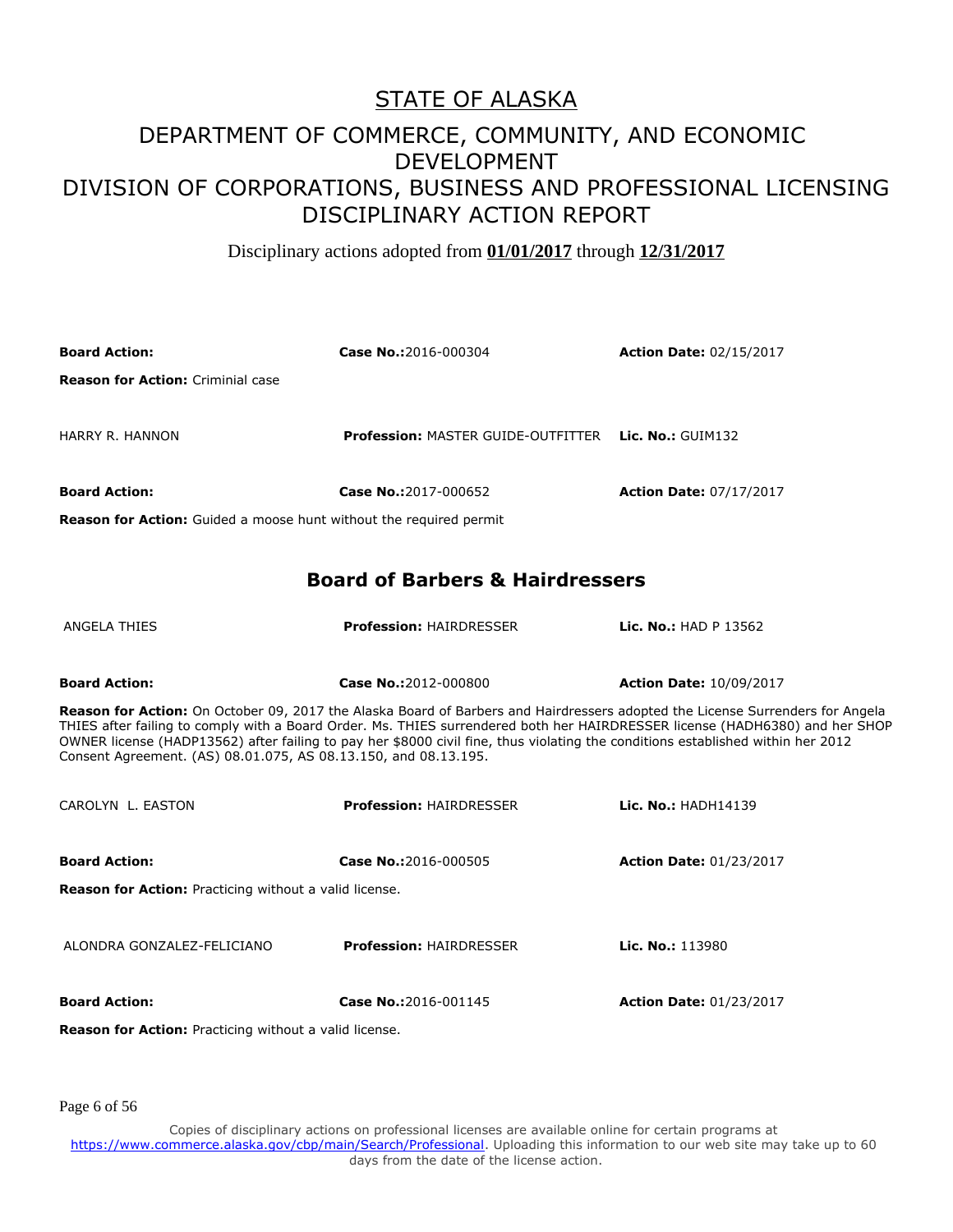Disciplinary actions adopted from **01/01/2017** through **12/31/2017**

| <b>Board Action:</b>                                                                                                                                                                                                                                                                                                                                                                                                                                                | Case No.:2016-000304                                        | <b>Action Date: 02/15/2017</b> |
|---------------------------------------------------------------------------------------------------------------------------------------------------------------------------------------------------------------------------------------------------------------------------------------------------------------------------------------------------------------------------------------------------------------------------------------------------------------------|-------------------------------------------------------------|--------------------------------|
| <b>Reason for Action: Criminial case</b>                                                                                                                                                                                                                                                                                                                                                                                                                            |                                                             |                                |
|                                                                                                                                                                                                                                                                                                                                                                                                                                                                     |                                                             |                                |
| HARRY R. HANNON                                                                                                                                                                                                                                                                                                                                                                                                                                                     | <b>Profession:</b> MASTER GUIDE-OUTFITTER Lic. No.: GUIM132 |                                |
|                                                                                                                                                                                                                                                                                                                                                                                                                                                                     |                                                             |                                |
| <b>Board Action:</b>                                                                                                                                                                                                                                                                                                                                                                                                                                                | Case No.:2017-000652                                        | <b>Action Date: 07/17/2017</b> |
| Reason for Action: Guided a moose hunt without the required permit                                                                                                                                                                                                                                                                                                                                                                                                  |                                                             |                                |
|                                                                                                                                                                                                                                                                                                                                                                                                                                                                     |                                                             |                                |
|                                                                                                                                                                                                                                                                                                                                                                                                                                                                     | <b>Board of Barbers &amp; Hairdressers</b>                  |                                |
|                                                                                                                                                                                                                                                                                                                                                                                                                                                                     |                                                             |                                |
| <b>ANGELA THIES</b>                                                                                                                                                                                                                                                                                                                                                                                                                                                 | <b>Profession: HAIRDRESSER</b>                              | <b>Lic. No.: HAD P 13562</b>   |
|                                                                                                                                                                                                                                                                                                                                                                                                                                                                     |                                                             |                                |
| <b>Board Action:</b>                                                                                                                                                                                                                                                                                                                                                                                                                                                | Case No.:2012-000800                                        | <b>Action Date: 10/09/2017</b> |
| Reason for Action: On October 09, 2017 the Alaska Board of Barbers and Hairdressers adopted the License Surrenders for Angela<br>THIES after failing to comply with a Board Order. Ms. THIES surrendered both her HAIRDRESSER license (HADH6380) and her SHOP<br>OWNER license (HADP13562) after failing to pay her \$8000 civil fine, thus violating the conditions established within her 2012<br>Consent Agreement. (AS) 08.01.075, AS 08.13.150, and 08.13.195. |                                                             |                                |
|                                                                                                                                                                                                                                                                                                                                                                                                                                                                     |                                                             |                                |
| CAROLYN L. EASTON                                                                                                                                                                                                                                                                                                                                                                                                                                                   | <b>Profession: HAIRDRESSER</b>                              | Lic. No.: HADH14139            |
|                                                                                                                                                                                                                                                                                                                                                                                                                                                                     |                                                             |                                |
| <b>Board Action:</b>                                                                                                                                                                                                                                                                                                                                                                                                                                                | Case No.:2016-000505                                        | <b>Action Date: 01/23/2017</b> |
| Reason for Action: Practicing without a valid license.                                                                                                                                                                                                                                                                                                                                                                                                              |                                                             |                                |
|                                                                                                                                                                                                                                                                                                                                                                                                                                                                     |                                                             |                                |
| ALONDRA GONZALEZ-FELICIANO                                                                                                                                                                                                                                                                                                                                                                                                                                          | <b>Profession: HAIRDRESSER</b>                              | Lic. No.: 113980               |
|                                                                                                                                                                                                                                                                                                                                                                                                                                                                     |                                                             |                                |
| <b>Board Action:</b>                                                                                                                                                                                                                                                                                                                                                                                                                                                | Case No.:2016-001145                                        | <b>Action Date: 01/23/2017</b> |
| <b>Reason for Action:</b> Practicing without a valid license.                                                                                                                                                                                                                                                                                                                                                                                                       |                                                             |                                |

Page 6 of 56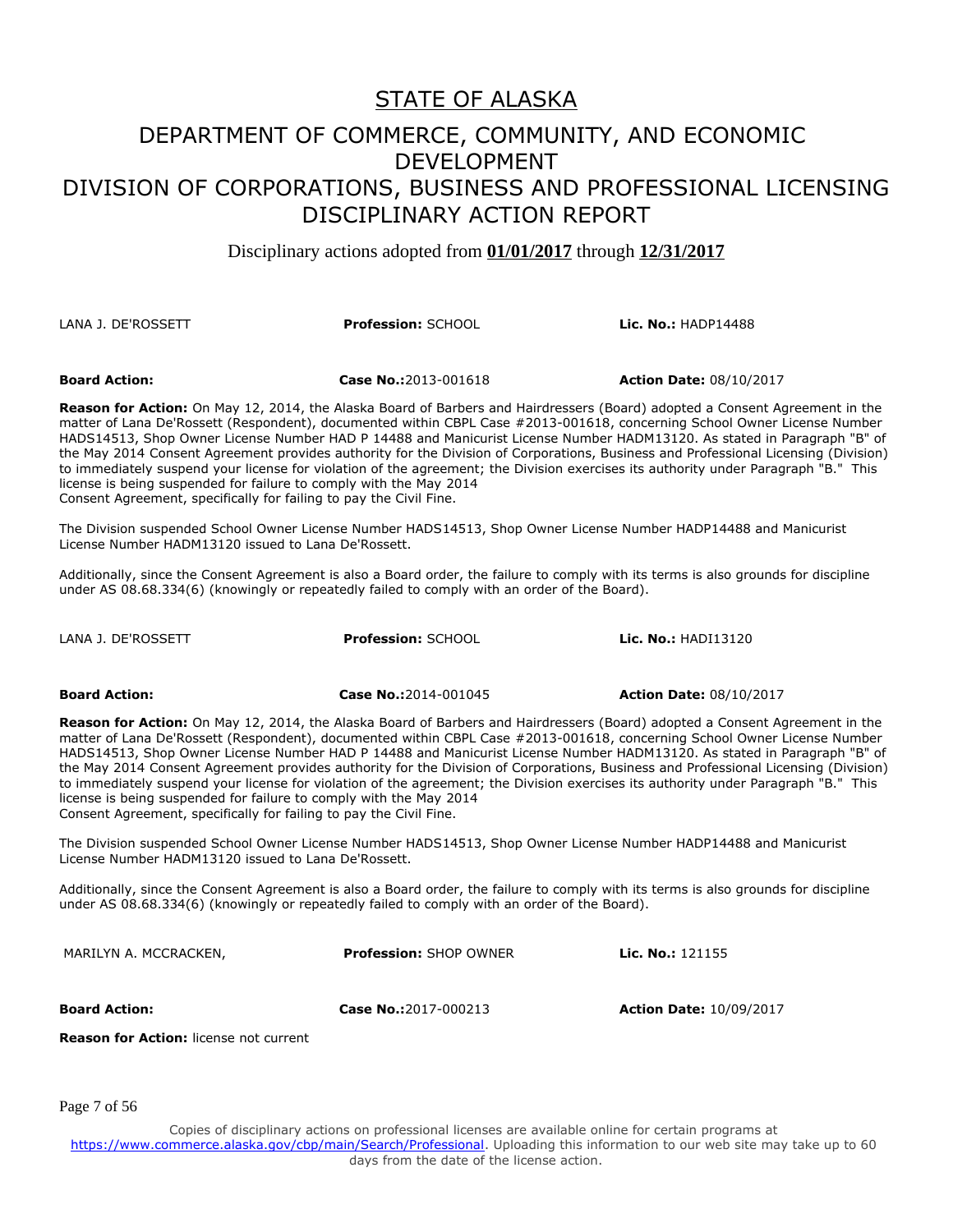Disciplinary actions adopted from **01/01/2017** through **12/31/2017**

| <b>Board Action:</b>                                                                                                                     | Case No.:2013-001618                                                                                                                                                                                                                                                                                                                                                                                                                                                                                                                                                                                                                                                  | <b>Action Date: 08/10/2017</b> |
|------------------------------------------------------------------------------------------------------------------------------------------|-----------------------------------------------------------------------------------------------------------------------------------------------------------------------------------------------------------------------------------------------------------------------------------------------------------------------------------------------------------------------------------------------------------------------------------------------------------------------------------------------------------------------------------------------------------------------------------------------------------------------------------------------------------------------|--------------------------------|
| license is being suspended for failure to comply with the May 2014<br>Consent Agreement, specifically for failing to pay the Civil Fine. | <b>Reason for Action:</b> On May 12, 2014, the Alaska Board of Barbers and Hairdressers (Board) adopted a Consent Agreement in the<br>matter of Lana De'Rossett (Respondent), documented within CBPL Case #2013-001618, concerning School Owner License Number<br>HADS14513, Shop Owner License Number HAD P 14488 and Manicurist License Number HADM13120. As stated in Paragraph "B" of<br>the May 2014 Consent Agreement provides authority for the Division of Corporations, Business and Professional Licensing (Division)<br>to immediately suspend your license for violation of the agreement; the Division exercises its authority under Paragraph "B." This |                                |
| License Number HADM13120 issued to Lana De'Rossett.                                                                                      | The Division suspended School Owner License Number HADS14513, Shop Owner License Number HADP14488 and Manicurist                                                                                                                                                                                                                                                                                                                                                                                                                                                                                                                                                      |                                |

Additionally, since the Consent Agreement is also a Board order, the failure to comply with its terms is also grounds for discipline under AS 08.68.334(6) (knowingly or repeatedly failed to comply with an order of the Board).

LANA J. DE'ROSSETT **Profession:** SCHOOL **Lic. No.:** HADI13120

LANA J. DE'ROSSETT **Profession:** SCHOOL **Lic. No.:** HADP14488

**Board Action: Case No.:**2014-001045 **Action Date:** 08/10/2017

**Reason for Action:** On May 12, 2014, the Alaska Board of Barbers and Hairdressers (Board) adopted a Consent Agreement in the matter of Lana De'Rossett (Respondent), documented within CBPL Case #2013-001618, concerning School Owner License Number HADS14513, Shop Owner License Number HAD P 14488 and Manicurist License Number HADM13120. As stated in Paragraph "B" of the May 2014 Consent Agreement provides authority for the Division of Corporations, Business and Professional Licensing (Division) to immediately suspend your license for violation of the agreement; the Division exercises its authority under Paragraph "B." This license is being suspended for failure to comply with the May 2014 Consent Agreement, specifically for failing to pay the Civil Fine.

The Division suspended School Owner License Number HADS14513, Shop Owner License Number HADP14488 and Manicurist License Number HADM13120 issued to Lana De'Rossett.

Additionally, since the Consent Agreement is also a Board order, the failure to comply with its terms is also grounds for discipline under AS 08.68.334(6) (knowingly or repeatedly failed to comply with an order of the Board).

MARILYN A. MCCRACKEN, **Profession:** SHOP OWNER **Lic. No.:** 121155

**Board Action: Case No.:**2017-000213 **Action Date:** 10/09/2017

**Reason for Action:** license not current

Page 7 of 56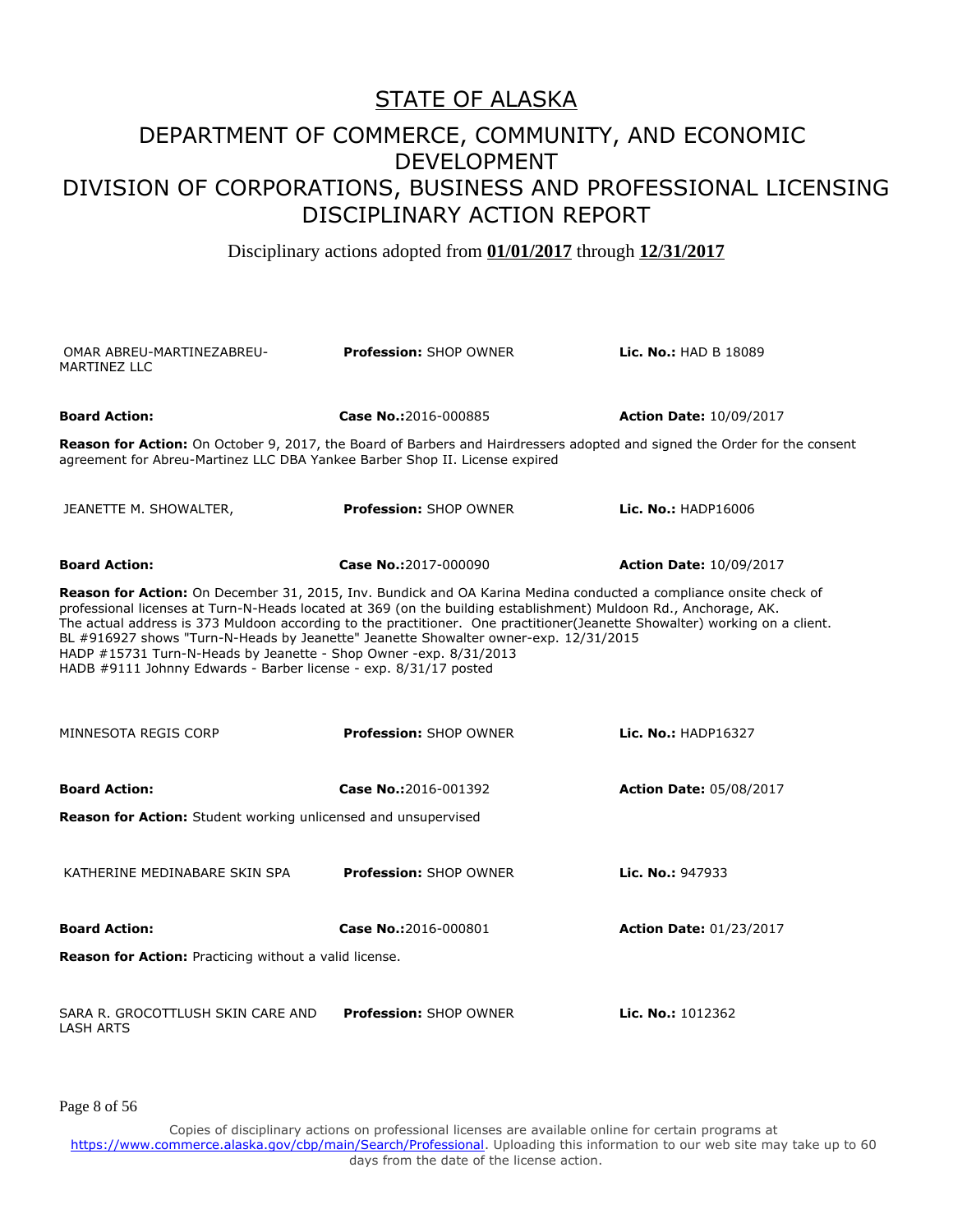#### STATE OF ALASKA

### DEPARTMENT OF COMMERCE, COMMUNITY, AND ECONOMIC DEVELOPMENT DIVISION OF CORPORATIONS, BUSINESS AND PROFESSIONAL LICENSING DISCIPLINARY ACTION REPORT

Disciplinary actions adopted from **01/01/2017** through **12/31/2017**

| OMAR ABREU-MARTINEZABREU-<br>MARTINEZ LLC                                                                                                                                                                                                                                                                                                                                                                                                                                                                                                                                                            | <b>Profession: SHOP OWNER</b> | <b>Lic. No.: HAD B 18089</b>   |  |
|------------------------------------------------------------------------------------------------------------------------------------------------------------------------------------------------------------------------------------------------------------------------------------------------------------------------------------------------------------------------------------------------------------------------------------------------------------------------------------------------------------------------------------------------------------------------------------------------------|-------------------------------|--------------------------------|--|
| <b>Board Action:</b>                                                                                                                                                                                                                                                                                                                                                                                                                                                                                                                                                                                 | Case No.:2016-000885          | <b>Action Date: 10/09/2017</b> |  |
| Reason for Action: On October 9, 2017, the Board of Barbers and Hairdressers adopted and signed the Order for the consent<br>agreement for Abreu-Martinez LLC DBA Yankee Barber Shop II. License expired                                                                                                                                                                                                                                                                                                                                                                                             |                               |                                |  |
| JEANETTE M. SHOWALTER,                                                                                                                                                                                                                                                                                                                                                                                                                                                                                                                                                                               | <b>Profession: SHOP OWNER</b> | Lic. No.: HADP16006            |  |
| <b>Board Action:</b>                                                                                                                                                                                                                                                                                                                                                                                                                                                                                                                                                                                 | Case No.:2017-000090          | <b>Action Date: 10/09/2017</b> |  |
| Reason for Action: On December 31, 2015, Inv. Bundick and OA Karina Medina conducted a compliance onsite check of<br>professional licenses at Turn-N-Heads located at 369 (on the building establishment) Muldoon Rd., Anchorage, AK.<br>The actual address is 373 Muldoon according to the practitioner. One practitioner(Jeanette Showalter) working on a client.<br>BL #916927 shows "Turn-N-Heads by Jeanette" Jeanette Showalter owner-exp. 12/31/2015<br>HADP #15731 Turn-N-Heads by Jeanette - Shop Owner -exp. 8/31/2013<br>HADB #9111 Johnny Edwards - Barber license - exp. 8/31/17 posted |                               |                                |  |
| MINNESOTA REGIS CORP                                                                                                                                                                                                                                                                                                                                                                                                                                                                                                                                                                                 | <b>Profession: SHOP OWNER</b> | Lic. No.: HADP16327            |  |
| <b>Board Action:</b>                                                                                                                                                                                                                                                                                                                                                                                                                                                                                                                                                                                 | Case No.:2016-001392          | <b>Action Date: 05/08/2017</b> |  |
| Reason for Action: Student working unlicensed and unsupervised                                                                                                                                                                                                                                                                                                                                                                                                                                                                                                                                       |                               |                                |  |
| KATHERINE MEDINABARE SKIN SPA                                                                                                                                                                                                                                                                                                                                                                                                                                                                                                                                                                        | Profession: SHOP OWNER        | Lic. No.: 947933               |  |
| <b>Board Action:</b>                                                                                                                                                                                                                                                                                                                                                                                                                                                                                                                                                                                 | Case No.:2016-000801          | <b>Action Date: 01/23/2017</b> |  |
| Reason for Action: Practicing without a valid license.                                                                                                                                                                                                                                                                                                                                                                                                                                                                                                                                               |                               |                                |  |
| SARA R. GROCOTTLUSH SKIN CARE AND<br><b>LASH ARTS</b>                                                                                                                                                                                                                                                                                                                                                                                                                                                                                                                                                | <b>Profession: SHOP OWNER</b> | Lic. No.: 1012362              |  |

Page 8 of 56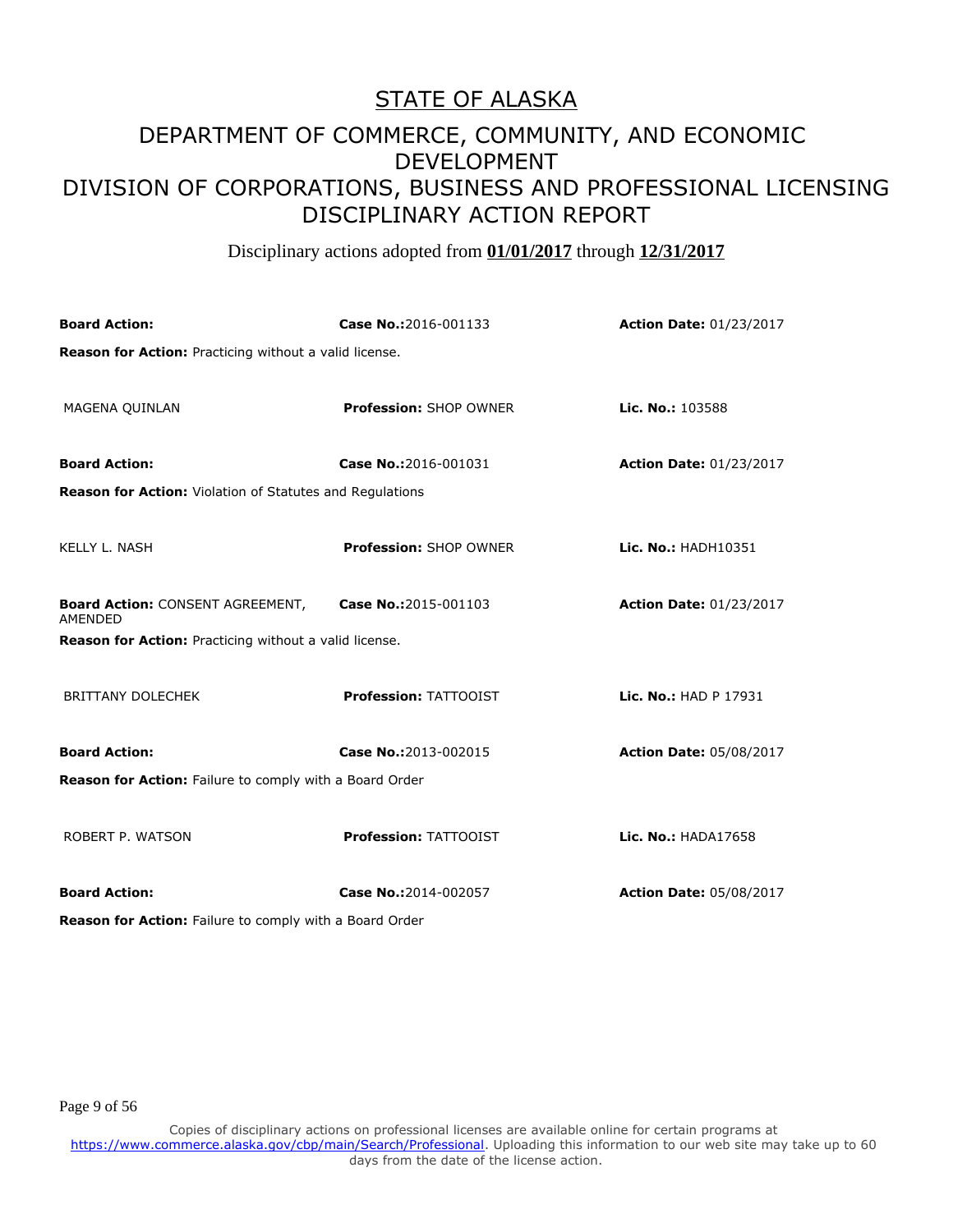Disciplinary actions adopted from **01/01/2017** through **12/31/2017**

| <b>Board Action:</b>                                            | Case No.:2016-001133          | <b>Action Date: 01/23/2017</b> |
|-----------------------------------------------------------------|-------------------------------|--------------------------------|
| Reason for Action: Practicing without a valid license.          |                               |                                |
|                                                                 |                               |                                |
| MAGENA QUINLAN                                                  | Profession: SHOP OWNER        | Lic. No.: 103588               |
| <b>Board Action:</b>                                            | Case No.:2016-001031          | <b>Action Date: 01/23/2017</b> |
|                                                                 |                               |                                |
| <b>Reason for Action:</b> Violation of Statutes and Regulations |                               |                                |
| <b>KELLY L. NASH</b>                                            | <b>Profession: SHOP OWNER</b> | Lic. No.: HADH10351            |
|                                                                 |                               |                                |
| <b>Board Action: CONSENT AGREEMENT,</b><br><b>AMENDED</b>       | Case No.:2015-001103          | <b>Action Date: 01/23/2017</b> |
| Reason for Action: Practicing without a valid license.          |                               |                                |
|                                                                 |                               |                                |
| <b>BRITTANY DOLECHEK</b>                                        | <b>Profession: TATTOOIST</b>  | Lic. No.: HAD P 17931          |
| <b>Board Action:</b>                                            | Case No.:2013-002015          | <b>Action Date: 05/08/2017</b> |
| Reason for Action: Failure to comply with a Board Order         |                               |                                |
|                                                                 |                               |                                |
| ROBERT P. WATSON                                                | <b>Profession: TATTOOIST</b>  | Lic. No.: HADA17658            |
| <b>Board Action:</b>                                            | Case No.:2014-002057          | <b>Action Date: 05/08/2017</b> |
| Reason for Action: Failure to comply with a Board Order         |                               |                                |

Page 9 of 56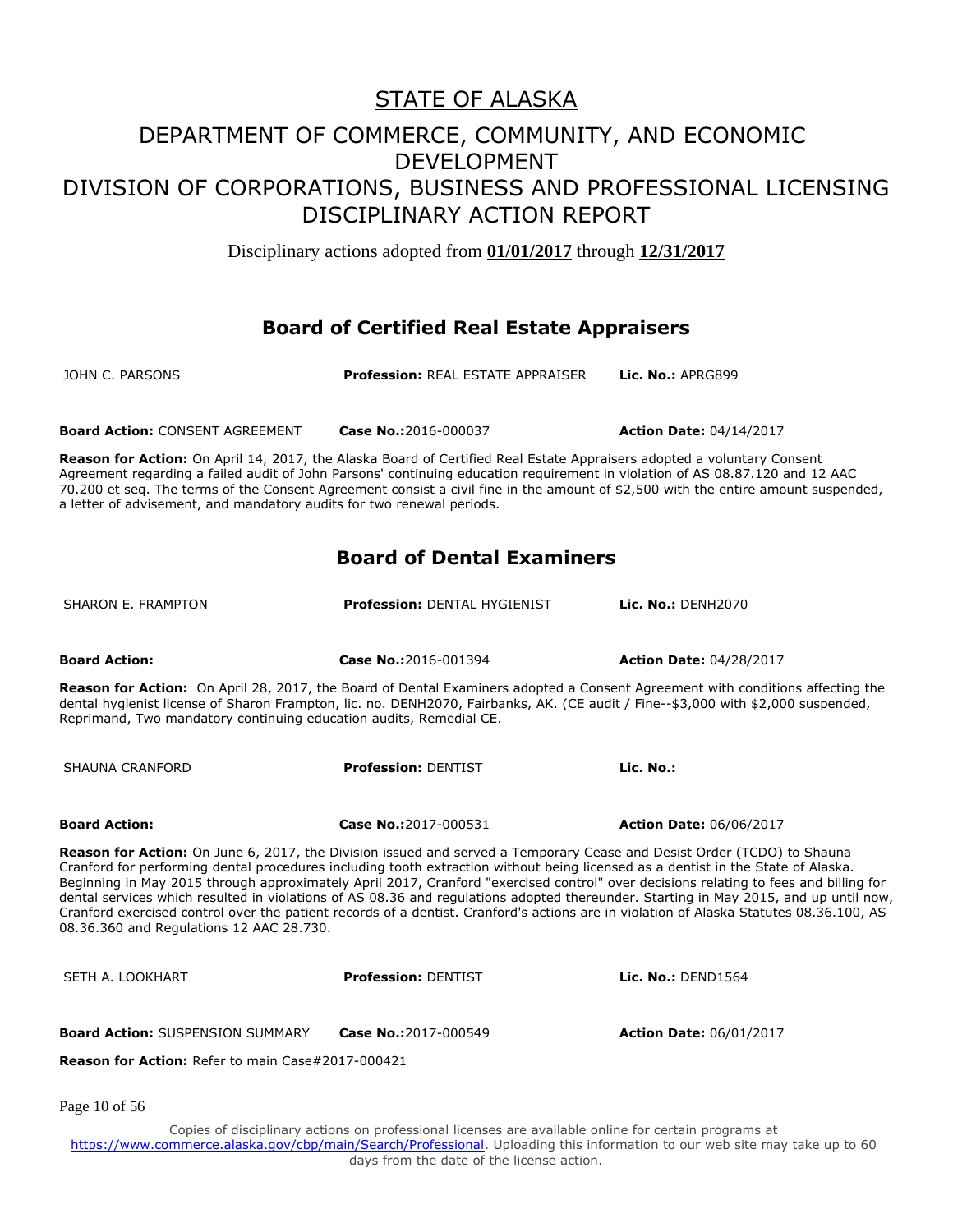Disciplinary actions adopted from **01/01/2017** through **12/31/2017**

#### **Board of Certified Real Estate Appraisers**

| JOHN C. PARSONS                        | <b>Profession: REAL ESTATE APPRAISER</b>                                                                             | <b>Lic. No.: APRG899</b>       |  |
|----------------------------------------|----------------------------------------------------------------------------------------------------------------------|--------------------------------|--|
| <b>Board Action: CONSENT AGREEMENT</b> | Case No.:2016-000037                                                                                                 | <b>Action Date: 04/14/2017</b> |  |
|                                        | Beeren Len Article On Anal 4.4, 2017, the Alerlia Beerd of Oratified Beel Fotote Annualesse educated a columboration |                                |  |

**Reason for Action:** On April 14, 2017, the Alaska Board of Certified Real Estate Appraisers adopted a voluntary Consent Agreement regarding a failed audit of John Parsons' continuing education requirement in violation of AS 08.87.120 and 12 AAC 70.200 et seq. The terms of the Consent Agreement consist a civil fine in the amount of \$2,500 with the entire amount suspended, a letter of advisement, and mandatory audits for two renewal periods.

#### **Board of Dental Examiners**

| SHARON E. FRAMPTON                                                                                                                                                                                                                                                                                                                                                                                                                                                                                                                                                                                                                                                                                                               | <b>Profession: DENTAL HYGIENIST</b> | <b>Lic. No.: DENH2070</b>      |
|----------------------------------------------------------------------------------------------------------------------------------------------------------------------------------------------------------------------------------------------------------------------------------------------------------------------------------------------------------------------------------------------------------------------------------------------------------------------------------------------------------------------------------------------------------------------------------------------------------------------------------------------------------------------------------------------------------------------------------|-------------------------------------|--------------------------------|
| <b>Board Action:</b>                                                                                                                                                                                                                                                                                                                                                                                                                                                                                                                                                                                                                                                                                                             | Case No.:2016-001394                | <b>Action Date: 04/28/2017</b> |
| <b>Reason for Action:</b> On April 28, 2017, the Board of Dental Examiners adopted a Consent Agreement with conditions affecting the<br>dental hygienist license of Sharon Frampton, lic. no. DENH2070, Fairbanks, AK. (CE audit / Fine--\$3,000 with \$2,000 suspended,<br>Reprimand, Two mandatory continuing education audits, Remedial CE.                                                                                                                                                                                                                                                                                                                                                                                   |                                     |                                |
| SHAUNA CRANFORD                                                                                                                                                                                                                                                                                                                                                                                                                                                                                                                                                                                                                                                                                                                  | <b>Profession: DENTIST</b>          | Lic. No.:                      |
| <b>Board Action:</b>                                                                                                                                                                                                                                                                                                                                                                                                                                                                                                                                                                                                                                                                                                             | Case No.:2017-000531                | <b>Action Date: 06/06/2017</b> |
| Reason for Action: On June 6, 2017, the Division issued and served a Temporary Cease and Desist Order (TCDO) to Shauna<br>Cranford for performing dental procedures including tooth extraction without being licensed as a dentist in the State of Alaska.<br>Beginning in May 2015 through approximately April 2017, Cranford "exercised control" over decisions relating to fees and billing for<br>dental services which resulted in violations of AS 08.36 and regulations adopted thereunder. Starting in May 2015, and up until now,<br>Cranford exercised control over the patient records of a dentist. Cranford's actions are in violation of Alaska Statutes 08.36.100, AS<br>08.36.360 and Regulations 12 AAC 28.730. |                                     |                                |
| SETH A. LOOKHART                                                                                                                                                                                                                                                                                                                                                                                                                                                                                                                                                                                                                                                                                                                 | <b>Profession: DENTIST</b>          | Lic. No.: $DEND1564$           |
| <b>Board Action: SUSPENSION SUMMARY</b>                                                                                                                                                                                                                                                                                                                                                                                                                                                                                                                                                                                                                                                                                          | Case No.:2017-000549                | <b>Action Date: 06/01/2017</b> |
| <b>Reason for Action: Refer to main Case#2017-000421</b>                                                                                                                                                                                                                                                                                                                                                                                                                                                                                                                                                                                                                                                                         |                                     |                                |

Page 10 of 56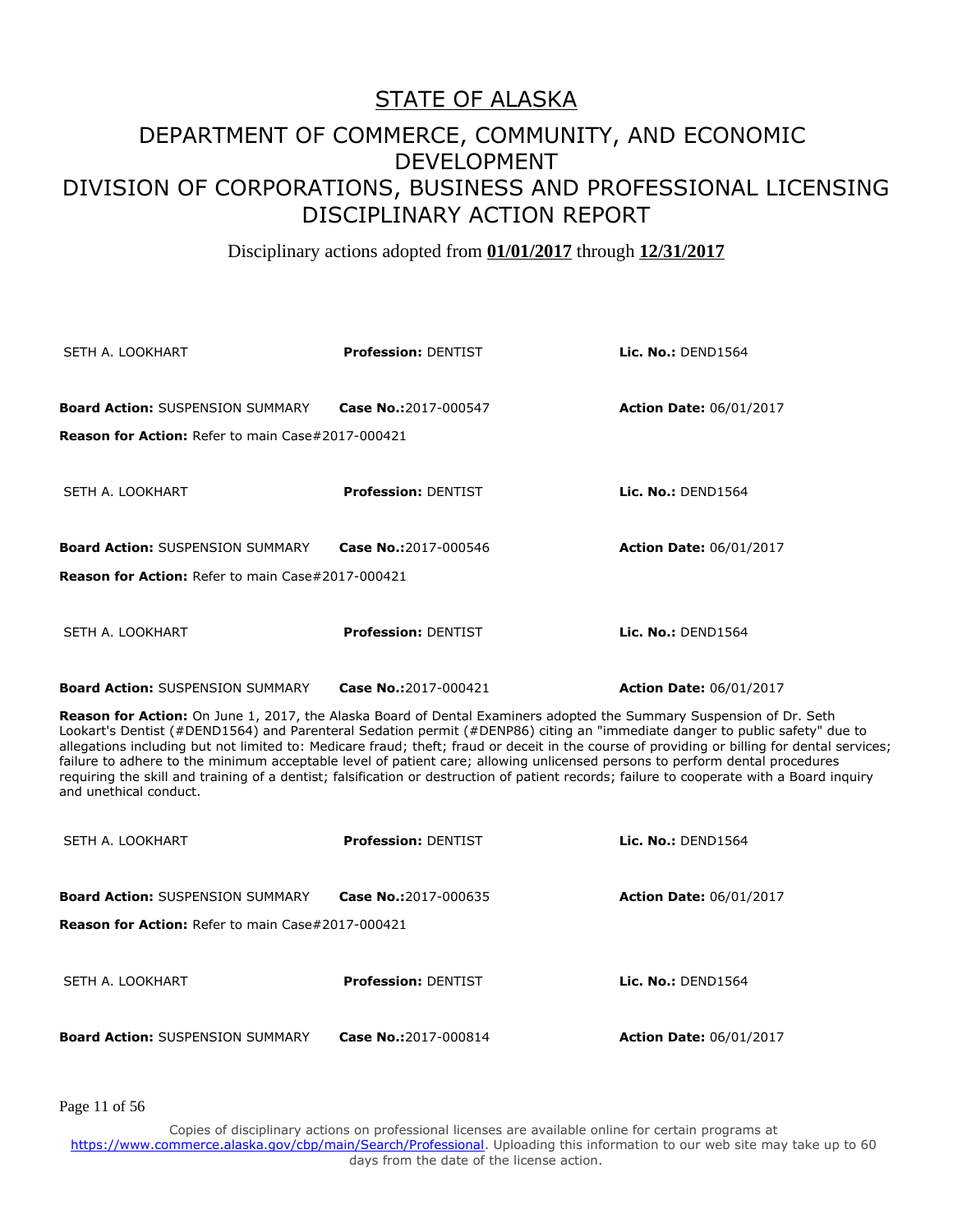Disciplinary actions adopted from **01/01/2017** through **12/31/2017**

| SETH A. LOOKHART                                                                                                                                                                                                                                                                                                                                                                                                                                                                                                                                                                                                                                                                                        | <b>Profession: DENTIST</b> | Lic. No.: DEND1564             |
|---------------------------------------------------------------------------------------------------------------------------------------------------------------------------------------------------------------------------------------------------------------------------------------------------------------------------------------------------------------------------------------------------------------------------------------------------------------------------------------------------------------------------------------------------------------------------------------------------------------------------------------------------------------------------------------------------------|----------------------------|--------------------------------|
| <b>Board Action: SUSPENSION SUMMARY</b>                                                                                                                                                                                                                                                                                                                                                                                                                                                                                                                                                                                                                                                                 | Case No.:2017-000547       | <b>Action Date: 06/01/2017</b> |
| <b>Reason for Action: Refer to main Case#2017-000421</b>                                                                                                                                                                                                                                                                                                                                                                                                                                                                                                                                                                                                                                                |                            |                                |
| SETH A. LOOKHART                                                                                                                                                                                                                                                                                                                                                                                                                                                                                                                                                                                                                                                                                        | <b>Profession: DENTIST</b> | Lic. No.: $DEND1564$           |
| <b>Board Action: SUSPENSION SUMMARY</b>                                                                                                                                                                                                                                                                                                                                                                                                                                                                                                                                                                                                                                                                 | Case No.:2017-000546       | <b>Action Date: 06/01/2017</b> |
| <b>Reason for Action: Refer to main Case#2017-000421</b>                                                                                                                                                                                                                                                                                                                                                                                                                                                                                                                                                                                                                                                |                            |                                |
| SETH A. LOOKHART                                                                                                                                                                                                                                                                                                                                                                                                                                                                                                                                                                                                                                                                                        | Profession: DENTIST        | Lic. No.: DEND1564             |
| <b>Board Action: SUSPENSION SUMMARY</b>                                                                                                                                                                                                                                                                                                                                                                                                                                                                                                                                                                                                                                                                 | Case No.:2017-000421       | <b>Action Date: 06/01/2017</b> |
| Reason for Action: On June 1, 2017, the Alaska Board of Dental Examiners adopted the Summary Suspension of Dr. Seth<br>Lookart's Dentist (#DEND1564) and Parenteral Sedation permit (#DENP86) citing an "immediate danger to public safety" due to<br>allegations including but not limited to: Medicare fraud; theft; fraud or deceit in the course of providing or billing for dental services;<br>failure to adhere to the minimum acceptable level of patient care; allowing unlicensed persons to perform dental procedures<br>requiring the skill and training of a dentist; falsification or destruction of patient records; failure to cooperate with a Board inquiry<br>and unethical conduct. |                            |                                |
| SETH A. LOOKHART                                                                                                                                                                                                                                                                                                                                                                                                                                                                                                                                                                                                                                                                                        | <b>Profession: DENTIST</b> | Lic. No.: DEND1564             |
| <b>Board Action: SUSPENSION SUMMARY</b>                                                                                                                                                                                                                                                                                                                                                                                                                                                                                                                                                                                                                                                                 | Case No.:2017-000635       | <b>Action Date: 06/01/2017</b> |
| <b>Reason for Action: Refer to main Case#2017-000421</b>                                                                                                                                                                                                                                                                                                                                                                                                                                                                                                                                                                                                                                                |                            |                                |
| SETH A. LOOKHART                                                                                                                                                                                                                                                                                                                                                                                                                                                                                                                                                                                                                                                                                        | <b>Profession: DENTIST</b> | Lic. No.: DEND1564             |

**Board Action:** SUSPENSION SUMMARY **Case No.:**2017-000814 **Action Date:** 06/01/2017

Page 11 of 56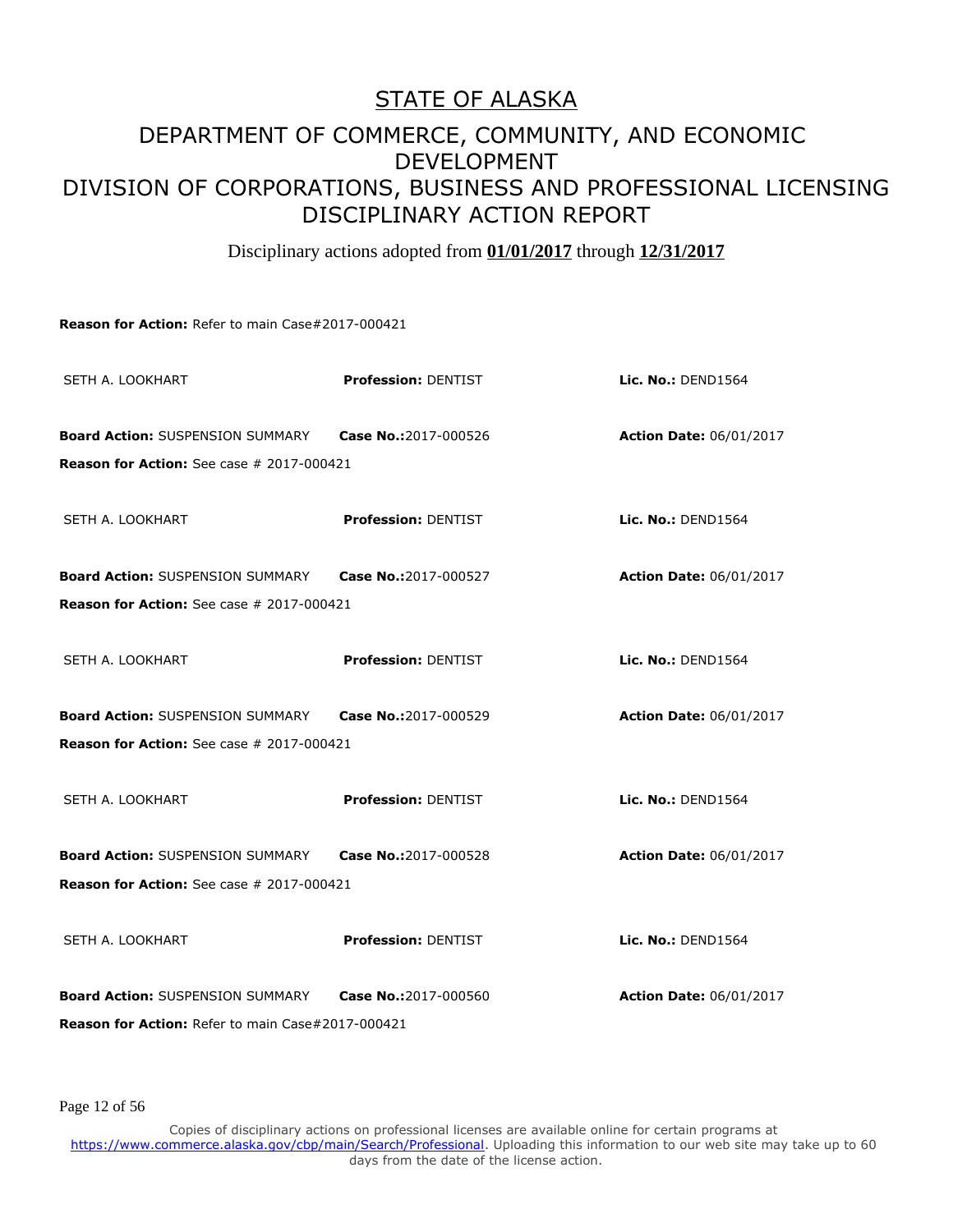Disciplinary actions adopted from **01/01/2017** through **12/31/2017**

**Reason for Action:** Refer to main Case#2017-000421

| <b>Profession: DENTIST</b>                                        | Lic. No.: $DEND1564$                              |
|-------------------------------------------------------------------|---------------------------------------------------|
| Case No.:2017-000526<br>Reason for Action: See case # 2017-000421 | <b>Action Date: 06/01/2017</b>                    |
| <b>Profession: DENTIST</b>                                        | Lic. No.: DEND1564                                |
| Case No.:2017-000527<br>Reason for Action: See case # 2017-000421 | <b>Action Date: 06/01/2017</b>                    |
| <b>Profession: DENTIST</b>                                        | Lic. No.: DEND1564                                |
| Case No.:2017-000529<br>Reason for Action: See case # 2017-000421 | <b>Action Date: 06/01/2017</b>                    |
| <b>Profession: DENTIST</b>                                        | Lic. No.: DEND1564                                |
| Case No.:2017-000528<br>Reason for Action: See case # 2017-000421 | <b>Action Date: 06/01/2017</b>                    |
| <b>Profession: DENTIST</b>                                        | Lic. No.: DEND1564                                |
| Case No.:2017-000560                                              | <b>Action Date: 06/01/2017</b>                    |
|                                                                   | Reason for Action: Refer to main Case#2017-000421 |

Page 12 of 56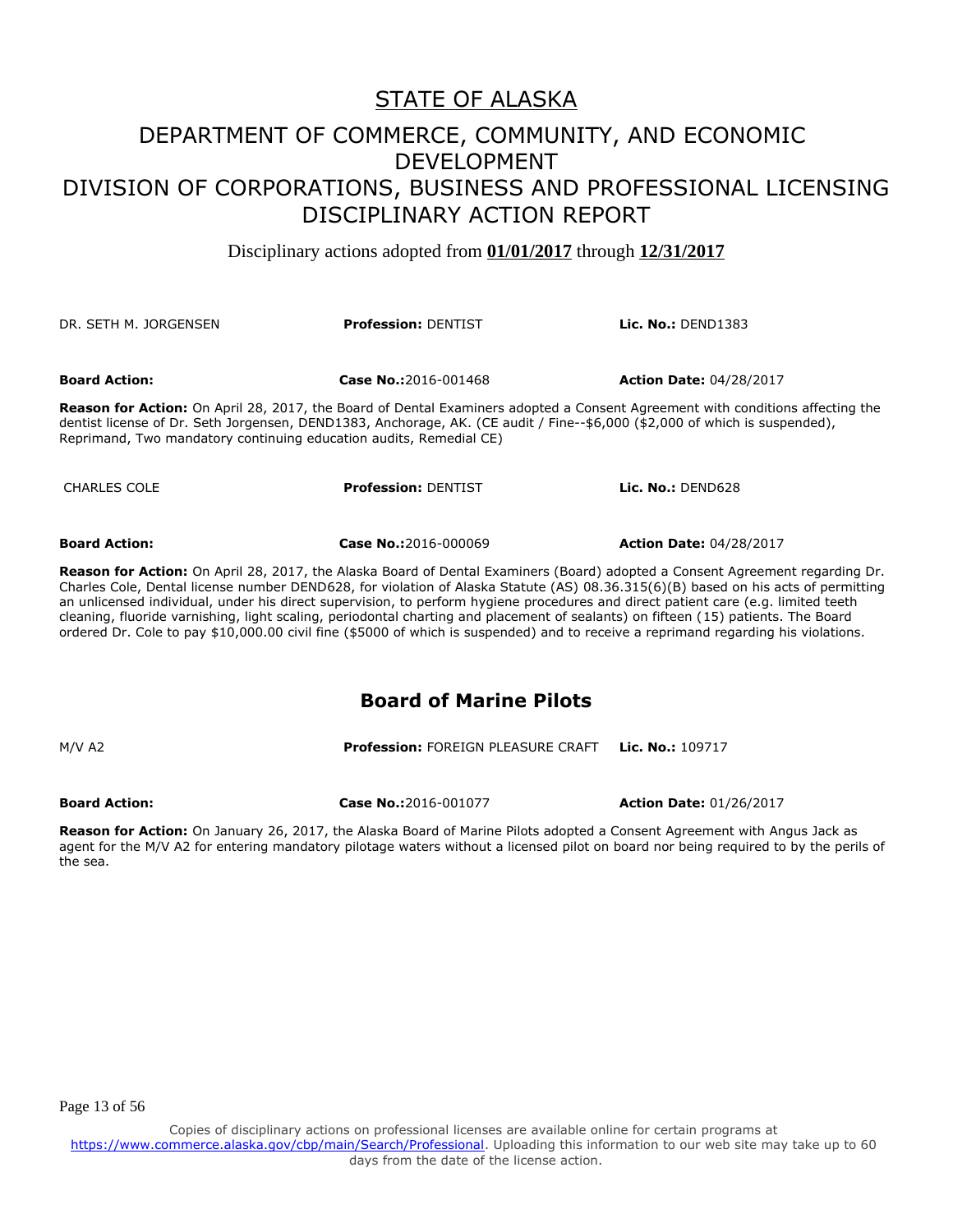Disciplinary actions adopted from **01/01/2017** through **12/31/2017**

| DR. SETH M. JORGENSEN                                                                                                                                                                                                                                                                                                                                                                                                                                                                                                                                                                                                                                                             | <b>Profession: DENTIST</b>                | Lic. No.: DEND1383             |
|-----------------------------------------------------------------------------------------------------------------------------------------------------------------------------------------------------------------------------------------------------------------------------------------------------------------------------------------------------------------------------------------------------------------------------------------------------------------------------------------------------------------------------------------------------------------------------------------------------------------------------------------------------------------------------------|-------------------------------------------|--------------------------------|
| <b>Board Action:</b>                                                                                                                                                                                                                                                                                                                                                                                                                                                                                                                                                                                                                                                              | Case No.: 2016-001468                     | <b>Action Date: 04/28/2017</b> |
| <b>Reason for Action:</b> On April 28, 2017, the Board of Dental Examiners adopted a Consent Agreement with conditions affecting the<br>dentist license of Dr. Seth Jorgensen, DEND1383, Anchorage, AK. (CE audit / Fine--\$6,000 (\$2,000 of which is suspended),<br>Reprimand, Two mandatory continuing education audits, Remedial CE)                                                                                                                                                                                                                                                                                                                                          |                                           |                                |
| <b>CHARLES COLE</b>                                                                                                                                                                                                                                                                                                                                                                                                                                                                                                                                                                                                                                                               | <b>Profession: DENTIST</b>                | Lic. $No.:$ DEND628            |
| <b>Board Action:</b>                                                                                                                                                                                                                                                                                                                                                                                                                                                                                                                                                                                                                                                              | <b>Case No.:</b> 2016-000069              | <b>Action Date: 04/28/2017</b> |
| Reason for Action: On April 28, 2017, the Alaska Board of Dental Examiners (Board) adopted a Consent Agreement regarding Dr.<br>Charles Cole, Dental license number DEND628, for violation of Alaska Statute (AS) 08.36.315(6)(B) based on his acts of permitting<br>an unlicensed individual, under his direct supervision, to perform hygiene procedures and direct patient care (e.g. limited teeth<br>cleaning, fluoride varnishing, light scaling, periodontal charting and placement of sealants) on fifteen (15) patients. The Board<br>ordered Dr. Cole to pay \$10,000.00 civil fine (\$5000 of which is suspended) and to receive a reprimand regarding his violations. |                                           |                                |
| <b>Board of Marine Pilots</b>                                                                                                                                                                                                                                                                                                                                                                                                                                                                                                                                                                                                                                                     |                                           |                                |
| $M/V$ A2                                                                                                                                                                                                                                                                                                                                                                                                                                                                                                                                                                                                                                                                          | <b>Profession: FOREIGN PLEASURE CRAFT</b> | Lic. No.: 109717               |

**Board Action: Case No.:**2016-001077 **Action Date:** 01/26/2017

**Reason for Action:** On January 26, 2017, the Alaska Board of Marine Pilots adopted a Consent Agreement with Angus Jack as agent for the M/V A2 for entering mandatory pilotage waters without a licensed pilot on board nor being required to by the perils of the sea.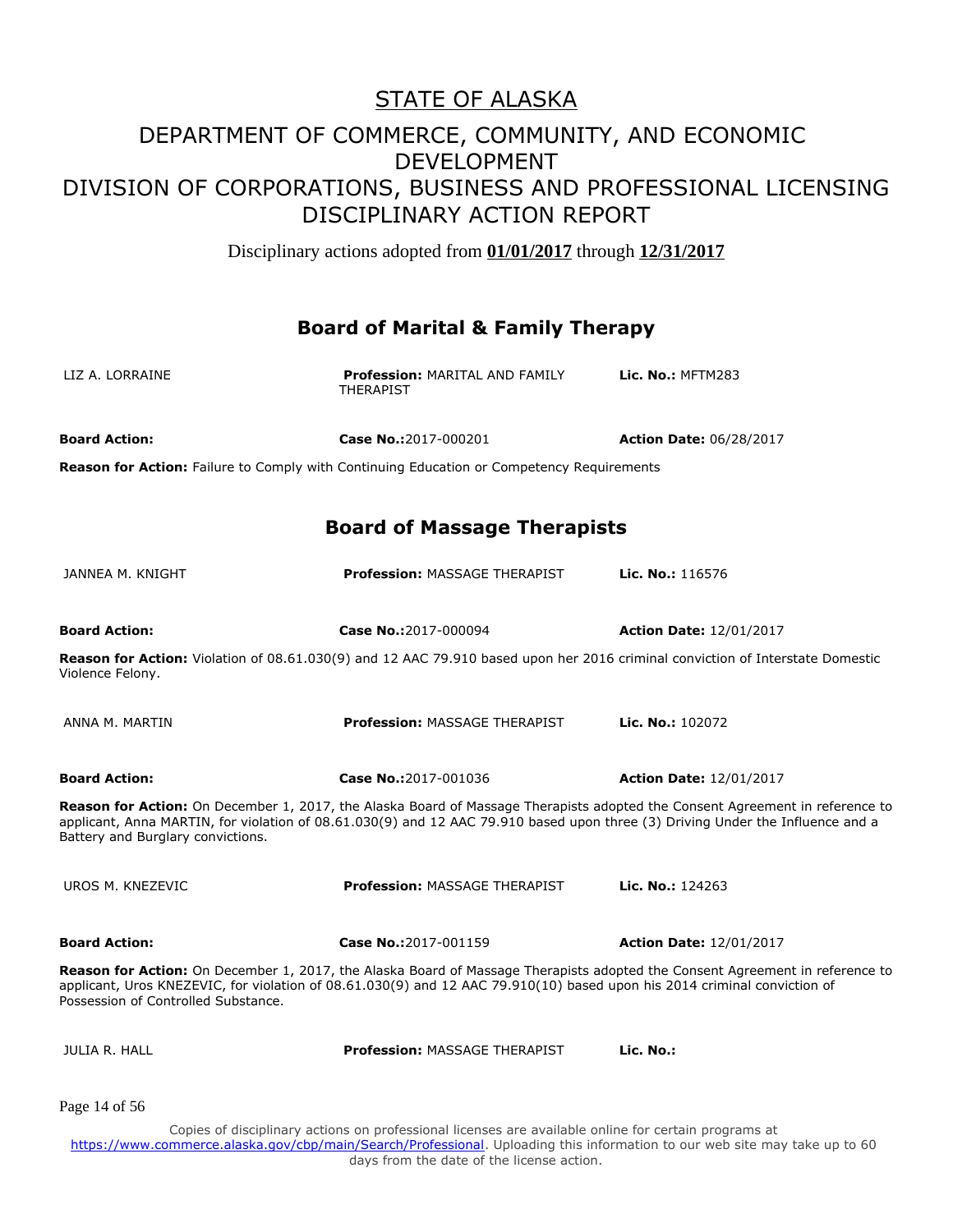Disciplinary actions adopted from **01/01/2017** through **12/31/2017**

#### **Board of Marital & Family Therapy**

| LIZ A. LORRAINE                     | <b>Profession: MARITAL AND FAMILY</b><br><b>THERAPIST</b>                                                                                                                                                                                                      | <b>Lic. No.: MFTM283</b>       |
|-------------------------------------|----------------------------------------------------------------------------------------------------------------------------------------------------------------------------------------------------------------------------------------------------------------|--------------------------------|
| <b>Board Action:</b>                | Case No.:2017-000201                                                                                                                                                                                                                                           | <b>Action Date: 06/28/2017</b> |
|                                     | Reason for Action: Failure to Comply with Continuing Education or Competency Requirements                                                                                                                                                                      |                                |
|                                     | <b>Board of Massage Therapists</b>                                                                                                                                                                                                                             |                                |
| JANNEA M. KNIGHT                    | <b>Profession: MASSAGE THERAPIST</b>                                                                                                                                                                                                                           | Lic. No.: 116576               |
| <b>Board Action:</b>                | Case No.:2017-000094                                                                                                                                                                                                                                           | <b>Action Date: 12/01/2017</b> |
| Violence Felony.                    | Reason for Action: Violation of 08.61.030(9) and 12 AAC 79.910 based upon her 2016 criminal conviction of Interstate Domestic                                                                                                                                  |                                |
| ANNA M. MARTIN                      | <b>Profession: MASSAGE THERAPIST</b>                                                                                                                                                                                                                           | <b>Lic. No.: 102072</b>        |
| <b>Board Action:</b>                | Case No.:2017-001036                                                                                                                                                                                                                                           | <b>Action Date: 12/01/2017</b> |
| Battery and Burglary convictions.   | Reason for Action: On December 1, 2017, the Alaska Board of Massage Therapists adopted the Consent Agreement in reference to<br>applicant, Anna MARTIN, for violation of 08.61.030(9) and 12 AAC 79.910 based upon three (3) Driving Under the Influence and a |                                |
| UROS M. KNEZEVIC                    | <b>Profession: MASSAGE THERAPIST</b>                                                                                                                                                                                                                           | Lic. No.: 124263               |
| <b>Board Action:</b>                | Case No.:2017-001159                                                                                                                                                                                                                                           | <b>Action Date: 12/01/2017</b> |
| Possession of Controlled Substance. | Reason for Action: On December 1, 2017, the Alaska Board of Massage Therapists adopted the Consent Agreement in reference to<br>applicant, Uros KNEZEVIC, for violation of 08.61.030(9) and 12 AAC 79.910(10) based upon his 2014 criminal conviction of       |                                |
| JULIA R. HALL                       | <b>Profession: MASSAGE THERAPIST</b>                                                                                                                                                                                                                           | Lic. No.:                      |
| Page 14 of 56                       |                                                                                                                                                                                                                                                                |                                |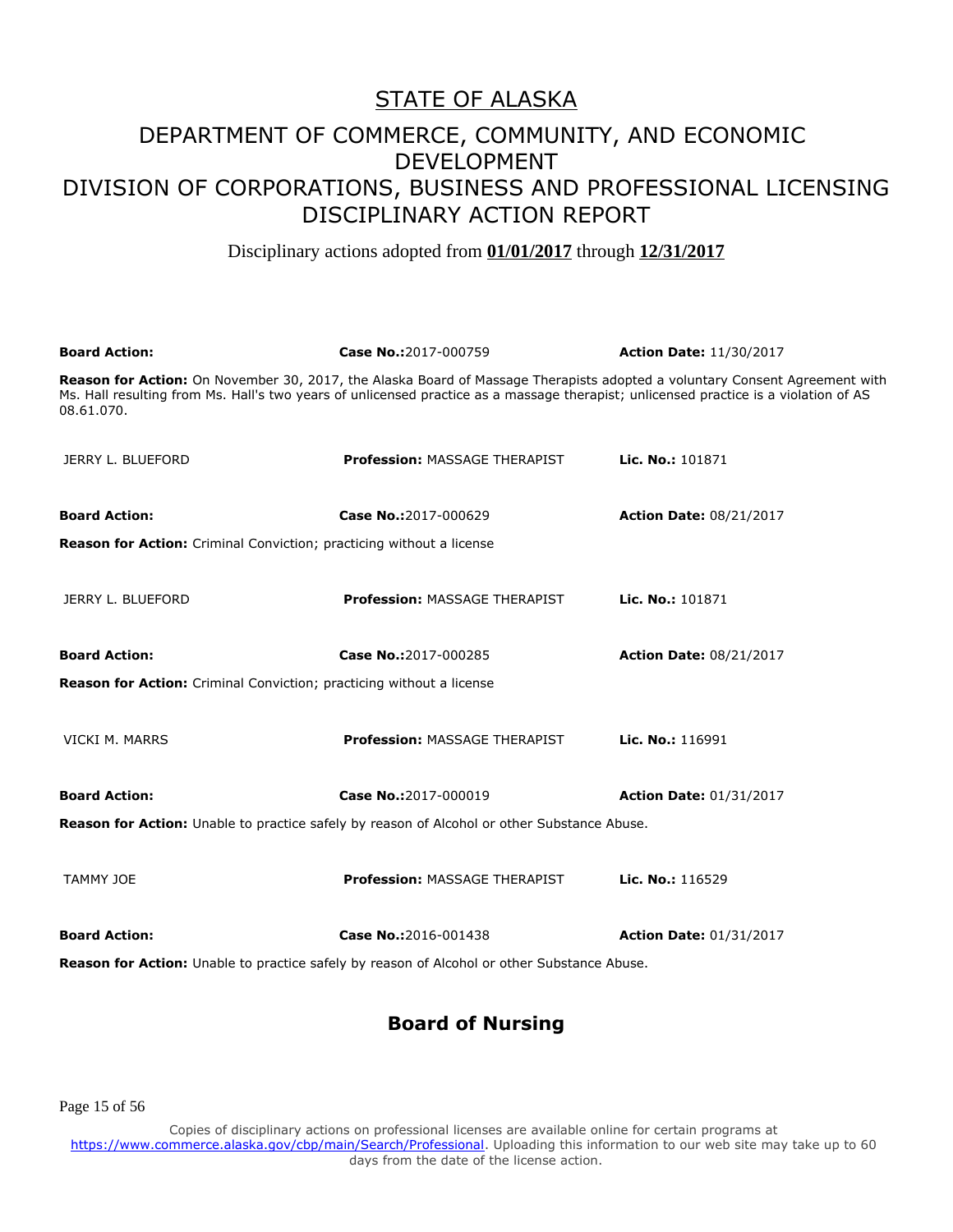Disciplinary actions adopted from **01/01/2017** through **12/31/2017**

| <b>Board Action:</b>                                                        | Case No.:2017-000759                                                                                                                 | <b>Action Date: 11/30/2017</b>                                                                                             |
|-----------------------------------------------------------------------------|--------------------------------------------------------------------------------------------------------------------------------------|----------------------------------------------------------------------------------------------------------------------------|
| 08.61.070.                                                                  | Ms. Hall resulting from Ms. Hall's two years of unlicensed practice as a massage therapist; unlicensed practice is a violation of AS | Reason for Action: On November 30, 2017, the Alaska Board of Massage Therapists adopted a voluntary Consent Agreement with |
| JERRY L. BLUEFORD                                                           | Profession: MASSAGE THERAPIST                                                                                                        | Lic. No.: 101871                                                                                                           |
| <b>Board Action:</b>                                                        | Case No.:2017-000629                                                                                                                 | <b>Action Date: 08/21/2017</b>                                                                                             |
| <b>Reason for Action:</b> Criminal Conviction; practicing without a license |                                                                                                                                      |                                                                                                                            |
| JERRY L. BLUEFORD                                                           | <b>Profession: MASSAGE THERAPIST</b>                                                                                                 | Lic. No.: 101871                                                                                                           |
| <b>Board Action:</b>                                                        | Case No.:2017-000285                                                                                                                 | <b>Action Date: 08/21/2017</b>                                                                                             |
| <b>Reason for Action:</b> Criminal Conviction; practicing without a license |                                                                                                                                      |                                                                                                                            |
| VICKI M. MARRS                                                              | <b>Profession: MASSAGE THERAPIST</b>                                                                                                 | Lic. No.: 116991                                                                                                           |
| <b>Board Action:</b>                                                        | Case No.:2017-000019                                                                                                                 | <b>Action Date: 01/31/2017</b>                                                                                             |
|                                                                             | Reason for Action: Unable to practice safely by reason of Alcohol or other Substance Abuse.                                          |                                                                                                                            |
| <b>TAMMY JOE</b>                                                            | <b>Profession: MASSAGE THERAPIST</b>                                                                                                 | Lic. No.: 116529                                                                                                           |
| <b>Board Action:</b>                                                        | Case No.:2016-001438                                                                                                                 | <b>Action Date: 01/31/2017</b>                                                                                             |
|                                                                             | <b>Reason for Action:</b> Unable to practice safely by reason of Alcohol or other Substance Abuse.                                   |                                                                                                                            |

#### **Board of Nursing**

Page 15 of 56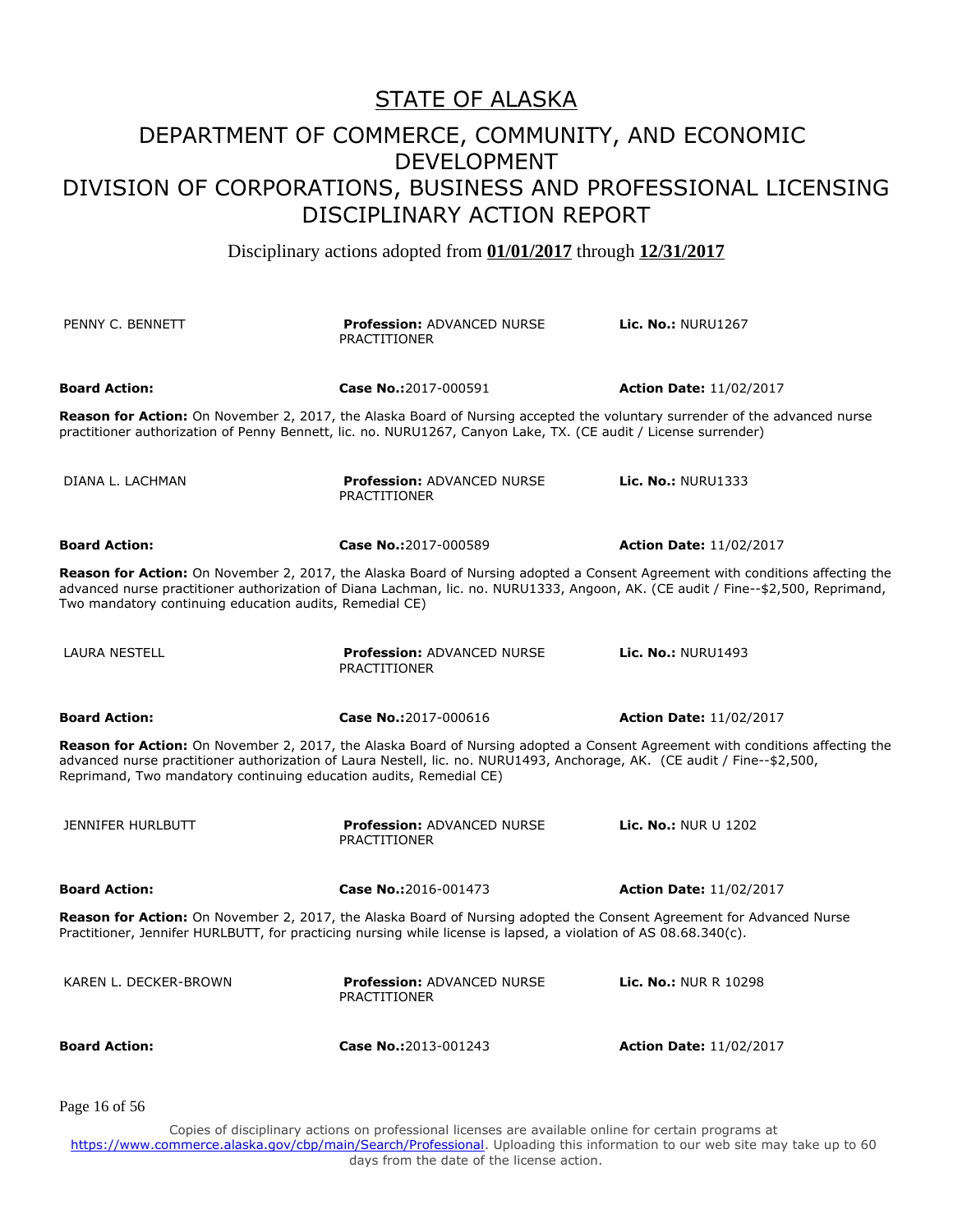Disciplinary actions adopted from **01/01/2017** through **12/31/2017**

| PENNY C. BENNETT                                                                                                                                                                                                                         | <b>Profession: ADVANCED NURSE</b><br><b>PRACTITIONER</b>                                                                         | <b>Lic. No.: NURU1267</b>                                                                                                            |
|------------------------------------------------------------------------------------------------------------------------------------------------------------------------------------------------------------------------------------------|----------------------------------------------------------------------------------------------------------------------------------|--------------------------------------------------------------------------------------------------------------------------------------|
| <b>Board Action:</b>                                                                                                                                                                                                                     | Case No.:2017-000591                                                                                                             | <b>Action Date: 11/02/2017</b>                                                                                                       |
| Reason for Action: On November 2, 2017, the Alaska Board of Nursing accepted the voluntary surrender of the advanced nurse                                                                                                               | practitioner authorization of Penny Bennett, lic. no. NURU1267, Canyon Lake, TX. (CE audit / License surrender)                  |                                                                                                                                      |
| DIANA L. LACHMAN                                                                                                                                                                                                                         | <b>Profession: ADVANCED NURSE</b><br><b>PRACTITIONER</b>                                                                         | <b>Lic. No.: NURU1333</b>                                                                                                            |
| <b>Board Action:</b>                                                                                                                                                                                                                     | Case No.:2017-000589                                                                                                             | <b>Action Date: 11/02/2017</b>                                                                                                       |
| Two mandatory continuing education audits, Remedial CE)                                                                                                                                                                                  | advanced nurse practitioner authorization of Diana Lachman, lic. no. NURU1333, Angoon, AK. (CE audit / Fine--\$2,500, Reprimand, | <b>Reason for Action:</b> On November 2, 2017, the Alaska Board of Nursing adopted a Consent Agreement with conditions affecting the |
| <b>LAURA NESTELL</b>                                                                                                                                                                                                                     | <b>Profession: ADVANCED NURSE</b><br><b>PRACTITIONER</b>                                                                         | <b>Lic. No.: NURU1493</b>                                                                                                            |
| <b>Board Action:</b>                                                                                                                                                                                                                     | Case No.:2017-000616                                                                                                             | <b>Action Date: 11/02/2017</b>                                                                                                       |
| advanced nurse practitioner authorization of Laura Nestell, lic. no. NURU1493, Anchorage, AK. (CE audit / Fine--\$2,500,<br>Reprimand, Two mandatory continuing education audits, Remedial CE)                                           |                                                                                                                                  | Reason for Action: On November 2, 2017, the Alaska Board of Nursing adopted a Consent Agreement with conditions affecting the        |
| JENNIFER HURLBUTT                                                                                                                                                                                                                        | <b>Profession: ADVANCED NURSE</b><br><b>PRACTITIONER</b>                                                                         | <b>Lic. No.: NUR U 1202</b>                                                                                                          |
| <b>Board Action:</b>                                                                                                                                                                                                                     | Case No.:2016-001473                                                                                                             | <b>Action Date: 11/02/2017</b>                                                                                                       |
| Reason for Action: On November 2, 2017, the Alaska Board of Nursing adopted the Consent Agreement for Advanced Nurse<br>Practitioner, Jennifer HURLBUTT, for practicing nursing while license is lapsed, a violation of AS 08.68.340(c). |                                                                                                                                  |                                                                                                                                      |
| KAREN L. DECKER-BROWN                                                                                                                                                                                                                    | <b>Profession: ADVANCED NURSE</b><br><b>PRACTITIONER</b>                                                                         | Lic. No.: NUR R 10298                                                                                                                |
| <b>Board Action:</b>                                                                                                                                                                                                                     | Case No.:2013-001243                                                                                                             | <b>Action Date: 11/02/2017</b>                                                                                                       |

Page 16 of 56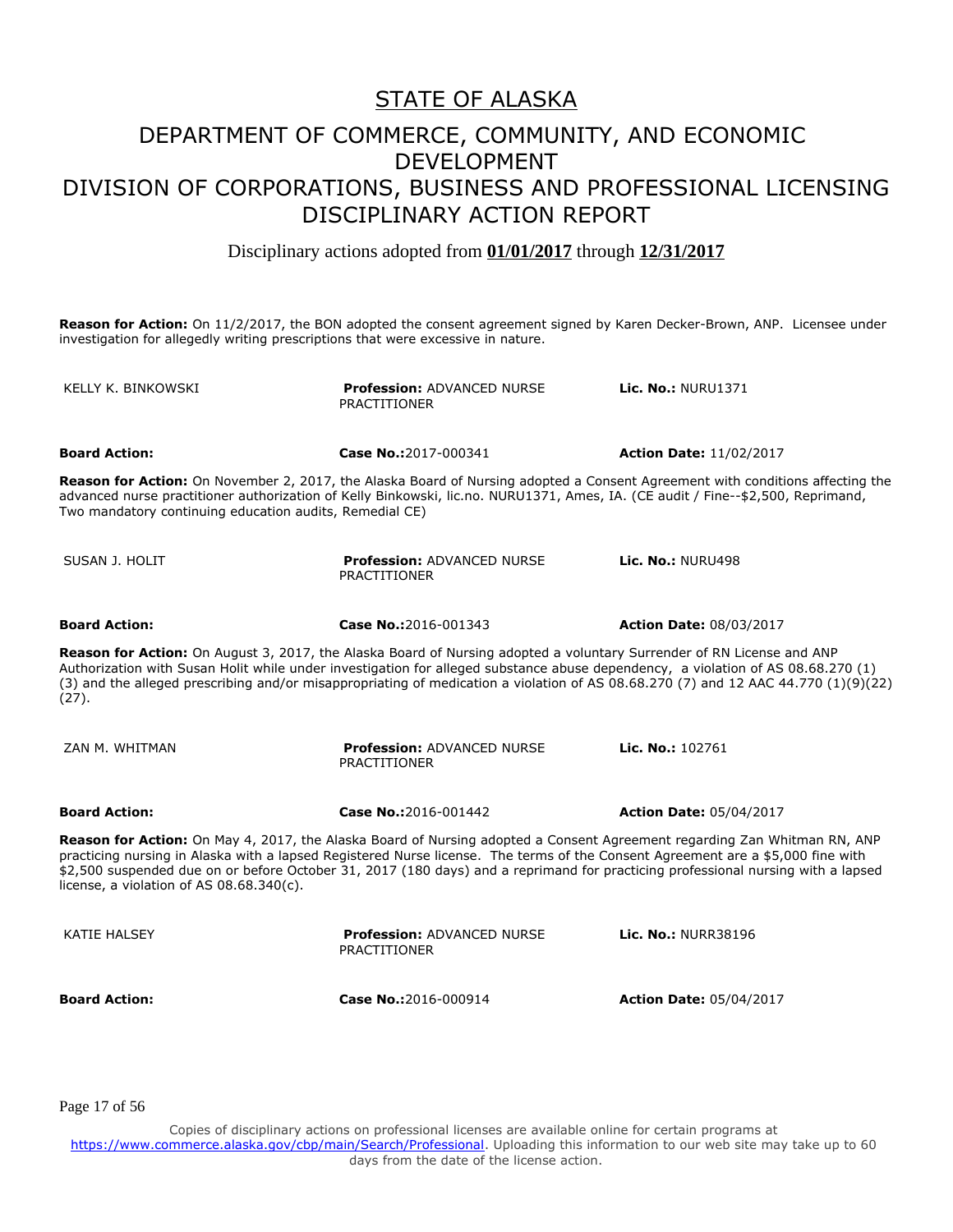Disciplinary actions adopted from **01/01/2017** through **12/31/2017**

**Reason for Action:** On 11/2/2017, the BON adopted the consent agreement signed by Karen Decker-Brown, ANP. Licensee under investigation for allegedly writing prescriptions that were excessive in nature.

| KELLY K. BINKOWSKI                                                                                                                                                                                                                                                                                                                                                                                                                          | <b>Profession: ADVANCED NURSE</b><br><b>PRACTITIONER</b>                                                                                                                                                                                                  | <b>Lic. No.: NURU1371</b>                                                                                                          |
|---------------------------------------------------------------------------------------------------------------------------------------------------------------------------------------------------------------------------------------------------------------------------------------------------------------------------------------------------------------------------------------------------------------------------------------------|-----------------------------------------------------------------------------------------------------------------------------------------------------------------------------------------------------------------------------------------------------------|------------------------------------------------------------------------------------------------------------------------------------|
| <b>Board Action:</b>                                                                                                                                                                                                                                                                                                                                                                                                                        | Case No.:2017-000341                                                                                                                                                                                                                                      | <b>Action Date: 11/02/2017</b>                                                                                                     |
| Two mandatory continuing education audits, Remedial CE)                                                                                                                                                                                                                                                                                                                                                                                     | advanced nurse practitioner authorization of Kelly Binkowski, lic.no. NURU1371, Ames, IA. (CE audit / Fine--\$2,500, Reprimand,                                                                                                                           | Reason for Action: On November 2, 2017, the Alaska Board of Nursing adopted a Consent Agreement with conditions affecting the      |
| SUSAN J. HOLIT                                                                                                                                                                                                                                                                                                                                                                                                                              | <b>Profession: ADVANCED NURSE</b><br>PRACTITIONER                                                                                                                                                                                                         | Lic. No.: NURU498                                                                                                                  |
| <b>Board Action:</b>                                                                                                                                                                                                                                                                                                                                                                                                                        | Case No.:2016-001343                                                                                                                                                                                                                                      | <b>Action Date: 08/03/2017</b>                                                                                                     |
| (27).                                                                                                                                                                                                                                                                                                                                                                                                                                       | Reason for Action: On August 3, 2017, the Alaska Board of Nursing adopted a voluntary Surrender of RN License and ANP<br>Authorization with Susan Holit while under investigation for alleged substance abuse dependency, a violation of AS 08.68.270 (1) | (3) and the alleged prescribing and/or misappropriating of medication a violation of AS 08.68.270 (7) and 12 AAC 44.770 (1)(9)(22) |
| ZAN M. WHITMAN                                                                                                                                                                                                                                                                                                                                                                                                                              | <b>Profession: ADVANCED NURSE</b><br><b>PRACTITIONER</b>                                                                                                                                                                                                  | Lic. No.: 102761                                                                                                                   |
| <b>Board Action:</b>                                                                                                                                                                                                                                                                                                                                                                                                                        | Case No.:2016-001442                                                                                                                                                                                                                                      | <b>Action Date: 05/04/2017</b>                                                                                                     |
| Reason for Action: On May 4, 2017, the Alaska Board of Nursing adopted a Consent Agreement regarding Zan Whitman RN, ANP<br>practicing nursing in Alaska with a lapsed Registered Nurse license. The terms of the Consent Agreement are a \$5,000 fine with<br>\$2,500 suspended due on or before October 31, 2017 (180 days) and a reprimand for practicing professional nursing with a lapsed<br>license, a violation of AS 08.68.340(c). |                                                                                                                                                                                                                                                           |                                                                                                                                    |
| <b>KATIE HALSEY</b>                                                                                                                                                                                                                                                                                                                                                                                                                         | <b>Profession: ADVANCED NURSE</b><br><b>PRACTITIONER</b>                                                                                                                                                                                                  | <b>Lic. No.: NURR38196</b>                                                                                                         |
| <b>Board Action:</b>                                                                                                                                                                                                                                                                                                                                                                                                                        | Case No.:2016-000914                                                                                                                                                                                                                                      | <b>Action Date: 05/04/2017</b>                                                                                                     |

Page 17 of 56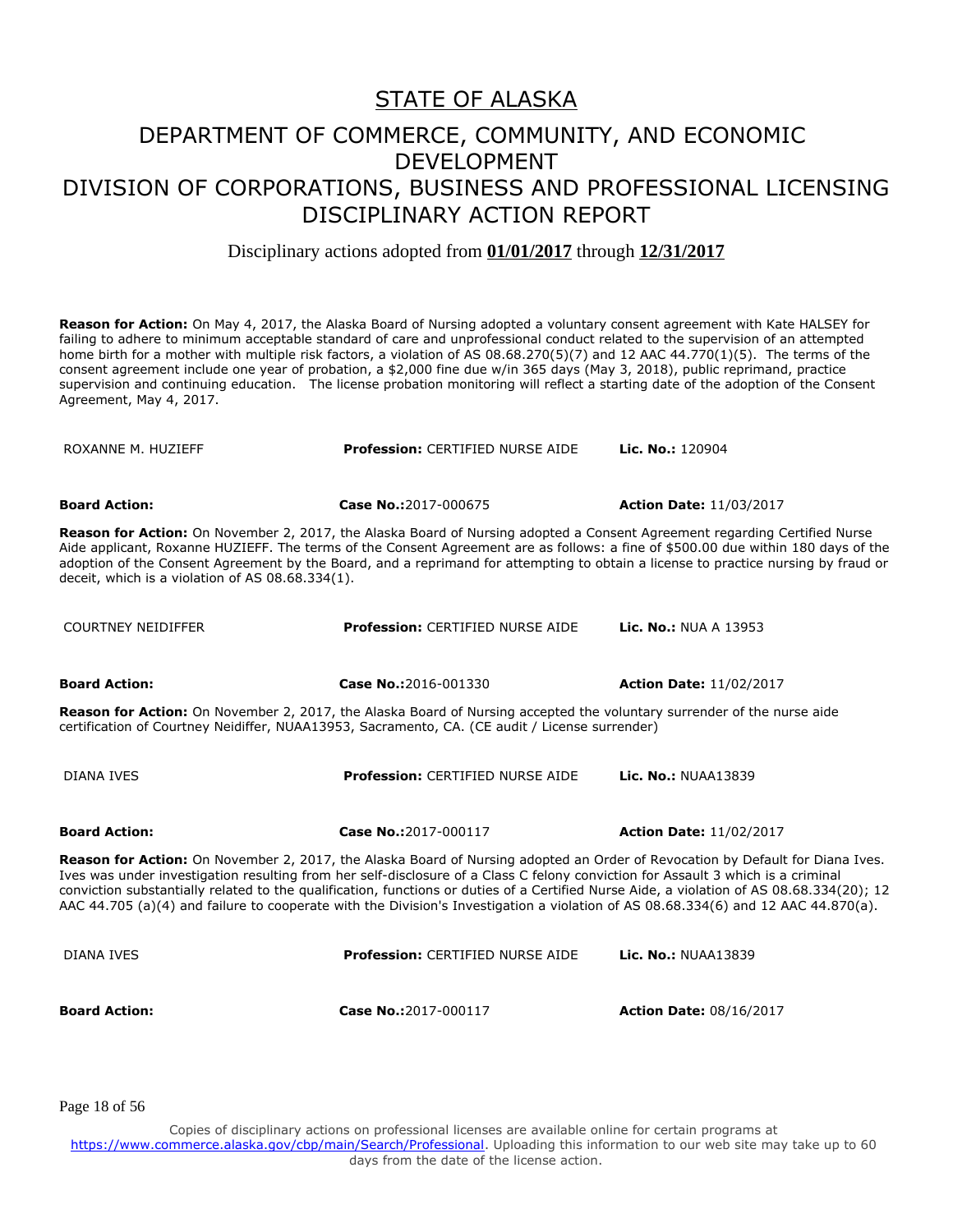Disciplinary actions adopted from **01/01/2017** through **12/31/2017**

**Reason for Action:** On May 4, 2017, the Alaska Board of Nursing adopted a voluntary consent agreement with Kate HALSEY for failing to adhere to minimum acceptable standard of care and unprofessional conduct related to the supervision of an attempted home birth for a mother with multiple risk factors, a violation of AS 08.68.270(5)(7) and 12 AAC 44.770(1)(5). The terms of the consent agreement include one year of probation, a \$2,000 fine due w/in 365 days (May 3, 2018), public reprimand, practice supervision and continuing education. The license probation monitoring will reflect a starting date of the adoption of the Consent Agreement, May 4, 2017.

ROXANNE M. HUZIEFF **Profession:** CERTIFIED NURSE AIDE **Lic. No.:** 120904 **Board Action: Case No.:**2017-000675 **Action Date:** 11/03/2017 **Reason for Action:** On November 2, 2017, the Alaska Board of Nursing adopted a Consent Agreement regarding Certified Nurse Aide applicant, Roxanne HUZIEFF. The terms of the Consent Agreement are as follows: a fine of \$500.00 due within 180 days of the adoption of the Consent Agreement by the Board, and a reprimand for attempting to obtain a license to practice nursing by fraud or deceit, which is a violation of AS 08.68.334(1). COURTNEY NEIDIFFER **Profession:** CERTIFIED NURSE AIDE **Lic. No.:** NUA A 13953 **Board Action: Case No.:**2016-001330 **Action Date:** 11/02/2017 **Reason for Action:** On November 2, 2017, the Alaska Board of Nursing accepted the voluntary surrender of the nurse aide certification of Courtney Neidiffer, NUAA13953, Sacramento, CA. (CE audit / License surrender) DIANA IVES **Profession:** CERTIFIED NURSE AIDE **Lic. No.:** NUAA13839 **Board Action: Case No.:**2017-000117 **Action Date:** 11/02/2017 **Reason for Action:** On November 2, 2017, the Alaska Board of Nursing adopted an Order of Revocation by Default for Diana Ives. Ives was under investigation resulting from her self-disclosure of a Class C felony conviction for Assault 3 which is a criminal conviction substantially related to the qualification, functions or duties of a Certified Nurse Aide, a violation of AS 08.68.334(20); 12 AAC 44.705 (a)(4) and failure to cooperate with the Division's Investigation a violation of AS 08.68.334(6) and 12 AAC 44.870(a). DIANA IVES **Profession:** CERTIFIED NURSE AIDE **Lic. No.:** NUAA13839 **Board Action: Case No.:**2017-000117 **Action Date:** 08/16/2017

Page 18 of 56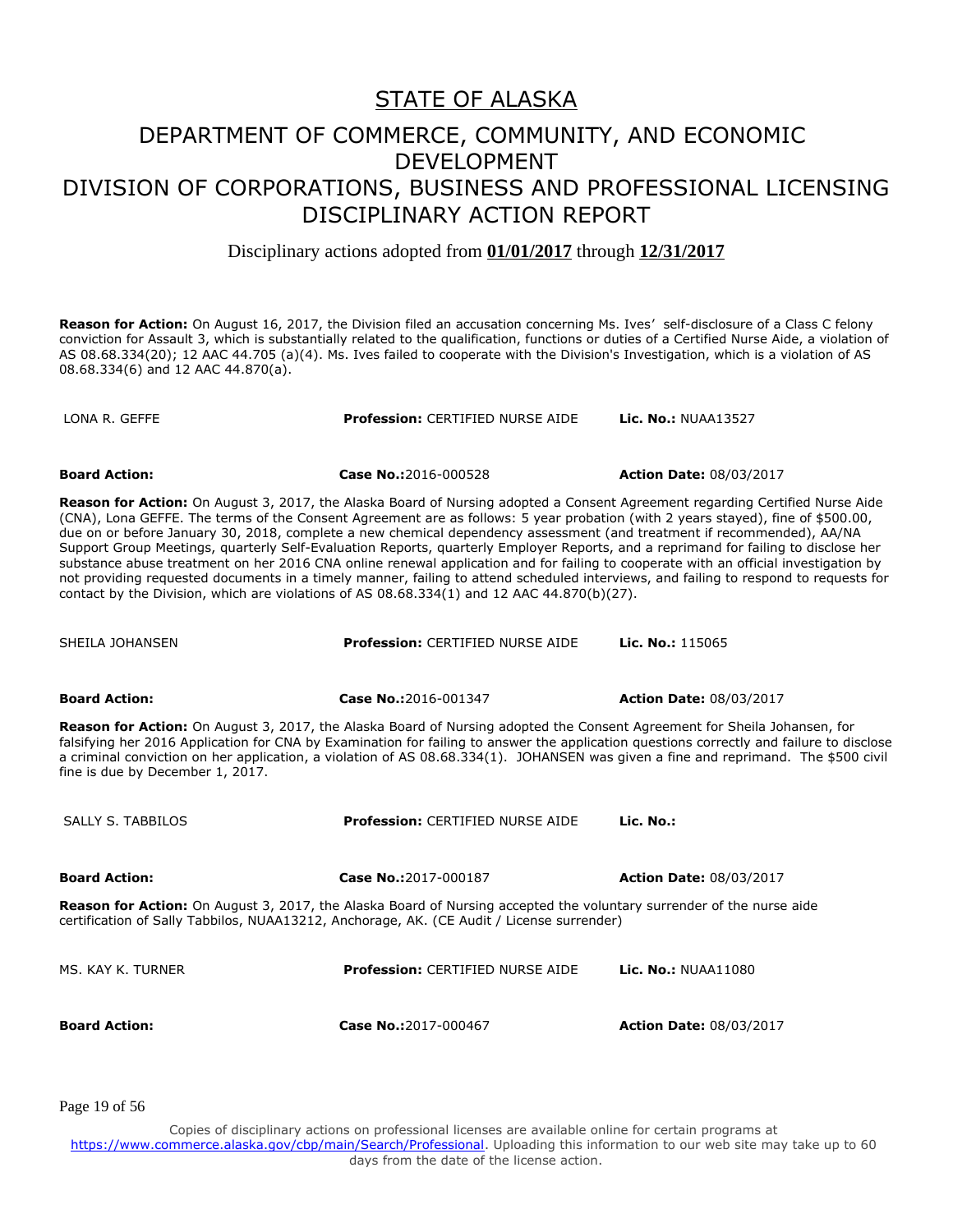Disciplinary actions adopted from **01/01/2017** through **12/31/2017**

Reason for Action: On August 16, 2017, the Division filed an accusation concerning Ms. Ives' self-disclosure of a Class C felony conviction for Assault 3, which is substantially related to the qualification, functions or duties of a Certified Nurse Aide, a violation of AS 08.68.334(20); 12 AAC 44.705 (a)(4). Ms. Ives failed to cooperate with the Division's Investigation, which is a violation of AS 08.68.334(6) and 12 AAC 44.870(a).

| LONA R. GEFFE                                                                                                                                                                                                                                                                                                                                                                                                                                                                                                                                                                                                                                                                                                                                                                                                                                                                                                | <b>Profession: CERTIFIED NURSE AIDE</b>                                                                                                                                                                                  | Lic. No.: NUAA13527                                                                                                                                                                                                                                                            |
|--------------------------------------------------------------------------------------------------------------------------------------------------------------------------------------------------------------------------------------------------------------------------------------------------------------------------------------------------------------------------------------------------------------------------------------------------------------------------------------------------------------------------------------------------------------------------------------------------------------------------------------------------------------------------------------------------------------------------------------------------------------------------------------------------------------------------------------------------------------------------------------------------------------|--------------------------------------------------------------------------------------------------------------------------------------------------------------------------------------------------------------------------|--------------------------------------------------------------------------------------------------------------------------------------------------------------------------------------------------------------------------------------------------------------------------------|
| <b>Board Action:</b>                                                                                                                                                                                                                                                                                                                                                                                                                                                                                                                                                                                                                                                                                                                                                                                                                                                                                         | Case No.:2016-000528                                                                                                                                                                                                     | <b>Action Date: 08/03/2017</b>                                                                                                                                                                                                                                                 |
| Reason for Action: On August 3, 2017, the Alaska Board of Nursing adopted a Consent Agreement regarding Certified Nurse Aide<br>(CNA), Lona GEFFE. The terms of the Consent Agreement are as follows: 5 year probation (with 2 years stayed), fine of \$500.00,<br>due on or before January 30, 2018, complete a new chemical dependency assessment (and treatment if recommended), AA/NA<br>Support Group Meetings, quarterly Self-Evaluation Reports, quarterly Employer Reports, and a reprimand for failing to disclose her<br>substance abuse treatment on her 2016 CNA online renewal application and for failing to cooperate with an official investigation by<br>not providing requested documents in a timely manner, failing to attend scheduled interviews, and failing to respond to requests for<br>contact by the Division, which are violations of AS 08.68.334(1) and 12 AAC 44.870(b)(27). |                                                                                                                                                                                                                          |                                                                                                                                                                                                                                                                                |
| SHEILA JOHANSEN                                                                                                                                                                                                                                                                                                                                                                                                                                                                                                                                                                                                                                                                                                                                                                                                                                                                                              | <b>Profession: CERTIFIED NURSE AIDE</b>                                                                                                                                                                                  | Lic. No.: 115065                                                                                                                                                                                                                                                               |
| <b>Board Action:</b>                                                                                                                                                                                                                                                                                                                                                                                                                                                                                                                                                                                                                                                                                                                                                                                                                                                                                         | Case No.:2016-001347                                                                                                                                                                                                     | <b>Action Date: 08/03/2017</b>                                                                                                                                                                                                                                                 |
| fine is due by December 1, 2017.                                                                                                                                                                                                                                                                                                                                                                                                                                                                                                                                                                                                                                                                                                                                                                                                                                                                             | Reason for Action: On August 3, 2017, the Alaska Board of Nursing adopted the Consent Agreement for Sheila Johansen, for                                                                                                 | falsifying her 2016 Application for CNA by Examination for failing to answer the application questions correctly and failure to disclose<br>a criminal conviction on her application, a violation of AS 08.68.334(1). JOHANSEN was given a fine and reprimand. The \$500 civil |
| SALLY S. TABBILOS                                                                                                                                                                                                                                                                                                                                                                                                                                                                                                                                                                                                                                                                                                                                                                                                                                                                                            | <b>Profession: CERTIFIED NURSE AIDE</b>                                                                                                                                                                                  | Lic. No.:                                                                                                                                                                                                                                                                      |
| <b>Board Action:</b>                                                                                                                                                                                                                                                                                                                                                                                                                                                                                                                                                                                                                                                                                                                                                                                                                                                                                         | Case No.:2017-000187                                                                                                                                                                                                     | <b>Action Date: 08/03/2017</b>                                                                                                                                                                                                                                                 |
|                                                                                                                                                                                                                                                                                                                                                                                                                                                                                                                                                                                                                                                                                                                                                                                                                                                                                                              | <b>Reason for Action:</b> On August 3, 2017, the Alaska Board of Nursing accepted the voluntary surrender of the nurse aide<br>certification of Sally Tabbilos, NUAA13212, Anchorage, AK. (CE Audit / License surrender) |                                                                                                                                                                                                                                                                                |
| MS. KAY K. TURNER                                                                                                                                                                                                                                                                                                                                                                                                                                                                                                                                                                                                                                                                                                                                                                                                                                                                                            | <b>Profession: CERTIFIED NURSE AIDE</b>                                                                                                                                                                                  | Lic. No.: NUAA11080                                                                                                                                                                                                                                                            |
| <b>Board Action:</b>                                                                                                                                                                                                                                                                                                                                                                                                                                                                                                                                                                                                                                                                                                                                                                                                                                                                                         | Case No.:2017-000467                                                                                                                                                                                                     | <b>Action Date: 08/03/2017</b>                                                                                                                                                                                                                                                 |

Page 19 of 56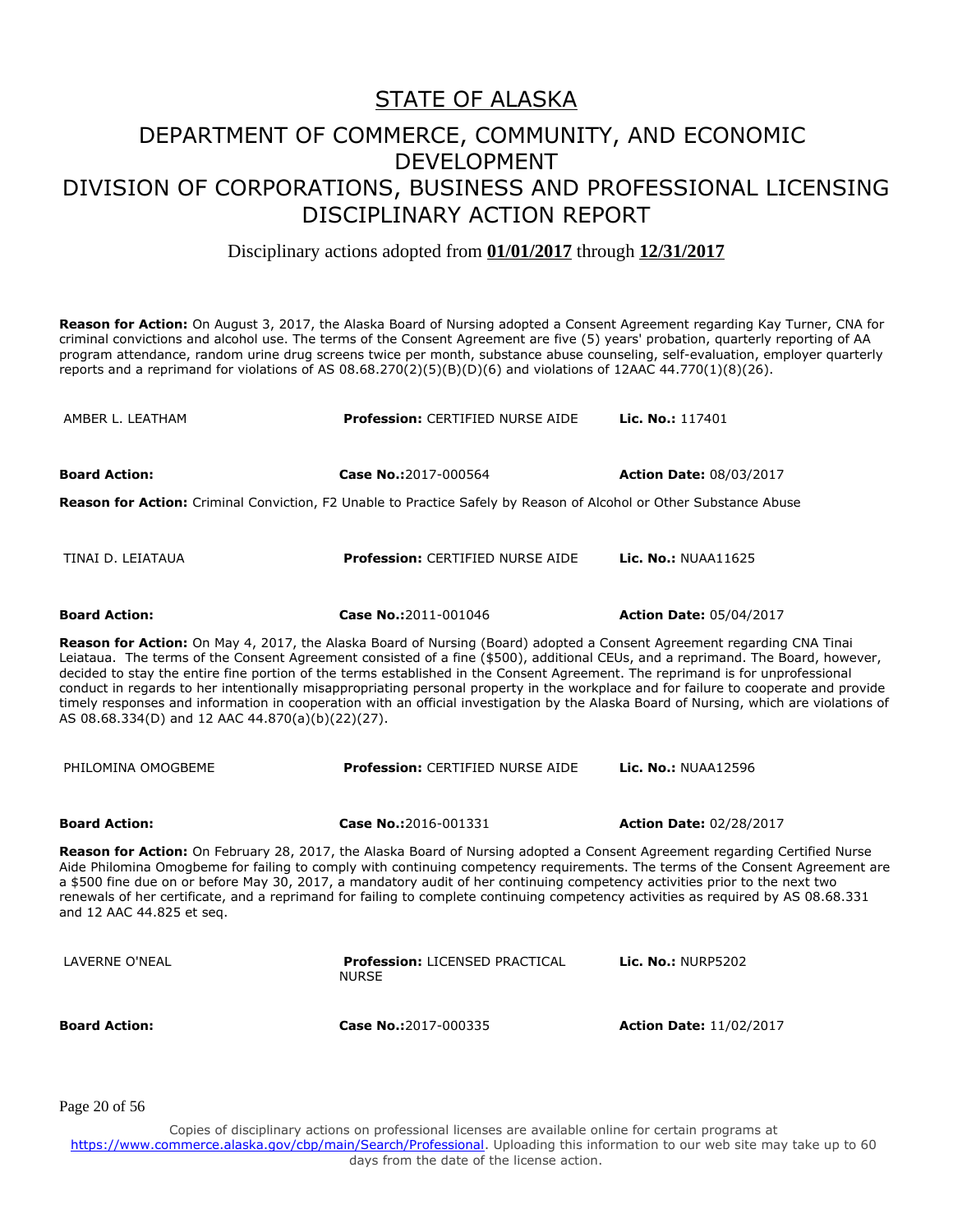Disciplinary actions adopted from **01/01/2017** through **12/31/2017**

**Reason for Action:** On August 3, 2017, the Alaska Board of Nursing adopted a Consent Agreement regarding Kay Turner, CNA for criminal convictions and alcohol use. The terms of the Consent Agreement are five (5) years' probation, quarterly reporting of AA program attendance, random urine drug screens twice per month, substance abuse counseling, self-evaluation, employer quarterly reports and a reprimand for violations of AS 08.68.270(2)(5)(B)(D)(6) and violations of 12AAC 44.770(1)(8)(26).

| AMBER L. LEATHAM                                                                                                                                                                                                                                                                                                                                                                                                                                                                                                                                                                                                                                                                                                                  | <b>Profession: CERTIFIED NURSE AIDE</b>        | Lic. No.: 117401               |
|-----------------------------------------------------------------------------------------------------------------------------------------------------------------------------------------------------------------------------------------------------------------------------------------------------------------------------------------------------------------------------------------------------------------------------------------------------------------------------------------------------------------------------------------------------------------------------------------------------------------------------------------------------------------------------------------------------------------------------------|------------------------------------------------|--------------------------------|
| <b>Board Action:</b>                                                                                                                                                                                                                                                                                                                                                                                                                                                                                                                                                                                                                                                                                                              | Case No.:2017-000564                           | <b>Action Date: 08/03/2017</b> |
| Reason for Action: Criminal Conviction, F2 Unable to Practice Safely by Reason of Alcohol or Other Substance Abuse                                                                                                                                                                                                                                                                                                                                                                                                                                                                                                                                                                                                                |                                                |                                |
| TINAI D. LEIATAUA                                                                                                                                                                                                                                                                                                                                                                                                                                                                                                                                                                                                                                                                                                                 | <b>Profession: CERTIFIED NURSE AIDE</b>        | <b>Lic. No.: NUAA11625</b>     |
| <b>Board Action:</b>                                                                                                                                                                                                                                                                                                                                                                                                                                                                                                                                                                                                                                                                                                              | Case No.:2011-001046                           | <b>Action Date: 05/04/2017</b> |
| Reason for Action: On May 4, 2017, the Alaska Board of Nursing (Board) adopted a Consent Agreement regarding CNA Tinai<br>Leiataua. The terms of the Consent Agreement consisted of a fine (\$500), additional CEUs, and a reprimand. The Board, however,<br>decided to stay the entire fine portion of the terms established in the Consent Agreement. The reprimand is for unprofessional<br>conduct in regards to her intentionally misappropriating personal property in the workplace and for failure to cooperate and provide<br>timely responses and information in cooperation with an official investigation by the Alaska Board of Nursing, which are violations of<br>AS 08.68.334(D) and 12 AAC 44.870(a)(b)(22)(27). |                                                |                                |
| PHILOMINA OMOGBEME                                                                                                                                                                                                                                                                                                                                                                                                                                                                                                                                                                                                                                                                                                                | <b>Profession: CERTIFIED NURSE AIDE</b>        | Lic. No.: NUAA12596            |
| <b>Board Action:</b>                                                                                                                                                                                                                                                                                                                                                                                                                                                                                                                                                                                                                                                                                                              | Case No.:2016-001331                           | <b>Action Date: 02/28/2017</b> |
| Reason for Action: On February 28, 2017, the Alaska Board of Nursing adopted a Consent Agreement regarding Certified Nurse<br>Aide Philomina Omogbeme for failing to comply with continuing competency requirements. The terms of the Consent Agreement are<br>a \$500 fine due on or before May 30, 2017, a mandatory audit of her continuing competency activities prior to the next two<br>renewals of her certificate, and a reprimand for failing to complete continuing competency activities as required by AS 08.68.331<br>and 12 AAC 44.825 et seq.                                                                                                                                                                      |                                                |                                |
| LAVERNE O'NEAL                                                                                                                                                                                                                                                                                                                                                                                                                                                                                                                                                                                                                                                                                                                    | Profession: LICENSED PRACTICAL<br><b>NURSE</b> | <b>Lic. No.: NURP5202</b>      |
| <b>Board Action:</b>                                                                                                                                                                                                                                                                                                                                                                                                                                                                                                                                                                                                                                                                                                              | Case No.:2017-000335                           | <b>Action Date: 11/02/2017</b> |

Page 20 of 56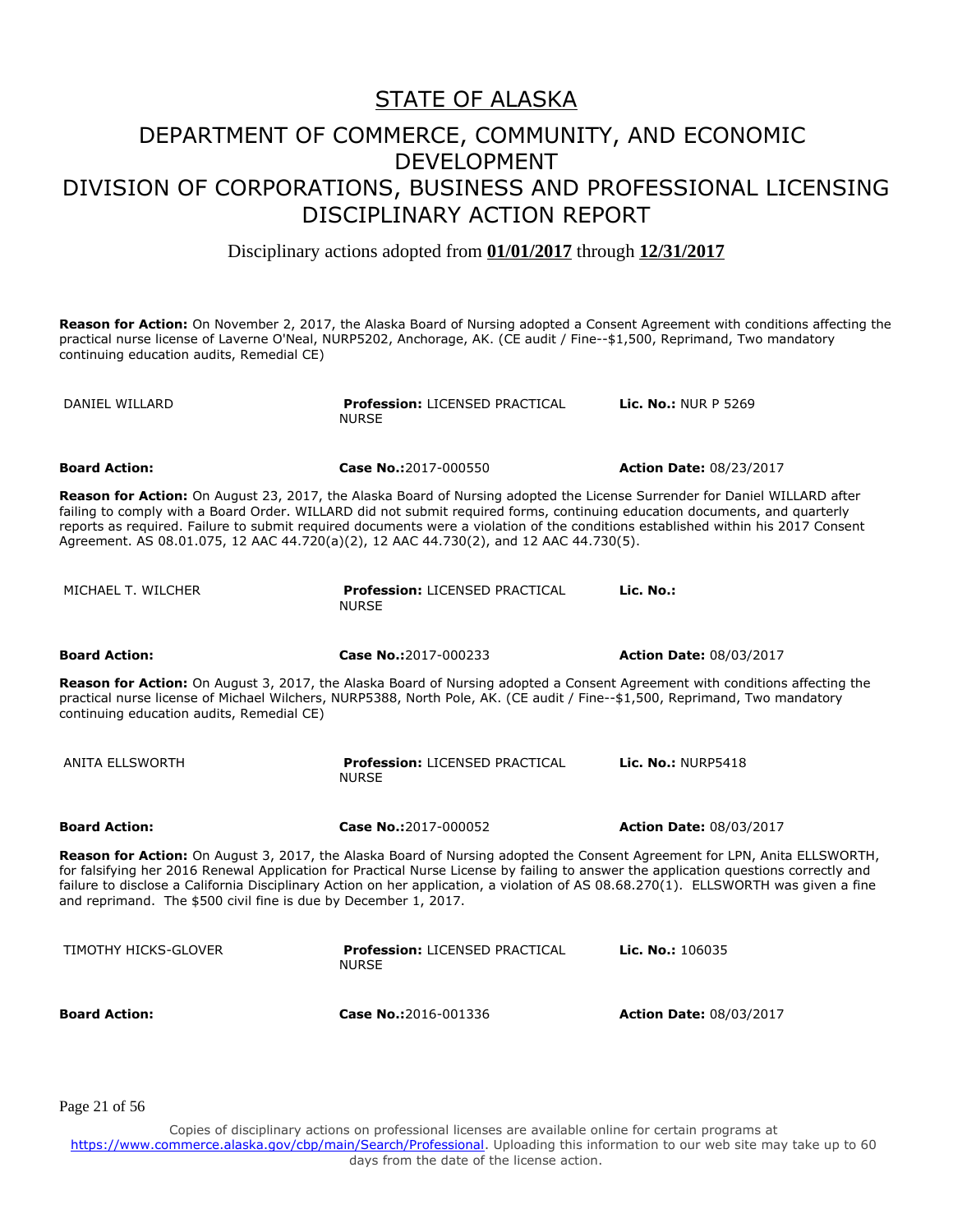Disciplinary actions adopted from **01/01/2017** through **12/31/2017**

**Reason for Action:** On November 2, 2017, the Alaska Board of Nursing adopted a Consent Agreement with conditions affecting the practical nurse license of Laverne O'Neal, NURP5202, Anchorage, AK. (CE audit / Fine--\$1,500, Reprimand, Two mandatory continuing education audits, Remedial CE)

| DANIEL WILLARD                                                                                                                                                                                                                                                                                                                                                                                                                                                              | <b>Profession: LICENSED PRACTICAL</b><br><b>NURSE</b>                                                                                                                                                                                                                                                                                                                                                                                                                                | <b>Lic. No.: NUR P 5269</b>    |
|-----------------------------------------------------------------------------------------------------------------------------------------------------------------------------------------------------------------------------------------------------------------------------------------------------------------------------------------------------------------------------------------------------------------------------------------------------------------------------|--------------------------------------------------------------------------------------------------------------------------------------------------------------------------------------------------------------------------------------------------------------------------------------------------------------------------------------------------------------------------------------------------------------------------------------------------------------------------------------|--------------------------------|
| <b>Board Action:</b>                                                                                                                                                                                                                                                                                                                                                                                                                                                        | Case No.:2017-000550                                                                                                                                                                                                                                                                                                                                                                                                                                                                 | <b>Action Date: 08/23/2017</b> |
|                                                                                                                                                                                                                                                                                                                                                                                                                                                                             | Reason for Action: On August 23, 2017, the Alaska Board of Nursing adopted the License Surrender for Daniel WILLARD after<br>failing to comply with a Board Order. WILLARD did not submit required forms, continuing education documents, and quarterly<br>reports as required. Failure to submit required documents were a violation of the conditions established within his 2017 Consent<br>Agreement. AS 08.01.075, 12 AAC 44.720(a)(2), 12 AAC 44.730(2), and 12 AAC 44.730(5). |                                |
| MICHAEL T. WILCHER                                                                                                                                                                                                                                                                                                                                                                                                                                                          | <b>Profession: LICENSED PRACTICAL</b><br><b>NURSE</b>                                                                                                                                                                                                                                                                                                                                                                                                                                | Lic. No.:                      |
| <b>Board Action:</b>                                                                                                                                                                                                                                                                                                                                                                                                                                                        | Case No.:2017-000233                                                                                                                                                                                                                                                                                                                                                                                                                                                                 | <b>Action Date: 08/03/2017</b> |
| continuing education audits, Remedial CE)                                                                                                                                                                                                                                                                                                                                                                                                                                   | Reason for Action: On August 3, 2017, the Alaska Board of Nursing adopted a Consent Agreement with conditions affecting the<br>practical nurse license of Michael Wilchers, NURP5388, North Pole, AK. (CE audit / Fine--\$1,500, Reprimand, Two mandatory                                                                                                                                                                                                                            |                                |
| <b>ANITA ELLSWORTH</b>                                                                                                                                                                                                                                                                                                                                                                                                                                                      | <b>Profession: LICENSED PRACTICAL</b><br><b>NURSE</b>                                                                                                                                                                                                                                                                                                                                                                                                                                | <b>Lic. No.: NURP5418</b>      |
| <b>Board Action:</b>                                                                                                                                                                                                                                                                                                                                                                                                                                                        | Case No.:2017-000052                                                                                                                                                                                                                                                                                                                                                                                                                                                                 | <b>Action Date: 08/03/2017</b> |
| Reason for Action: On August 3, 2017, the Alaska Board of Nursing adopted the Consent Agreement for LPN, Anita ELLSWORTH,<br>for falsifying her 2016 Renewal Application for Practical Nurse License by failing to answer the application questions correctly and<br>failure to disclose a California Disciplinary Action on her application, a violation of AS 08.68.270(1). ELLSWORTH was given a fine<br>and reprimand. The \$500 civil fine is due by December 1, 2017. |                                                                                                                                                                                                                                                                                                                                                                                                                                                                                      |                                |
| TIMOTHY HICKS-GLOVER                                                                                                                                                                                                                                                                                                                                                                                                                                                        | <b>Profession: LICENSED PRACTICAL</b><br><b>NURSE</b>                                                                                                                                                                                                                                                                                                                                                                                                                                | Lic. No.: 106035               |
| <b>Board Action:</b>                                                                                                                                                                                                                                                                                                                                                                                                                                                        | Case No.:2016-001336                                                                                                                                                                                                                                                                                                                                                                                                                                                                 | <b>Action Date: 08/03/2017</b> |

Page 21 of 56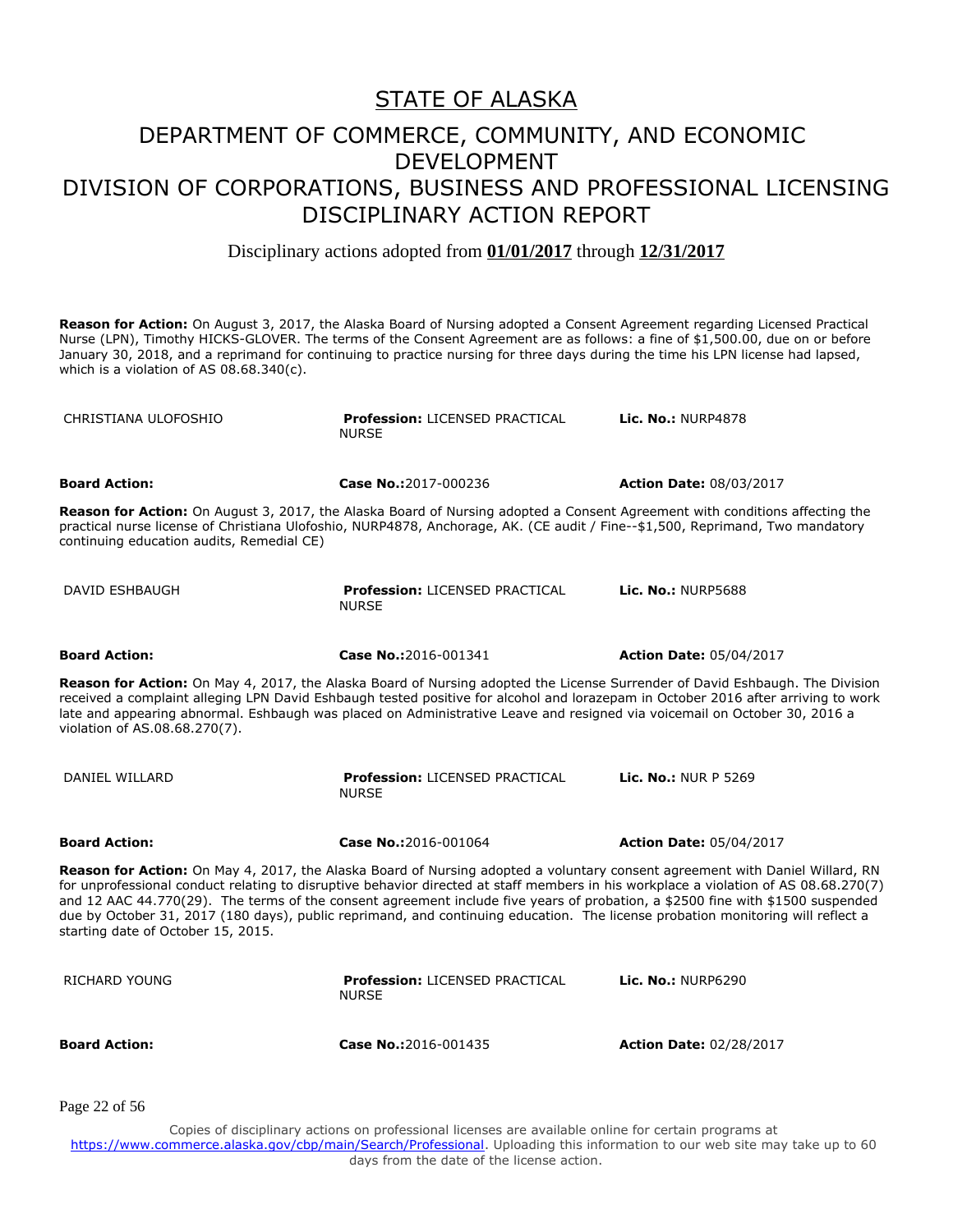Disciplinary actions adopted from **01/01/2017** through **12/31/2017**

**Reason for Action:** On August 3, 2017, the Alaska Board of Nursing adopted a Consent Agreement regarding Licensed Practical Nurse (LPN), Timothy HICKS-GLOVER. The terms of the Consent Agreement are as follows: a fine of \$1,500.00, due on or before January 30, 2018, and a reprimand for continuing to practice nursing for three days during the time his LPN license had lapsed, which is a violation of AS 08.68.340(c).

| CHRISTIANA ULOFOSHIO                                                                                                                                                                                                                                                                                                                                                                                                                                                                                                                                                            | Profession: LICENSED PRACTICAL<br><b>NURSE</b>                                                                                                                                                                                                                                                                                                                                                 | <b>Lic. No.: NURP4878</b>      |
|---------------------------------------------------------------------------------------------------------------------------------------------------------------------------------------------------------------------------------------------------------------------------------------------------------------------------------------------------------------------------------------------------------------------------------------------------------------------------------------------------------------------------------------------------------------------------------|------------------------------------------------------------------------------------------------------------------------------------------------------------------------------------------------------------------------------------------------------------------------------------------------------------------------------------------------------------------------------------------------|--------------------------------|
| <b>Board Action:</b>                                                                                                                                                                                                                                                                                                                                                                                                                                                                                                                                                            | Case No.:2017-000236                                                                                                                                                                                                                                                                                                                                                                           | <b>Action Date: 08/03/2017</b> |
| continuing education audits, Remedial CE)                                                                                                                                                                                                                                                                                                                                                                                                                                                                                                                                       | Reason for Action: On August 3, 2017, the Alaska Board of Nursing adopted a Consent Agreement with conditions affecting the<br>practical nurse license of Christiana Ulofoshio, NURP4878, Anchorage, AK. (CE audit / Fine--\$1,500, Reprimand, Two mandatory                                                                                                                                   |                                |
| DAVID ESHBAUGH                                                                                                                                                                                                                                                                                                                                                                                                                                                                                                                                                                  | <b>Profession: LICENSED PRACTICAL</b><br><b>NURSE</b>                                                                                                                                                                                                                                                                                                                                          | <b>Lic. No.: NURP5688</b>      |
| <b>Board Action:</b>                                                                                                                                                                                                                                                                                                                                                                                                                                                                                                                                                            | Case No.:2016-001341                                                                                                                                                                                                                                                                                                                                                                           | <b>Action Date: 05/04/2017</b> |
| violation of AS.08.68.270(7).                                                                                                                                                                                                                                                                                                                                                                                                                                                                                                                                                   | Reason for Action: On May 4, 2017, the Alaska Board of Nursing adopted the License Surrender of David Eshbaugh. The Division<br>received a complaint alleging LPN David Eshbaugh tested positive for alcohol and lorazepam in October 2016 after arriving to work<br>late and appearing abnormal. Eshbaugh was placed on Administrative Leave and resigned via voicemail on October 30, 2016 a |                                |
| <b>DANIEL WILLARD</b>                                                                                                                                                                                                                                                                                                                                                                                                                                                                                                                                                           | <b>Profession: LICENSED PRACTICAL</b><br><b>NURSE</b>                                                                                                                                                                                                                                                                                                                                          | Lic. No.: NUR P 5269           |
| <b>Board Action:</b>                                                                                                                                                                                                                                                                                                                                                                                                                                                                                                                                                            | Case No.:2016-001064                                                                                                                                                                                                                                                                                                                                                                           | <b>Action Date: 05/04/2017</b> |
| Reason for Action: On May 4, 2017, the Alaska Board of Nursing adopted a voluntary consent agreement with Daniel Willard, RN<br>for unprofessional conduct relating to disruptive behavior directed at staff members in his workplace a violation of AS 08.68.270(7)<br>and 12 AAC 44.770(29). The terms of the consent agreement include five years of probation, a \$2500 fine with \$1500 suspended<br>due by October 31, 2017 (180 days), public reprimand, and continuing education. The license probation monitoring will reflect a<br>starting date of October 15, 2015. |                                                                                                                                                                                                                                                                                                                                                                                                |                                |
| <b>RICHARD YOUNG</b>                                                                                                                                                                                                                                                                                                                                                                                                                                                                                                                                                            | <b>Profession: LICENSED PRACTICAL</b><br><b>NURSE</b>                                                                                                                                                                                                                                                                                                                                          | <b>Lic. No.: NURP6290</b>      |
| <b>Board Action:</b>                                                                                                                                                                                                                                                                                                                                                                                                                                                                                                                                                            | Case No.:2016-001435                                                                                                                                                                                                                                                                                                                                                                           | <b>Action Date: 02/28/2017</b> |

Page 22 of 56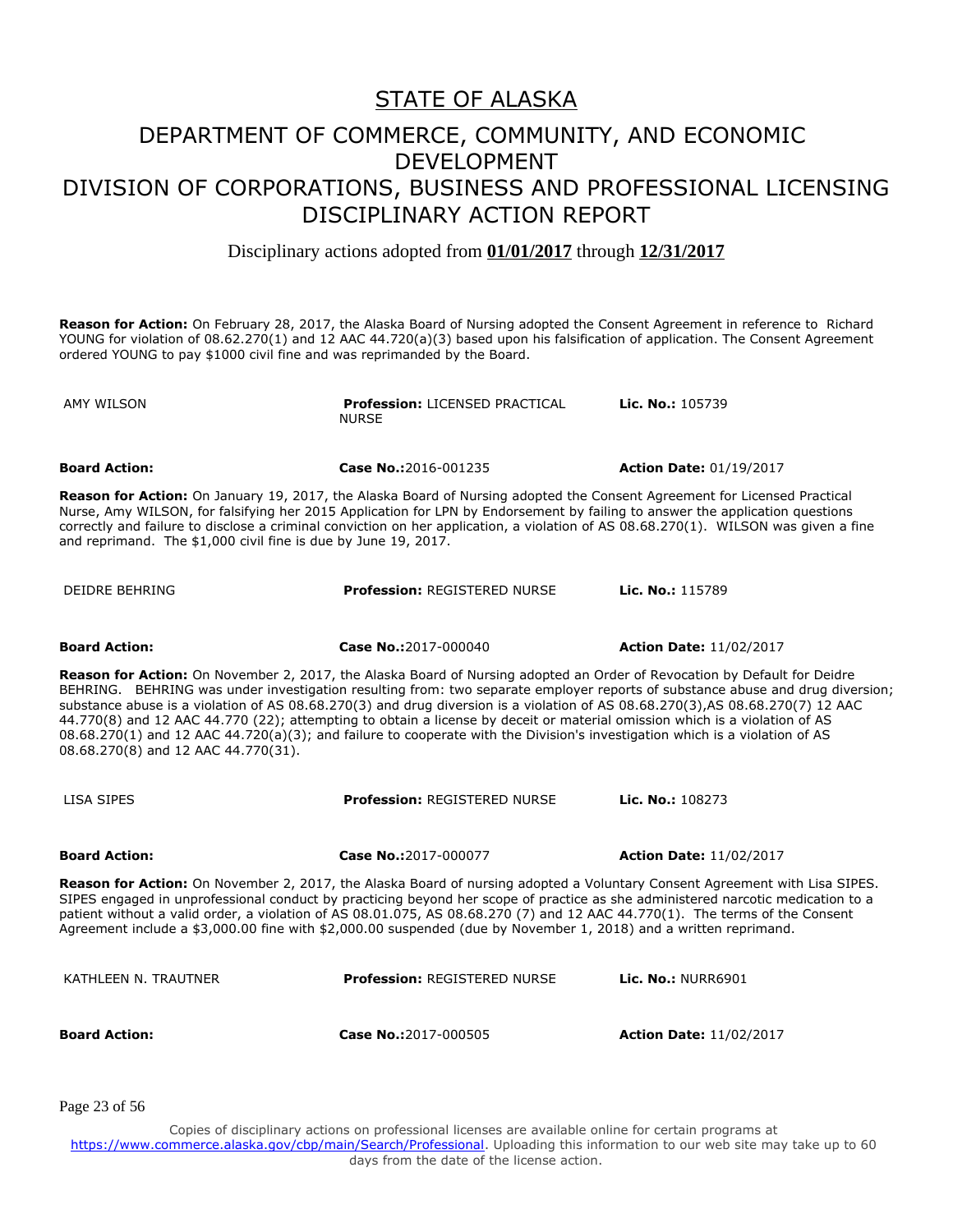Disciplinary actions adopted from **01/01/2017** through **12/31/2017**

**Reason for Action:** On February 28, 2017, the Alaska Board of Nursing adopted the Consent Agreement in reference to Richard YOUNG for violation of 08.62.270(1) and 12 AAC 44.720(a)(3) based upon his falsification of application. The Consent Agreement ordered YOUNG to pay \$1000 civil fine and was reprimanded by the Board.

| AMY WILSON                                                     | Profession: LICENSED PRACTICAL<br><b>NURSE</b>                                                                                                                                                                                                                                                                                                                                                                                                                                                                         | Lic. No.: 105739                                                                                                              |
|----------------------------------------------------------------|------------------------------------------------------------------------------------------------------------------------------------------------------------------------------------------------------------------------------------------------------------------------------------------------------------------------------------------------------------------------------------------------------------------------------------------------------------------------------------------------------------------------|-------------------------------------------------------------------------------------------------------------------------------|
| <b>Board Action:</b>                                           | Case No.:2016-001235                                                                                                                                                                                                                                                                                                                                                                                                                                                                                                   | <b>Action Date: 01/19/2017</b>                                                                                                |
| and reprimand. The \$1,000 civil fine is due by June 19, 2017. | Reason for Action: On January 19, 2017, the Alaska Board of Nursing adopted the Consent Agreement for Licensed Practical<br>Nurse, Amy WILSON, for falsifying her 2015 Application for LPN by Endorsement by failing to answer the application questions<br>correctly and failure to disclose a criminal conviction on her application, a violation of AS 08.68.270(1). WILSON was given a fine                                                                                                                        |                                                                                                                               |
| DEIDRE BEHRING                                                 | <b>Profession: REGISTERED NURSE</b>                                                                                                                                                                                                                                                                                                                                                                                                                                                                                    | Lic. No.: 115789                                                                                                              |
| <b>Board Action:</b>                                           | Case No.:2017-000040                                                                                                                                                                                                                                                                                                                                                                                                                                                                                                   | <b>Action Date: 11/02/2017</b>                                                                                                |
| 08.68.270(8) and 12 AAC 44.770(31).                            | Reason for Action: On November 2, 2017, the Alaska Board of Nursing adopted an Order of Revocation by Default for Deidre<br>substance abuse is a violation of AS 08.68.270(3) and drug diversion is a violation of AS 08.68.270(3),AS 08.68.270(7) 12 AAC<br>44.770(8) and 12 AAC 44.770 (22); attempting to obtain a license by deceit or material omission which is a violation of AS<br>08.68.270(1) and 12 AAC 44.720(a)(3); and failure to cooperate with the Division's investigation which is a violation of AS | BEHRING. BEHRING was under investigation resulting from: two separate employer reports of substance abuse and drug diversion; |
| LISA SIPES                                                     | <b>Profession: REGISTERED NURSE</b>                                                                                                                                                                                                                                                                                                                                                                                                                                                                                    | Lic. No.: 108273                                                                                                              |
| <b>Board Action:</b>                                           | Case No.:2017-000077                                                                                                                                                                                                                                                                                                                                                                                                                                                                                                   | <b>Action Date: 11/02/2017</b>                                                                                                |
|                                                                | Reason for Action: On November 2, 2017, the Alaska Board of nursing adopted a Voluntary Consent Agreement with Lisa SIPES.<br>SIPES engaged in unprofessional conduct by practicing beyond her scope of practice as she administered narcotic medication to a<br>patient without a valid order, a violation of AS 08.01.075, AS 08.68.270 (7) and 12 AAC 44.770(1). The terms of the Consent<br>Agreement include a \$3,000.00 fine with \$2,000.00 suspended (due by November 1, 2018) and a written reprimand.       |                                                                                                                               |
| KATHLEEN N. TRAUTNER                                           | Profession: REGISTERED NURSE                                                                                                                                                                                                                                                                                                                                                                                                                                                                                           | <b>Lic. No.: NURR6901</b>                                                                                                     |
| <b>Board Action:</b>                                           | Case No.:2017-000505                                                                                                                                                                                                                                                                                                                                                                                                                                                                                                   | <b>Action Date: 11/02/2017</b>                                                                                                |

Page 23 of 56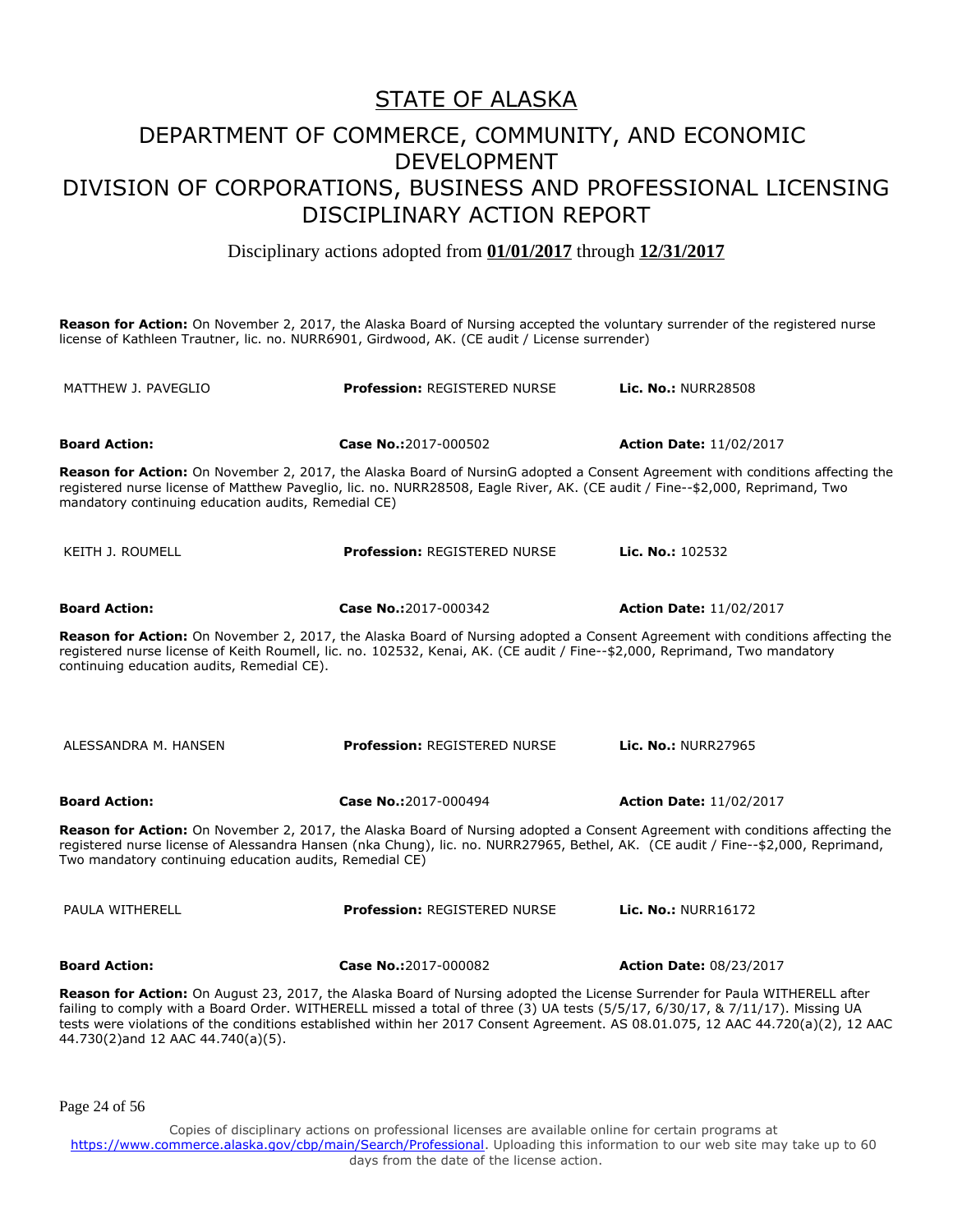Disciplinary actions adopted from **01/01/2017** through **12/31/2017**

**Reason for Action:** On November 2, 2017, the Alaska Board of Nursing accepted the voluntary surrender of the registered nurse license of Kathleen Trautner, lic. no. NURR6901, Girdwood, AK. (CE audit / License surrender)

MATTHEW J. PAVEGLIO **Profession:** REGISTERED NURSE **Lic. No.:** NURR28508 **Board Action: Case No.:**2017-000502 **Action Date:** 11/02/2017 **Reason for Action:** On November 2, 2017, the Alaska Board of NursinG adopted a Consent Agreement with conditions affecting the registered nurse license of Matthew Paveglio, lic. no. NURR28508, Eagle River, AK. (CE audit / Fine--\$2,000, Reprimand, Two mandatory continuing education audits, Remedial CE) KEITH J. ROUMELL **Profession:** REGISTERED NURSE **Lic. No.:** 102532 **Board Action: Case No.:**2017-000342 **Action Date:** 11/02/2017 **Reason for Action:** On November 2, 2017, the Alaska Board of Nursing adopted a Consent Agreement with conditions affecting the registered nurse license of Keith Roumell, lic. no. 102532, Kenai, AK. (CE audit / Fine--\$2,000, Reprimand, Two mandatory continuing education audits, Remedial CE). ALESSANDRA M. HANSEN **Profession:** REGISTERED NURSE **Lic. No.:** NURR27965 **Board Action: Case No.:**2017-000494 **Action Date:** 11/02/2017 **Reason for Action:** On November 2, 2017, the Alaska Board of Nursing adopted a Consent Agreement with conditions affecting the registered nurse license of Alessandra Hansen (nka Chung), lic. no. NURR27965, Bethel, AK. (CE audit / Fine--\$2,000, Reprimand, Two mandatory continuing education audits, Remedial CE) PAULA WITHERELL **Profession:** REGISTERED NURSE **Lic. No.:** NURR16172 **Board Action: Case No.:**2017-000082 **Action Date:** 08/23/2017 **Reason for Action:** On August 23, 2017, the Alaska Board of Nursing adopted the License Surrender for Paula WITHERELL after failing to comply with a Board Order. WITHERELL missed a total of three (3) UA tests (5/5/17, 6/30/17, & 7/11/17). Missing UA tests were violations of the conditions established within her 2017 Consent Agreement. AS 08.01.075, 12 AAC 44.720(a)(2), 12 AAC 44.730(2)and 12 AAC 44.740(a)(5).

Page 24 of 56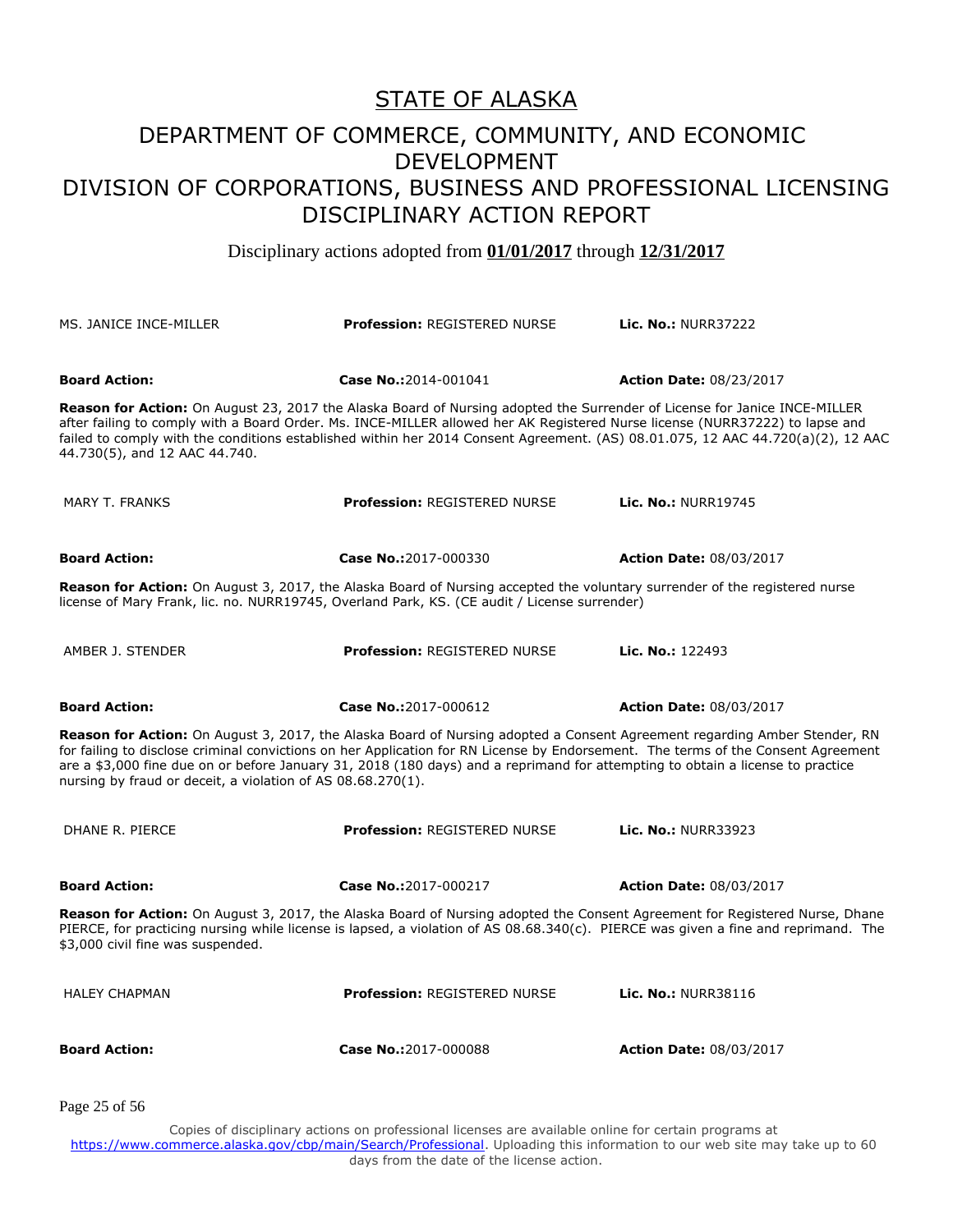Disciplinary actions adopted from **01/01/2017** through **12/31/2017**

| MS. JANICE INCE-MILLER                                                                                                                                                                                                                                                                                                                                                                                                                                          | Profession: REGISTERED NURSE                                                                                                                                                                                                                                                                                                                                                                        | <b>Lic. No.: NURR37222</b>     |  |
|-----------------------------------------------------------------------------------------------------------------------------------------------------------------------------------------------------------------------------------------------------------------------------------------------------------------------------------------------------------------------------------------------------------------------------------------------------------------|-----------------------------------------------------------------------------------------------------------------------------------------------------------------------------------------------------------------------------------------------------------------------------------------------------------------------------------------------------------------------------------------------------|--------------------------------|--|
| <b>Board Action:</b>                                                                                                                                                                                                                                                                                                                                                                                                                                            | Case No.:2014-001041                                                                                                                                                                                                                                                                                                                                                                                | <b>Action Date: 08/23/2017</b> |  |
| 44.730(5), and 12 AAC 44.740.                                                                                                                                                                                                                                                                                                                                                                                                                                   | <b>Reason for Action:</b> On August 23, 2017 the Alaska Board of Nursing adopted the Surrender of License for Janice INCE-MILLER<br>after failing to comply with a Board Order. Ms. INCE-MILLER allowed her AK Registered Nurse license (NURR37222) to lapse and<br>failed to comply with the conditions established within her 2014 Consent Agreement. (AS) 08.01.075, 12 AAC 44.720(a)(2), 12 AAC |                                |  |
| MARY T. FRANKS                                                                                                                                                                                                                                                                                                                                                                                                                                                  | <b>Profession: REGISTERED NURSE</b>                                                                                                                                                                                                                                                                                                                                                                 | Lic. No.: NURR19745            |  |
| <b>Board Action:</b>                                                                                                                                                                                                                                                                                                                                                                                                                                            | Case No.:2017-000330                                                                                                                                                                                                                                                                                                                                                                                | <b>Action Date: 08/03/2017</b> |  |
|                                                                                                                                                                                                                                                                                                                                                                                                                                                                 | Reason for Action: On August 3, 2017, the Alaska Board of Nursing accepted the voluntary surrender of the registered nurse<br>license of Mary Frank, lic. no. NURR19745, Overland Park, KS. (CE audit / License surrender)                                                                                                                                                                          |                                |  |
| AMBER J. STENDER                                                                                                                                                                                                                                                                                                                                                                                                                                                | <b>Profession: REGISTERED NURSE</b>                                                                                                                                                                                                                                                                                                                                                                 | Lic. No.: 122493               |  |
| <b>Board Action:</b>                                                                                                                                                                                                                                                                                                                                                                                                                                            | Case No.:2017-000612                                                                                                                                                                                                                                                                                                                                                                                | <b>Action Date: 08/03/2017</b> |  |
| Reason for Action: On August 3, 2017, the Alaska Board of Nursing adopted a Consent Agreement regarding Amber Stender, RN<br>for failing to disclose criminal convictions on her Application for RN License by Endorsement. The terms of the Consent Agreement<br>are a \$3,000 fine due on or before January 31, 2018 (180 days) and a reprimand for attempting to obtain a license to practice<br>nursing by fraud or deceit, a violation of AS 08.68.270(1). |                                                                                                                                                                                                                                                                                                                                                                                                     |                                |  |
| DHANE R. PIERCE                                                                                                                                                                                                                                                                                                                                                                                                                                                 | <b>Profession: REGISTERED NURSE</b>                                                                                                                                                                                                                                                                                                                                                                 | <b>Lic. No.: NURR33923</b>     |  |
| <b>Board Action:</b>                                                                                                                                                                                                                                                                                                                                                                                                                                            | Case No.:2017-000217                                                                                                                                                                                                                                                                                                                                                                                | <b>Action Date: 08/03/2017</b> |  |
| \$3,000 civil fine was suspended.                                                                                                                                                                                                                                                                                                                                                                                                                               | Reason for Action: On August 3, 2017, the Alaska Board of Nursing adopted the Consent Agreement for Registered Nurse, Dhane<br>PIERCE, for practicing nursing while license is lapsed, a violation of AS 08.68.340(c). PIERCE was given a fine and reprimand. The                                                                                                                                   |                                |  |
| <b>HALEY CHAPMAN</b>                                                                                                                                                                                                                                                                                                                                                                                                                                            | <b>Profession: REGISTERED NURSE</b>                                                                                                                                                                                                                                                                                                                                                                 | Lic. No.: NURR38116            |  |
| <b>Board Action:</b>                                                                                                                                                                                                                                                                                                                                                                                                                                            | Case No.:2017-000088                                                                                                                                                                                                                                                                                                                                                                                | <b>Action Date: 08/03/2017</b> |  |
| Page 25 of 56                                                                                                                                                                                                                                                                                                                                                                                                                                                   |                                                                                                                                                                                                                                                                                                                                                                                                     |                                |  |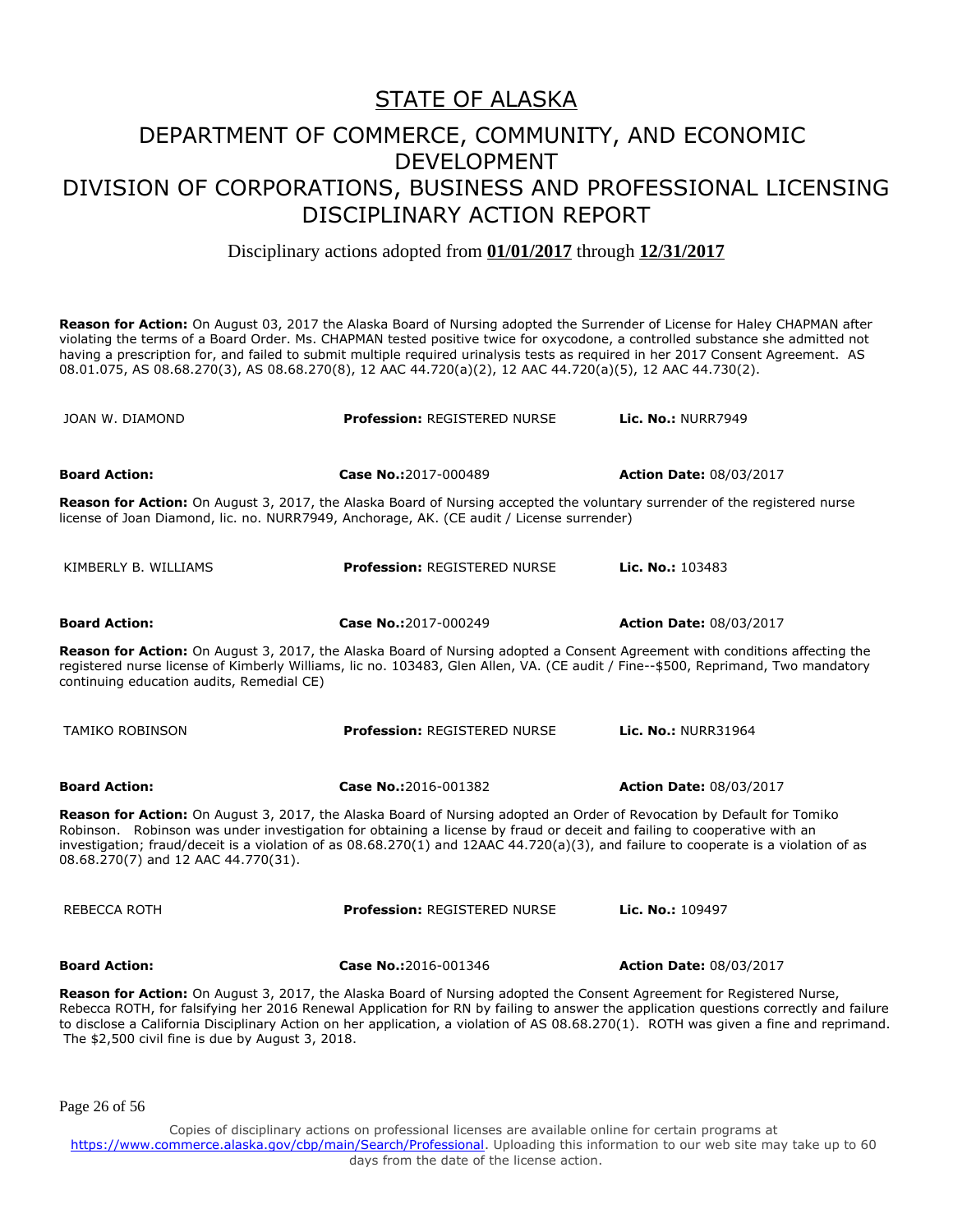Disciplinary actions adopted from **01/01/2017** through **12/31/2017**

**Reason for Action:** On August 03, 2017 the Alaska Board of Nursing adopted the Surrender of License for Haley CHAPMAN after violating the terms of a Board Order. Ms. CHAPMAN tested positive twice for oxycodone, a controlled substance she admitted not having a prescription for, and failed to submit multiple required urinalysis tests as required in her 2017 Consent Agreement. AS 08.01.075, AS 08.68.270(3), AS 08.68.270(8), 12 AAC 44.720(a)(2), 12 AAC 44.720(a)(5), 12 AAC 44.730(2).

| JOAN W. DIAMOND                                  | <b>Profession: REGISTERED NURSE</b>                                                                                                                                                                                                                                                                                                                                                            | <b>Lic. No.: NURR7949</b>                                                                                                                                                                                                                                                      |
|--------------------------------------------------|------------------------------------------------------------------------------------------------------------------------------------------------------------------------------------------------------------------------------------------------------------------------------------------------------------------------------------------------------------------------------------------------|--------------------------------------------------------------------------------------------------------------------------------------------------------------------------------------------------------------------------------------------------------------------------------|
| <b>Board Action:</b>                             | Case No.:2017-000489                                                                                                                                                                                                                                                                                                                                                                           | <b>Action Date: 08/03/2017</b>                                                                                                                                                                                                                                                 |
|                                                  | <b>Reason for Action:</b> On August 3, 2017, the Alaska Board of Nursing accepted the voluntary surrender of the registered nurse<br>license of Joan Diamond, lic. no. NURR7949, Anchorage, AK. (CE audit / License surrender)                                                                                                                                                                 |                                                                                                                                                                                                                                                                                |
| KIMBERLY B. WILLIAMS                             | Profession: REGISTERED NURSE                                                                                                                                                                                                                                                                                                                                                                   | Lic. No.: 103483                                                                                                                                                                                                                                                               |
| <b>Board Action:</b>                             | Case No.:2017-000249                                                                                                                                                                                                                                                                                                                                                                           | <b>Action Date: 08/03/2017</b>                                                                                                                                                                                                                                                 |
| continuing education audits, Remedial CE)        | <b>Reason for Action:</b> On August 3, 2017, the Alaska Board of Nursing adopted a Consent Agreement with conditions affecting the<br>registered nurse license of Kimberly Williams, lic no. 103483, Glen Allen, VA. (CE audit / Fine--\$500, Reprimand, Two mandatory                                                                                                                         |                                                                                                                                                                                                                                                                                |
| <b>TAMIKO ROBINSON</b>                           | <b>Profession: REGISTERED NURSE</b>                                                                                                                                                                                                                                                                                                                                                            | Lic. No.: NURR31964                                                                                                                                                                                                                                                            |
| <b>Board Action:</b>                             | Case No.:2016-001382                                                                                                                                                                                                                                                                                                                                                                           | <b>Action Date: 08/03/2017</b>                                                                                                                                                                                                                                                 |
| 08.68.270(7) and 12 AAC 44.770(31).              | Reason for Action: On August 3, 2017, the Alaska Board of Nursing adopted an Order of Revocation by Default for Tomiko<br>Robinson. Robinson was under investigation for obtaining a license by fraud or deceit and failing to cooperative with an<br>investigation; fraud/deceit is a violation of as $08.68.270(1)$ and $12AAC 44.720(a)(3)$ , and failure to cooperate is a violation of as |                                                                                                                                                                                                                                                                                |
| REBECCA ROTH                                     | <b>Profession: REGISTERED NURSE</b>                                                                                                                                                                                                                                                                                                                                                            | Lic. No.: 109497                                                                                                                                                                                                                                                               |
| <b>Board Action:</b>                             | Case No.:2016-001346                                                                                                                                                                                                                                                                                                                                                                           | <b>Action Date: 08/03/2017</b>                                                                                                                                                                                                                                                 |
| The \$2,500 civil fine is due by August 3, 2018. | Reason for Action: On August 3, 2017, the Alaska Board of Nursing adopted the Consent Agreement for Registered Nurse,                                                                                                                                                                                                                                                                          | Rebecca ROTH, for falsifying her 2016 Renewal Application for RN by failing to answer the application questions correctly and failure<br>to disclose a California Disciplinary Action on her application, a violation of AS 08.68.270(1). ROTH was given a fine and reprimand. |

Page 26 of 56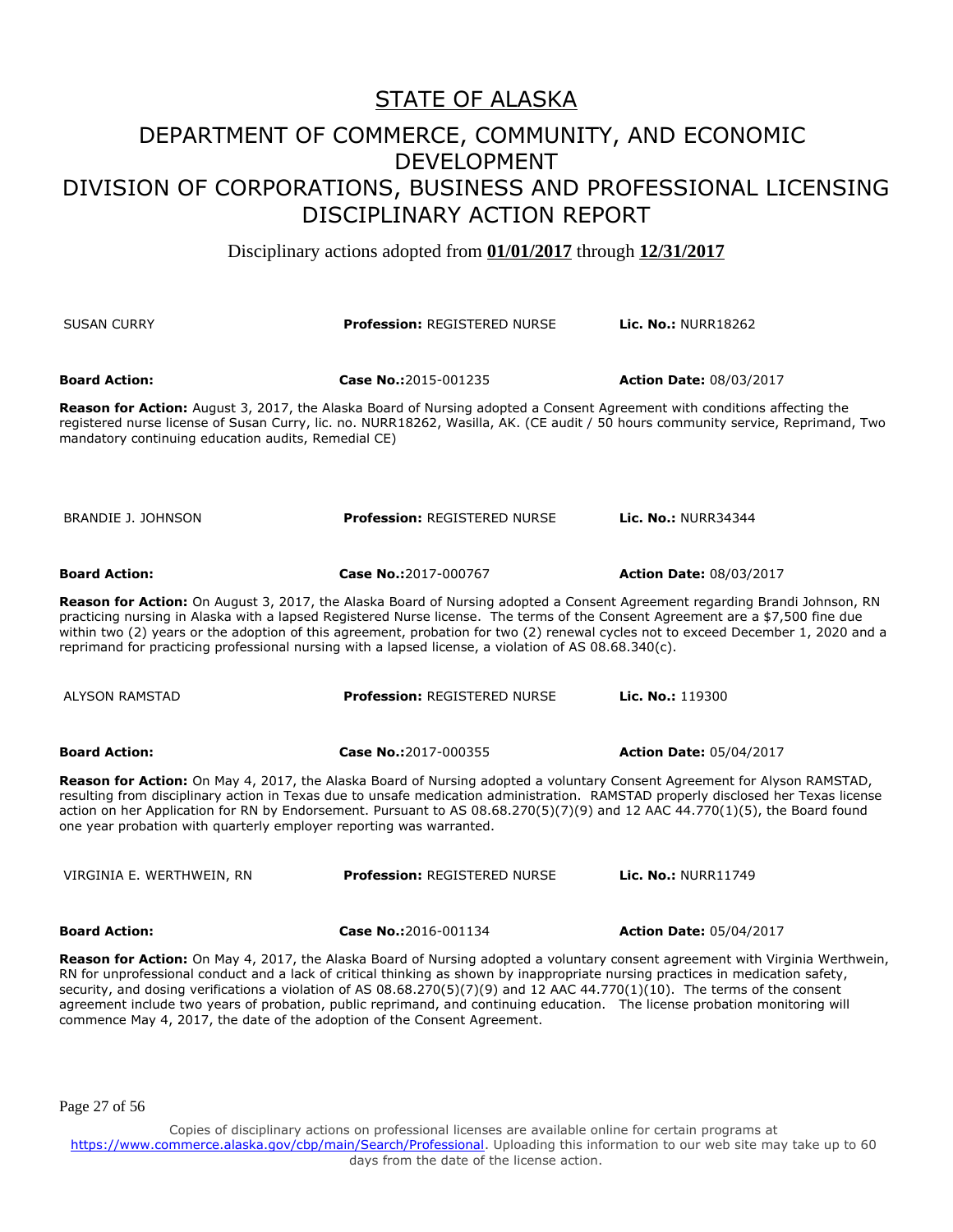Disciplinary actions adopted from **01/01/2017** through **12/31/2017**

| <b>SUSAN CURRY</b>                                                                                                                                                                                                                                                                                                                                                                                                                                                                                                                                                                                        | <b>Profession: REGISTERED NURSE</b> | <b>Lic. No.: NURR18262</b>     |  |
|-----------------------------------------------------------------------------------------------------------------------------------------------------------------------------------------------------------------------------------------------------------------------------------------------------------------------------------------------------------------------------------------------------------------------------------------------------------------------------------------------------------------------------------------------------------------------------------------------------------|-------------------------------------|--------------------------------|--|
| <b>Board Action:</b>                                                                                                                                                                                                                                                                                                                                                                                                                                                                                                                                                                                      | Case No.:2015-001235                | <b>Action Date: 08/03/2017</b> |  |
| Reason for Action: August 3, 2017, the Alaska Board of Nursing adopted a Consent Agreement with conditions affecting the<br>registered nurse license of Susan Curry, lic. no. NURR18262, Wasilla, AK. (CE audit / 50 hours community service, Reprimand, Two<br>mandatory continuing education audits, Remedial CE)                                                                                                                                                                                                                                                                                       |                                     |                                |  |
| BRANDIE J. JOHNSON                                                                                                                                                                                                                                                                                                                                                                                                                                                                                                                                                                                        | Profession: REGISTERED NURSE        | <b>Lic. No.: NURR34344</b>     |  |
| <b>Board Action:</b>                                                                                                                                                                                                                                                                                                                                                                                                                                                                                                                                                                                      | Case No.:2017-000767                | <b>Action Date: 08/03/2017</b> |  |
| Reason for Action: On August 3, 2017, the Alaska Board of Nursing adopted a Consent Agreement regarding Brandi Johnson, RN<br>practicing nursing in Alaska with a lapsed Registered Nurse license. The terms of the Consent Agreement are a \$7,500 fine due<br>within two (2) years or the adoption of this agreement, probation for two (2) renewal cycles not to exceed December 1, 2020 and a<br>reprimand for practicing professional nursing with a lapsed license, a violation of AS 08.68.340(c).                                                                                                 |                                     |                                |  |
| <b>ALYSON RAMSTAD</b>                                                                                                                                                                                                                                                                                                                                                                                                                                                                                                                                                                                     | <b>Profession: REGISTERED NURSE</b> | Lic. No.: 119300               |  |
| <b>Board Action:</b>                                                                                                                                                                                                                                                                                                                                                                                                                                                                                                                                                                                      | Case No.:2017-000355                | <b>Action Date: 05/04/2017</b> |  |
| Reason for Action: On May 4, 2017, the Alaska Board of Nursing adopted a voluntary Consent Agreement for Alyson RAMSTAD,<br>resulting from disciplinary action in Texas due to unsafe medication administration. RAMSTAD properly disclosed her Texas license<br>action on her Application for RN by Endorsement. Pursuant to AS 08.68.270(5)(7)(9) and 12 AAC 44.770(1)(5), the Board found<br>one year probation with quarterly employer reporting was warranted.                                                                                                                                       |                                     |                                |  |
| VIRGINIA E. WERTHWEIN, RN                                                                                                                                                                                                                                                                                                                                                                                                                                                                                                                                                                                 | <b>Profession: REGISTERED NURSE</b> | <b>Lic. No.: NURR11749</b>     |  |
| <b>Board Action:</b>                                                                                                                                                                                                                                                                                                                                                                                                                                                                                                                                                                                      | Case No.:2016-001134                | <b>Action Date: 05/04/2017</b> |  |
| Reason for Action: On May 4, 2017, the Alaska Board of Nursing adopted a voluntary consent agreement with Virginia Werthwein,<br>RN for unprofessional conduct and a lack of critical thinking as shown by inappropriate nursing practices in medication safety,<br>security, and dosing verifications a violation of AS 08.68.270(5)(7)(9) and 12 AAC 44.770(1)(10). The terms of the consent<br>agreement include two years of probation, public reprimand, and continuing education. The license probation monitoring will<br>commence May 4, 2017, the date of the adoption of the Consent Agreement. |                                     |                                |  |

Page 27 of 56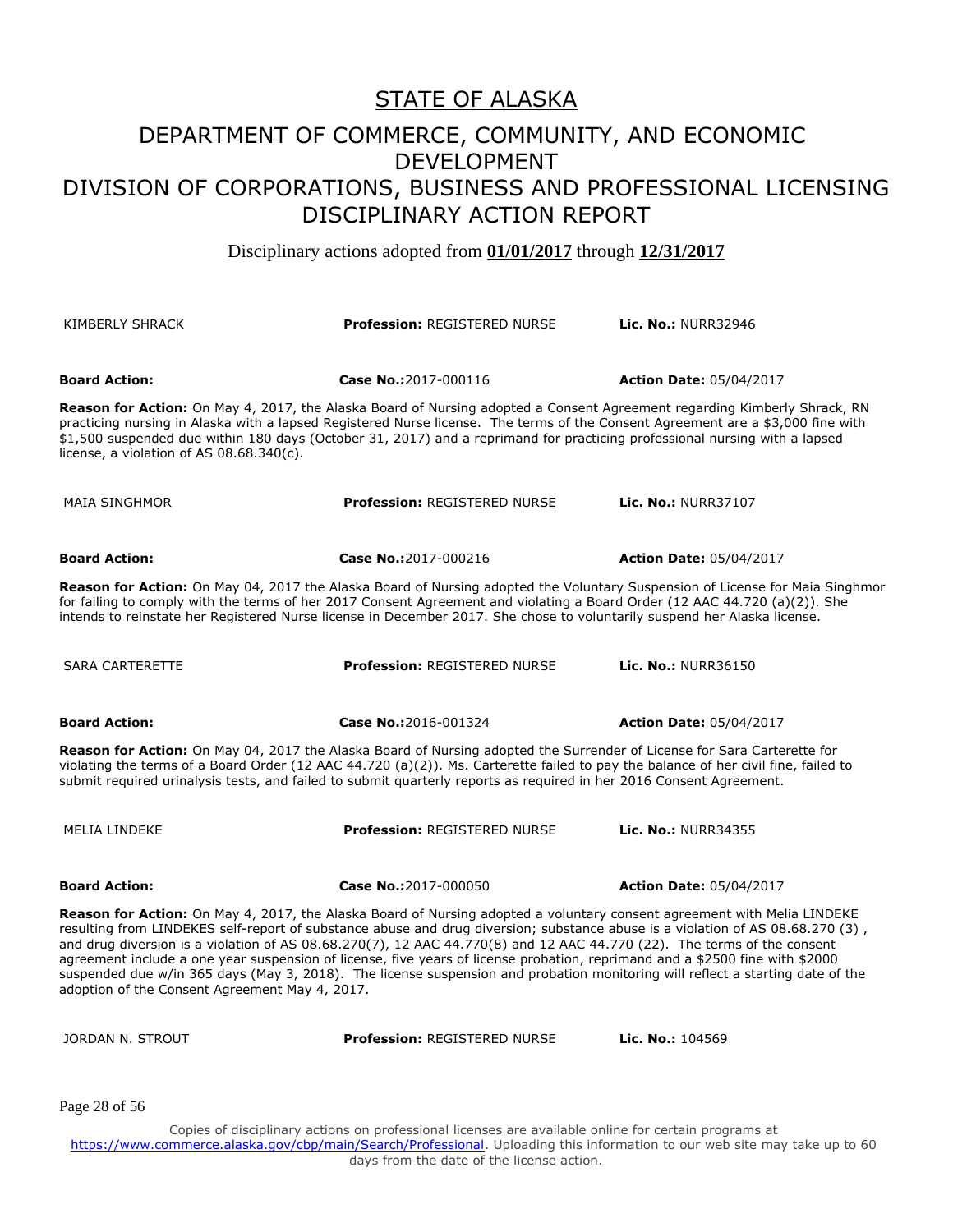Disciplinary actions adopted from **01/01/2017** through **12/31/2017**

| KIMBERLY SHRACK                                                                                                                                                                  | <b>Profession: REGISTERED NURSE</b>                                                                                                                                                                                                                                                                                                                                                                                                                                                                                  | <b>Lic. No.: NURR32946</b>     |
|----------------------------------------------------------------------------------------------------------------------------------------------------------------------------------|----------------------------------------------------------------------------------------------------------------------------------------------------------------------------------------------------------------------------------------------------------------------------------------------------------------------------------------------------------------------------------------------------------------------------------------------------------------------------------------------------------------------|--------------------------------|
| <b>Board Action:</b>                                                                                                                                                             | Case No.:2017-000116                                                                                                                                                                                                                                                                                                                                                                                                                                                                                                 | <b>Action Date: 05/04/2017</b> |
| license, a violation of AS 08.68.340(c).                                                                                                                                         | Reason for Action: On May 4, 2017, the Alaska Board of Nursing adopted a Consent Agreement regarding Kimberly Shrack, RN<br>practicing nursing in Alaska with a lapsed Registered Nurse license. The terms of the Consent Agreement are a \$3,000 fine with<br>\$1,500 suspended due within 180 days (October 31, 2017) and a reprimand for practicing professional nursing with a lapsed                                                                                                                            |                                |
| <b>MAIA SINGHMOR</b>                                                                                                                                                             | <b>Profession: REGISTERED NURSE</b>                                                                                                                                                                                                                                                                                                                                                                                                                                                                                  | <b>Lic. No.: NURR37107</b>     |
| <b>Board Action:</b>                                                                                                                                                             | Case No.:2017-000216                                                                                                                                                                                                                                                                                                                                                                                                                                                                                                 | <b>Action Date: 05/04/2017</b> |
|                                                                                                                                                                                  | Reason for Action: On May 04, 2017 the Alaska Board of Nursing adopted the Voluntary Suspension of License for Maia Singhmor<br>for failing to comply with the terms of her 2017 Consent Agreement and violating a Board Order (12 AAC 44.720 (a)(2)). She<br>intends to reinstate her Registered Nurse license in December 2017. She chose to voluntarily suspend her Alaska license.                                                                                                                               |                                |
| SARA CARTERETTE                                                                                                                                                                  | <b>Profession: REGISTERED NURSE</b>                                                                                                                                                                                                                                                                                                                                                                                                                                                                                  | <b>Lic. No.: NURR36150</b>     |
| <b>Board Action:</b>                                                                                                                                                             | Case No.:2016-001324                                                                                                                                                                                                                                                                                                                                                                                                                                                                                                 | <b>Action Date: 05/04/2017</b> |
|                                                                                                                                                                                  | Reason for Action: On May 04, 2017 the Alaska Board of Nursing adopted the Surrender of License for Sara Carterette for<br>violating the terms of a Board Order (12 AAC 44.720 (a)(2)). Ms. Carterette failed to pay the balance of her civil fine, failed to<br>submit required urinalysis tests, and failed to submit quarterly reports as required in her 2016 Consent Agreement.                                                                                                                                 |                                |
| MELIA LINDEKE                                                                                                                                                                    | <b>Profession: REGISTERED NURSE</b>                                                                                                                                                                                                                                                                                                                                                                                                                                                                                  | <b>Lic. No.: NURR34355</b>     |
| <b>Board Action:</b>                                                                                                                                                             | Case No.:2017-000050                                                                                                                                                                                                                                                                                                                                                                                                                                                                                                 | <b>Action Date: 05/04/2017</b> |
| suspended due w/in 365 days (May 3, 2018). The license suspension and probation monitoring will reflect a starting date of the<br>adoption of the Consent Agreement May 4, 2017. | Reason for Action: On May 4, 2017, the Alaska Board of Nursing adopted a voluntary consent agreement with Melia LINDEKE<br>resulting from LINDEKES self-report of substance abuse and drug diversion; substance abuse is a violation of AS 08.68.270 (3),<br>and drug diversion is a violation of AS 08.68.270(7), 12 AAC 44.770(8) and 12 AAC 44.770 (22). The terms of the consent<br>agreement include a one year suspension of license, five years of license probation, reprimand and a \$2500 fine with \$2000 |                                |
| JORDAN N. STROUT                                                                                                                                                                 | Profession: REGISTERED NURSE                                                                                                                                                                                                                                                                                                                                                                                                                                                                                         | Lic. No.: 104569               |
| Page 28 of 56                                                                                                                                                                    |                                                                                                                                                                                                                                                                                                                                                                                                                                                                                                                      |                                |
|                                                                                                                                                                                  | Copies of disciplinary actions on professional licenses are available online for certain programs at                                                                                                                                                                                                                                                                                                                                                                                                                 |                                |

https://www.commerce.alaska.gov/cbp/main/Search/Professional</u>. Uploading this information to our web site may take up to 60 days from the date of the license action.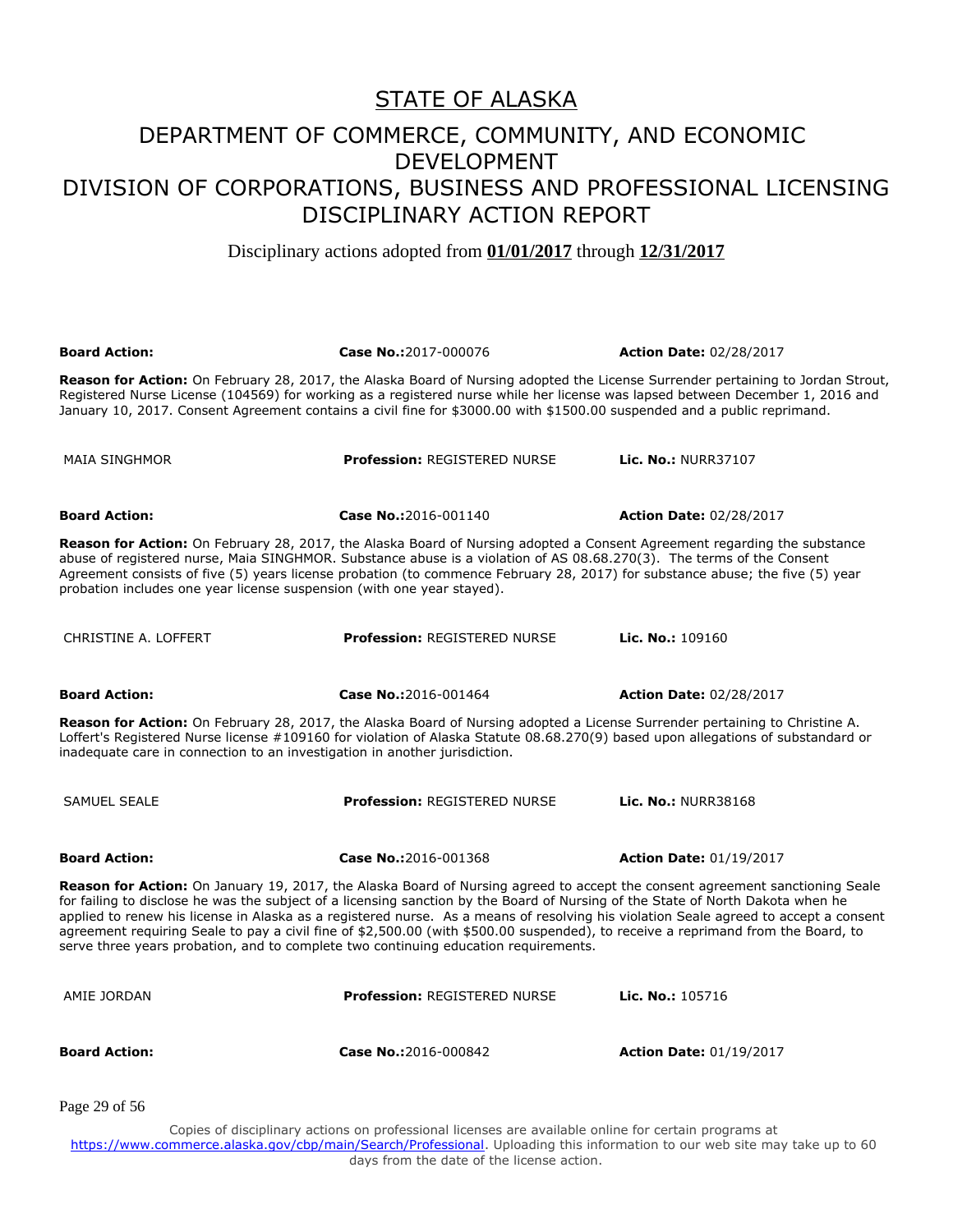Disciplinary actions adopted from **01/01/2017** through **12/31/2017**

| <b>Board Action:</b>                                                                                                                                                                                                                                                                                                                                                                                                                                                                                                                                                                                                               | Case No.:2017-000076                | <b>Action Date: 02/28/2017</b> |  |
|------------------------------------------------------------------------------------------------------------------------------------------------------------------------------------------------------------------------------------------------------------------------------------------------------------------------------------------------------------------------------------------------------------------------------------------------------------------------------------------------------------------------------------------------------------------------------------------------------------------------------------|-------------------------------------|--------------------------------|--|
| <b>Reason for Action:</b> On February 28, 2017, the Alaska Board of Nursing adopted the License Surrender pertaining to Jordan Strout,<br>Registered Nurse License (104569) for working as a registered nurse while her license was lapsed between December 1, 2016 and<br>January 10, 2017. Consent Agreement contains a civil fine for \$3000.00 with \$1500.00 suspended and a public reprimand.                                                                                                                                                                                                                                |                                     |                                |  |
| <b>MAIA SINGHMOR</b>                                                                                                                                                                                                                                                                                                                                                                                                                                                                                                                                                                                                               | <b>Profession: REGISTERED NURSE</b> | <b>Lic. No.: NURR37107</b>     |  |
| <b>Board Action:</b>                                                                                                                                                                                                                                                                                                                                                                                                                                                                                                                                                                                                               | Case No.:2016-001140                | <b>Action Date: 02/28/2017</b> |  |
| <b>Reason for Action:</b> On February 28, 2017, the Alaska Board of Nursing adopted a Consent Agreement regarding the substance<br>abuse of registered nurse, Maia SINGHMOR. Substance abuse is a violation of AS 08.68.270(3). The terms of the Consent<br>Agreement consists of five (5) years license probation (to commence February 28, 2017) for substance abuse; the five (5) year<br>probation includes one year license suspension (with one year stayed).                                                                                                                                                                |                                     |                                |  |
| CHRISTINE A. LOFFERT                                                                                                                                                                                                                                                                                                                                                                                                                                                                                                                                                                                                               | <b>Profession: REGISTERED NURSE</b> | Lic. No.: 109160               |  |
| <b>Board Action:</b>                                                                                                                                                                                                                                                                                                                                                                                                                                                                                                                                                                                                               | Case No.:2016-001464                | <b>Action Date: 02/28/2017</b> |  |
| Reason for Action: On February 28, 2017, the Alaska Board of Nursing adopted a License Surrender pertaining to Christine A.<br>Loffert's Registered Nurse license #109160 for violation of Alaska Statute 08.68.270(9) based upon allegations of substandard or<br>inadequate care in connection to an investigation in another jurisdiction.                                                                                                                                                                                                                                                                                      |                                     |                                |  |
| <b>SAMUEL SEALE</b>                                                                                                                                                                                                                                                                                                                                                                                                                                                                                                                                                                                                                | <b>Profession: REGISTERED NURSE</b> | <b>Lic. No.: NURR38168</b>     |  |
| <b>Board Action:</b>                                                                                                                                                                                                                                                                                                                                                                                                                                                                                                                                                                                                               | Case No.:2016-001368                | <b>Action Date: 01/19/2017</b> |  |
| Reason for Action: On January 19, 2017, the Alaska Board of Nursing agreed to accept the consent agreement sanctioning Seale<br>for failing to disclose he was the subject of a licensing sanction by the Board of Nursing of the State of North Dakota when he<br>applied to renew his license in Alaska as a registered nurse. As a means of resolving his violation Seale agreed to accept a consent<br>agreement requiring Seale to pay a civil fine of \$2,500.00 (with \$500.00 suspended), to receive a reprimand from the Board, to<br>serve three years probation, and to complete two continuing education requirements. |                                     |                                |  |
| AMIE JORDAN                                                                                                                                                                                                                                                                                                                                                                                                                                                                                                                                                                                                                        | <b>Profession: REGISTERED NURSE</b> | Lic. No.: 105716               |  |
| <b>Board Action:</b>                                                                                                                                                                                                                                                                                                                                                                                                                                                                                                                                                                                                               | Case No.:2016-000842                | <b>Action Date: 01/19/2017</b> |  |
| Page 29 of 56                                                                                                                                                                                                                                                                                                                                                                                                                                                                                                                                                                                                                      |                                     |                                |  |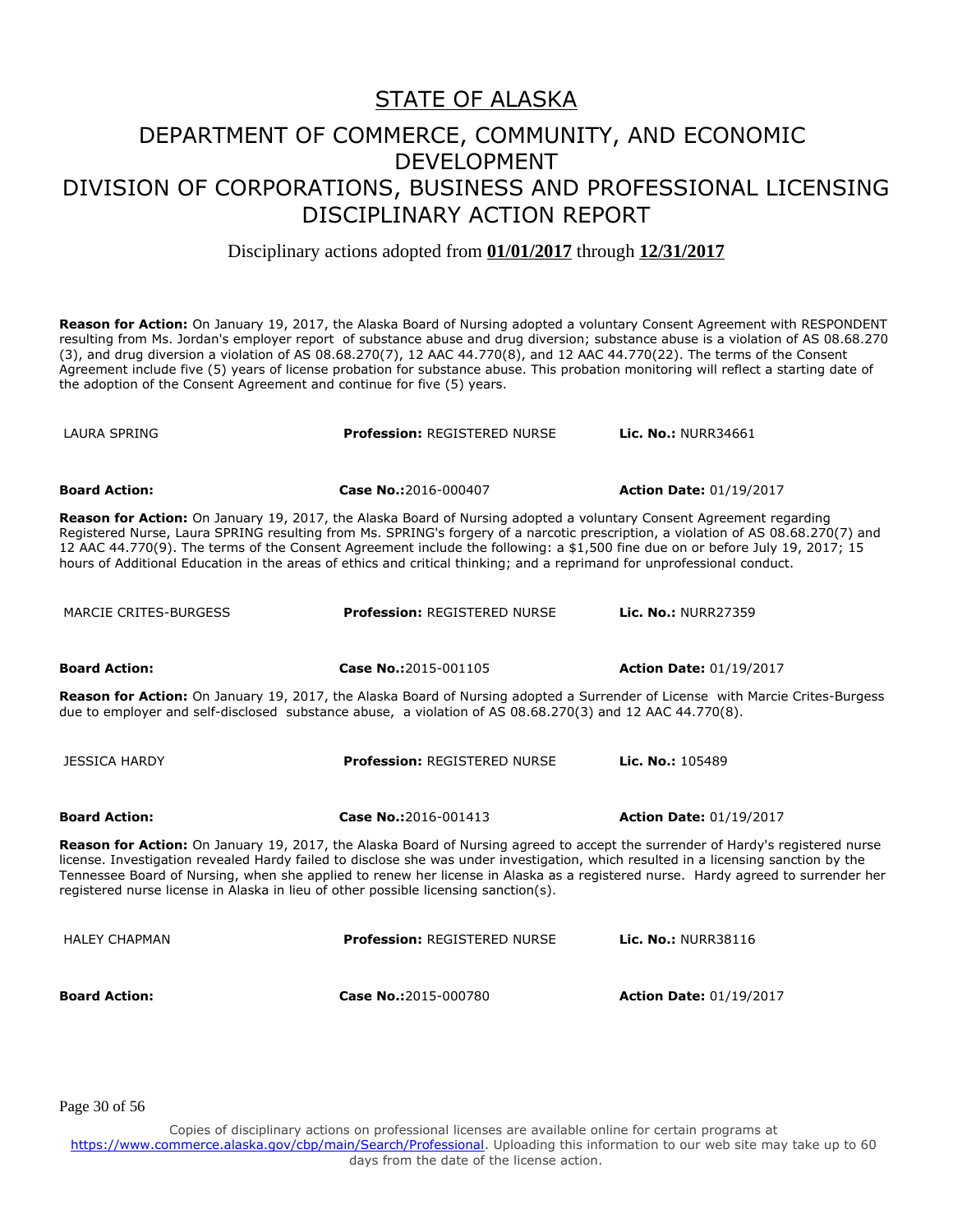Disciplinary actions adopted from **01/01/2017** through **12/31/2017**

**Reason for Action:** On January 19, 2017, the Alaska Board of Nursing adopted a voluntary Consent Agreement with RESPONDENT resulting from Ms. Jordan's employer report of substance abuse and drug diversion; substance abuse is a violation of AS 08.68.270 (3), and drug diversion a violation of AS 08.68.270(7), 12 AAC 44.770(8), and 12 AAC 44.770(22). The terms of the Consent Agreement include five (5) years of license probation for substance abuse. This probation monitoring will reflect a starting date of the adoption of the Consent Agreement and continue for five (5) years.

LAURA SPRING **Profession:** REGISTERED NURSE **Lic. No.:** NURR34661 **Board Action: Case No.:**2016-000407 **Action Date:** 01/19/2017 **Reason for Action:** On January 19, 2017, the Alaska Board of Nursing adopted a voluntary Consent Agreement regarding Registered Nurse, Laura SPRING resulting from Ms. SPRING's forgery of a narcotic prescription, a violation of AS 08.68.270(7) and 12 AAC 44.770(9). The terms of the Consent Agreement include the following: a \$1,500 fine due on or before July 19, 2017; 15 hours of Additional Education in the areas of ethics and critical thinking; and a reprimand for unprofessional conduct. MARCIE CRITES-BURGESS **Profession:** REGISTERED NURSE **Lic. No.:** NURR27359 **Board Action: Case No.:**2015-001105 **Action Date:** 01/19/2017 **Reason for Action:** On January 19, 2017, the Alaska Board of Nursing adopted a Surrender of License with Marcie Crites-Burgess due to employer and self-disclosed substance abuse, a violation of AS 08.68.270(3) and 12 AAC 44.770(8). JESSICA HARDY **Profession:** REGISTERED NURSE **Lic. No.:** 105489 **Board Action: Case No.:**2016-001413 **Action Date:** 01/19/2017 **Reason for Action:** On January 19, 2017, the Alaska Board of Nursing agreed to accept the surrender of Hardy's registered nurse license. Investigation revealed Hardy failed to disclose she was under investigation, which resulted in a licensing sanction by the Tennessee Board of Nursing, when she applied to renew her license in Alaska as a registered nurse. Hardy agreed to surrender her registered nurse license in Alaska in lieu of other possible licensing sanction(s). HALEY CHAPMAN **Profession:** REGISTERED NURSE **Lic. No.:** NURR38116 **Board Action: Case No.:**2015-000780 **Action Date:** 01/19/2017

Page 30 of 56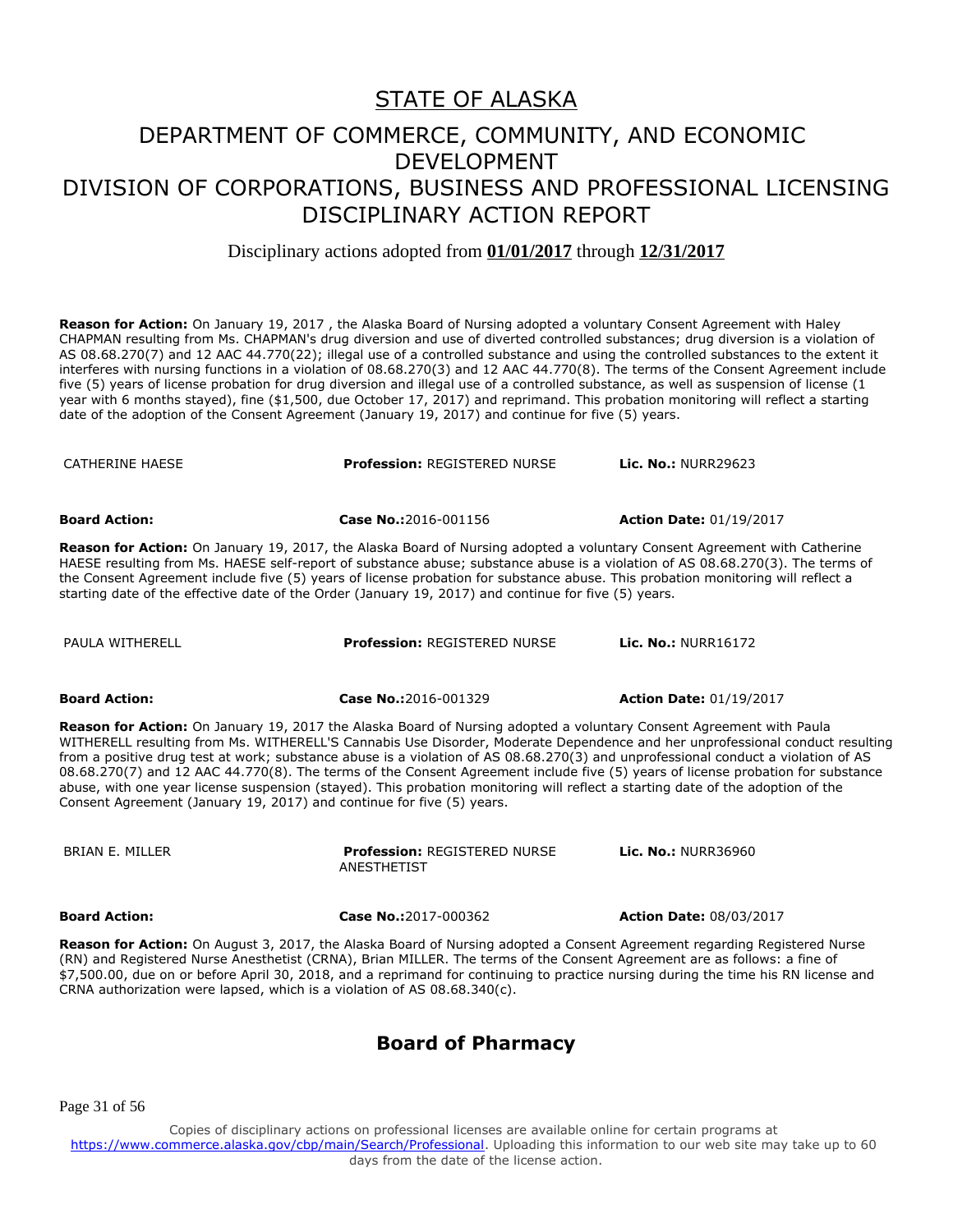Disciplinary actions adopted from **01/01/2017** through **12/31/2017**

**Reason for Action:** On January 19, 2017 , the Alaska Board of Nursing adopted a voluntary Consent Agreement with Haley CHAPMAN resulting from Ms. CHAPMAN's drug diversion and use of diverted controlled substances; drug diversion is a violation of AS 08.68.270(7) and 12 AAC 44.770(22); illegal use of a controlled substance and using the controlled substances to the extent it interferes with nursing functions in a violation of 08.68.270(3) and 12 AAC 44.770(8). The terms of the Consent Agreement include five (5) years of license probation for drug diversion and illegal use of a controlled substance, as well as suspension of license (1 year with 6 months stayed), fine (\$1,500, due October 17, 2017) and reprimand. This probation monitoring will reflect a starting date of the adoption of the Consent Agreement (January 19, 2017) and continue for five (5) years.

CATHERINE HAESE **Profession:** REGISTERED NURSE **Lic. No.:** NURR29623 **Board Action: Case No.:**2016-001156 **Action Date:** 01/19/2017

**Reason for Action:** On January 19, 2017, the Alaska Board of Nursing adopted a voluntary Consent Agreement with Catherine HAESE resulting from Ms. HAESE self-report of substance abuse; substance abuse is a violation of AS 08.68.270(3). The terms of the Consent Agreement include five (5) years of license probation for substance abuse. This probation monitoring will reflect a starting date of the effective date of the Order (January 19, 2017) and continue for five (5) years.

PAULA WITHERELL **Profession:** REGISTERED NURSE **Lic. No.:** NURR16172

**Reason for Action:** On January 19, 2017 the Alaska Board of Nursing adopted a voluntary Consent Agreement with Paula WITHERELL resulting from Ms. WITHERELL'S Cannabis Use Disorder, Moderate Dependence and her unprofessional conduct resulting from a positive drug test at work; substance abuse is a violation of AS 08.68.270(3) and unprofessional conduct a violation of AS 08.68.270(7) and 12 AAC 44.770(8). The terms of the Consent Agreement include five (5) years of license probation for substance abuse, with one year license suspension (stayed). This probation monitoring will reflect a starting date of the adoption of the Consent Agreement (January 19, 2017) and continue for five (5) years.

BRIAN E. MILLER **Profession:** REGISTERED NURSE

ANESTHETIST

**Board Action: Case No.:**2017-000362 **Action Date:** 08/03/2017

**Lic. No.:** NURR36960

**Reason for Action:** On August 3, 2017, the Alaska Board of Nursing adopted a Consent Agreement regarding Registered Nurse (RN) and Registered Nurse Anesthetist (CRNA), Brian MILLER. The terms of the Consent Agreement are as follows: a fine of \$7,500.00, due on or before April 30, 2018, and a reprimand for continuing to practice nursing during the time his RN license and CRNA authorization were lapsed, which is a violation of AS 08.68.340(c).

#### **Board of Pharmacy**

Page 31 of 56

Copies of disciplinary actions on professional licenses are available online for certain programs at https://www.commerce.alaska.gov/cbp/main/Search/Professional</u>. Uploading this information to our web site may take up to 60 days from the date of the license action.

**Board Action: Case No.:**2016-001329 **Action Date:** 01/19/2017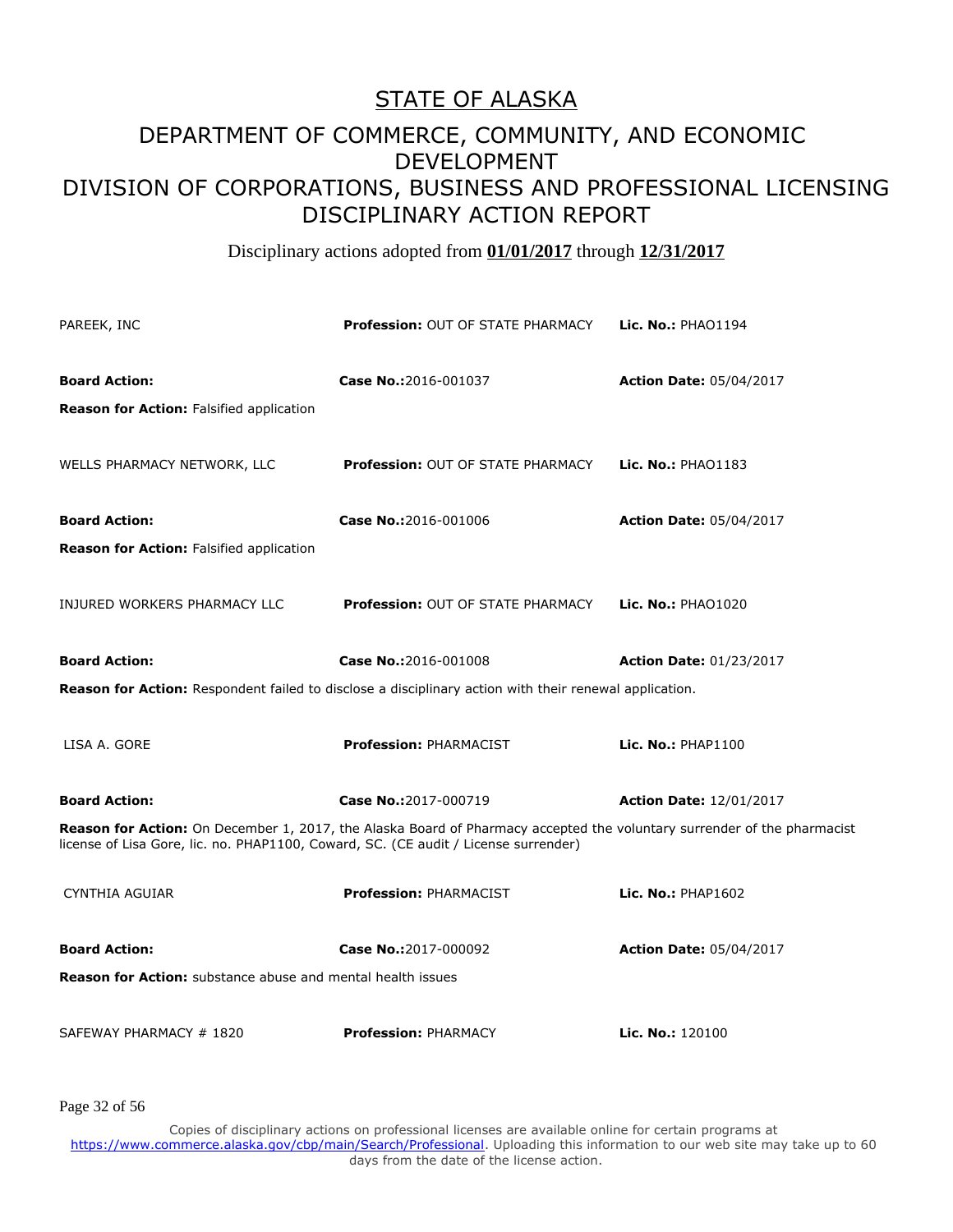Disciplinary actions adopted from **01/01/2017** through **12/31/2017**

| PAREEK, INC                                                                         | <b>Profession: OUT OF STATE PHARMACY</b>                                                                                | <b>Lic. No.: PHAO1194</b>      |
|-------------------------------------------------------------------------------------|-------------------------------------------------------------------------------------------------------------------------|--------------------------------|
| <b>Board Action:</b><br>Reason for Action: Falsified application                    | Case No.:2016-001037                                                                                                    | <b>Action Date: 05/04/2017</b> |
| WELLS PHARMACY NETWORK, LLC                                                         | <b>Profession: OUT OF STATE PHARMACY</b>                                                                                | Lic. No.: PHA01183             |
| <b>Board Action:</b>                                                                | Case No.:2016-001006                                                                                                    | <b>Action Date: 05/04/2017</b> |
| Reason for Action: Falsified application                                            |                                                                                                                         |                                |
| INJURED WORKERS PHARMACY LLC                                                        | Profession: OUT OF STATE PHARMACY                                                                                       | Lic. No.: PHA01020             |
| <b>Board Action:</b>                                                                | Case No.:2016-001008                                                                                                    | <b>Action Date: 01/23/2017</b> |
|                                                                                     | Reason for Action: Respondent failed to disclose a disciplinary action with their renewal application.                  |                                |
| LISA A. GORE                                                                        | <b>Profession: PHARMACIST</b>                                                                                           | Lic. $No.:$ PHAP1100           |
| <b>Board Action:</b>                                                                | Case No.:2017-000719                                                                                                    | <b>Action Date: 12/01/2017</b> |
| license of Lisa Gore, lic. no. PHAP1100, Coward, SC. (CE audit / License surrender) | Reason for Action: On December 1, 2017, the Alaska Board of Pharmacy accepted the voluntary surrender of the pharmacist |                                |
| CYNTHIA AGUIAR                                                                      | <b>Profession: PHARMACIST</b>                                                                                           | Lic. No.: PHAP1602             |
| <b>Board Action:</b>                                                                | Case No.:2017-000092                                                                                                    | <b>Action Date: 05/04/2017</b> |
| Reason for Action: substance abuse and mental health issues                         |                                                                                                                         |                                |
| SAFEWAY PHARMACY # 1820                                                             | <b>Profession: PHARMACY</b>                                                                                             | <b>Lic. No.: 120100</b>        |

Page 32 of 56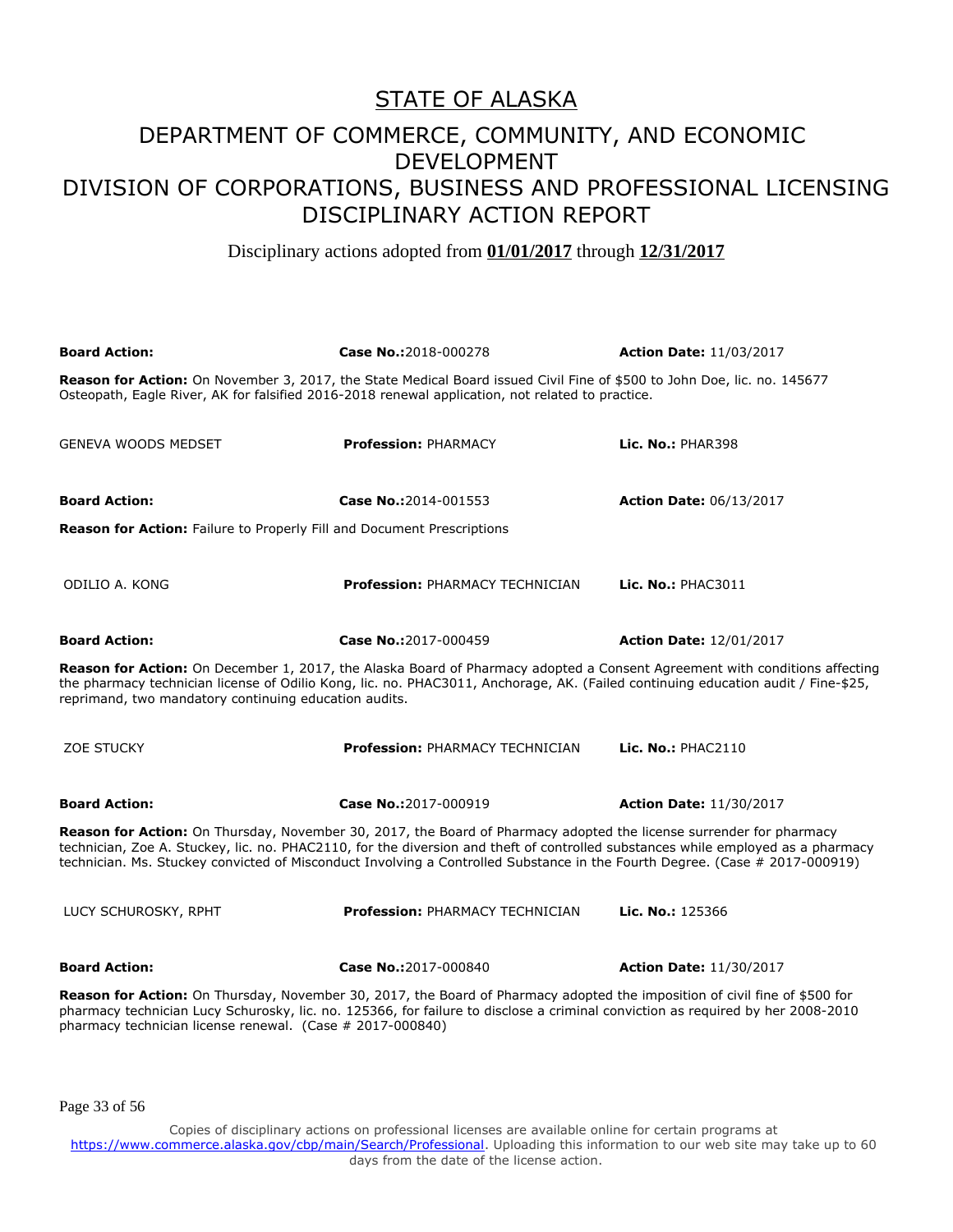Disciplinary actions adopted from **01/01/2017** through **12/31/2017**

| <b>Board Action:</b>                                                                                                                                                                                                                                                                                                                                                                   | Case No.:2018-000278                                                                                                                                                                                                                                          | <b>Action Date: 11/03/2017</b> |  |
|----------------------------------------------------------------------------------------------------------------------------------------------------------------------------------------------------------------------------------------------------------------------------------------------------------------------------------------------------------------------------------------|---------------------------------------------------------------------------------------------------------------------------------------------------------------------------------------------------------------------------------------------------------------|--------------------------------|--|
| Reason for Action: On November 3, 2017, the State Medical Board issued Civil Fine of \$500 to John Doe, lic. no. 145677<br>Osteopath, Eagle River, AK for falsified 2016-2018 renewal application, not related to practice.                                                                                                                                                            |                                                                                                                                                                                                                                                               |                                |  |
| <b>GENEVA WOODS MEDSET</b>                                                                                                                                                                                                                                                                                                                                                             | <b>Profession: PHARMACY</b>                                                                                                                                                                                                                                   | <b>Lic. No.: PHAR398</b>       |  |
| <b>Board Action:</b>                                                                                                                                                                                                                                                                                                                                                                   | Case No.:2014-001553                                                                                                                                                                                                                                          | <b>Action Date: 06/13/2017</b> |  |
| <b>Reason for Action: Failure to Properly Fill and Document Prescriptions</b>                                                                                                                                                                                                                                                                                                          |                                                                                                                                                                                                                                                               |                                |  |
| ODILIO A. KONG                                                                                                                                                                                                                                                                                                                                                                         | <b>Profession: PHARMACY TECHNICIAN</b>                                                                                                                                                                                                                        | Lic. No.: $PHAC3011$           |  |
| <b>Board Action:</b>                                                                                                                                                                                                                                                                                                                                                                   | Case No.:2017-000459                                                                                                                                                                                                                                          | <b>Action Date: 12/01/2017</b> |  |
| Reason for Action: On December 1, 2017, the Alaska Board of Pharmacy adopted a Consent Agreement with conditions affecting<br>the pharmacy technician license of Odilio Kong, lic. no. PHAC3011, Anchorage, AK. (Failed continuing education audit / Fine-\$25,<br>reprimand, two mandatory continuing education audits.                                                               |                                                                                                                                                                                                                                                               |                                |  |
| <b>ZOE STUCKY</b>                                                                                                                                                                                                                                                                                                                                                                      | <b>Profession: PHARMACY TECHNICIAN</b>                                                                                                                                                                                                                        | Lic. No.: PHAC2110             |  |
| <b>Board Action:</b>                                                                                                                                                                                                                                                                                                                                                                   | Case No.:2017-000919                                                                                                                                                                                                                                          | <b>Action Date: 11/30/2017</b> |  |
| Reason for Action: On Thursday, November 30, 2017, the Board of Pharmacy adopted the license surrender for pharmacy<br>technician, Zoe A. Stuckey, lic. no. PHAC2110, for the diversion and theft of controlled substances while employed as a pharmacy<br>technician. Ms. Stuckey convicted of Misconduct Involving a Controlled Substance in the Fourth Degree. (Case # 2017-000919) |                                                                                                                                                                                                                                                               |                                |  |
| LUCY SCHUROSKY, RPHT                                                                                                                                                                                                                                                                                                                                                                   | <b>Profession: PHARMACY TECHNICIAN</b>                                                                                                                                                                                                                        | Lic. No.: 125366               |  |
| <b>Board Action:</b>                                                                                                                                                                                                                                                                                                                                                                   | Case No.:2017-000840                                                                                                                                                                                                                                          | <b>Action Date: 11/30/2017</b> |  |
| pharmacy technician license renewal. (Case # 2017-000840)                                                                                                                                                                                                                                                                                                                              | Reason for Action: On Thursday, November 30, 2017, the Board of Pharmacy adopted the imposition of civil fine of \$500 for<br>pharmacy technician Lucy Schurosky, lic. no. 125366, for failure to disclose a criminal conviction as required by her 2008-2010 |                                |  |

Page 33 of 56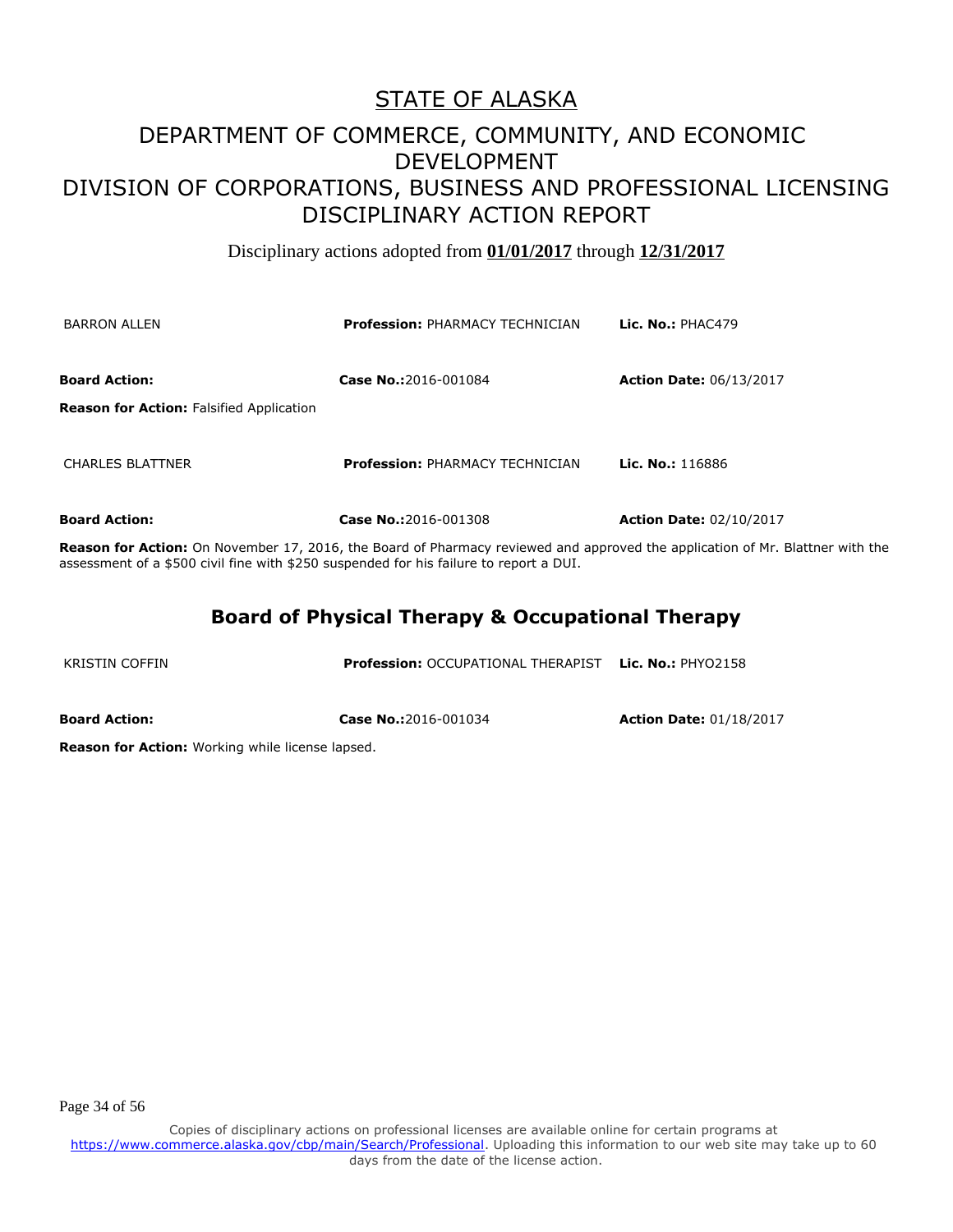Disciplinary actions adopted from **01/01/2017** through **12/31/2017**

| <b>BARRON ALLEN</b>                                                                                                                                                                                                     | <b>Profession: PHARMACY TECHNICIAN</b> | Lic. $No.:$ PHAC479            |
|-------------------------------------------------------------------------------------------------------------------------------------------------------------------------------------------------------------------------|----------------------------------------|--------------------------------|
| <b>Board Action:</b>                                                                                                                                                                                                    | Case No.:2016-001084                   | <b>Action Date: 06/13/2017</b> |
| <b>Reason for Action: Falsified Application</b>                                                                                                                                                                         |                                        |                                |
| <b>CHARLES BLATTNER</b>                                                                                                                                                                                                 | <b>Profession: PHARMACY TECHNICIAN</b> | Lic. No.: 116886               |
| <b>Board Action:</b>                                                                                                                                                                                                    | Case No.:2016-001308                   | <b>Action Date: 02/10/2017</b> |
| Reason for Action: On November 17, 2016, the Board of Pharmacy reviewed and approved the application of Mr. Blattner with the<br>assessment of a \$500 civil fine with \$250 suspended for his failure to report a DUI. |                                        |                                |

#### **Board of Physical Therapy & Occupational Therapy**

KRISTIN COFFIN **Profession:** OCCUPATIONAL THERAPIST **Lic. No.:** PHYO2158

**Board Action: Case No.:**2016-001034 **Action Date:** 01/18/2017

**Reason for Action:** Working while license lapsed.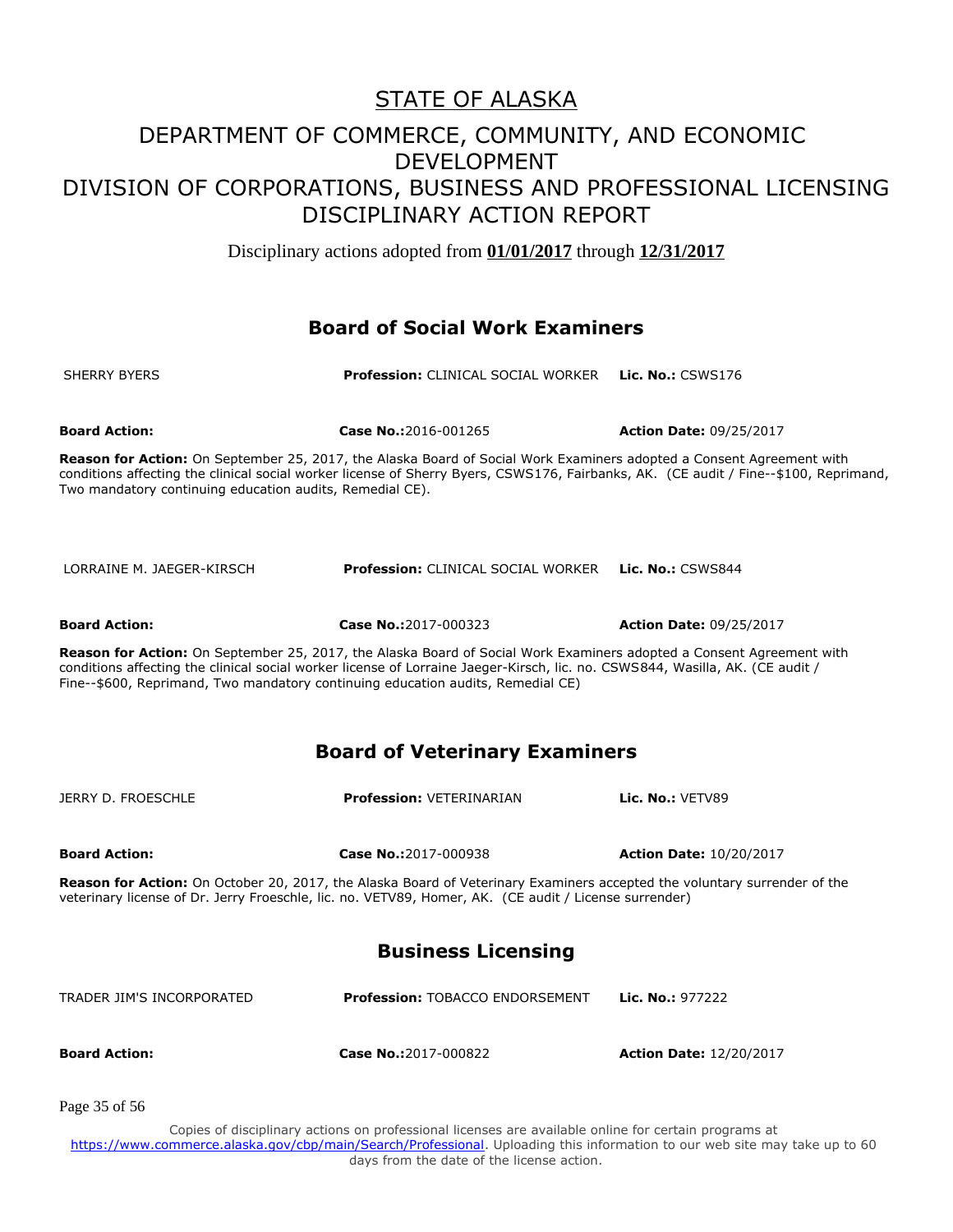Disciplinary actions adopted from **01/01/2017** through **12/31/2017**

#### **Board of Social Work Examiners**

| <b>SHERRY BYERS</b>                                                                                                                                                                                                                                                                                                                      | <b>Profession: CLINICAL SOCIAL WORKER</b> | <b>Lic. No.: CSWS176</b>       |  |
|------------------------------------------------------------------------------------------------------------------------------------------------------------------------------------------------------------------------------------------------------------------------------------------------------------------------------------------|-------------------------------------------|--------------------------------|--|
| <b>Board Action:</b>                                                                                                                                                                                                                                                                                                                     | Case No.:2016-001265                      | <b>Action Date: 09/25/2017</b> |  |
| Reason for Action: On September 25, 2017, the Alaska Board of Social Work Examiners adopted a Consent Agreement with<br>conditions affecting the clinical social worker license of Sherry Byers, CSWS176, Fairbanks, AK. (CE audit / Fine--\$100, Reprimand,<br>Two mandatory continuing education audits, Remedial CE).                 |                                           |                                |  |
| LORRAINE M. JAEGER-KIRSCH                                                                                                                                                                                                                                                                                                                | <b>Profession: CLINICAL SOCIAL WORKER</b> | Lic. No.: CSWS844              |  |
| <b>Board Action:</b>                                                                                                                                                                                                                                                                                                                     | Case No.:2017-000323                      | <b>Action Date: 09/25/2017</b> |  |
| Reason for Action: On September 25, 2017, the Alaska Board of Social Work Examiners adopted a Consent Agreement with<br>conditions affecting the clinical social worker license of Lorraine Jaeger-Kirsch, lic. no. CSWS844, Wasilla, AK. (CE audit /<br>Fine--\$600, Reprimand, Two mandatory continuing education audits, Remedial CE) | <b>Board of Veterinary Examiners</b>      |                                |  |
| JERRY D. FROESCHLE                                                                                                                                                                                                                                                                                                                       | <b>Profession: VETERINARIAN</b>           | Lic. No.: VETV89               |  |
| <b>Board Action:</b>                                                                                                                                                                                                                                                                                                                     | Case No.:2017-000938                      | <b>Action Date: 10/20/2017</b> |  |
| Reason for Action: On October 20, 2017, the Alaska Board of Veterinary Examiners accepted the voluntary surrender of the<br>veterinary license of Dr. Jerry Froeschle, lic. no. VETV89, Homer, AK. (CE audit / License surrender)                                                                                                        |                                           |                                |  |
| <b>Business Licensing</b>                                                                                                                                                                                                                                                                                                                |                                           |                                |  |
| TRADER JIM'S INCORPORATED                                                                                                                                                                                                                                                                                                                | <b>Profession: TOBACCO ENDORSEMENT</b>    | Lic. No.: 977222               |  |
| <b>Board Action:</b>                                                                                                                                                                                                                                                                                                                     | Case No.:2017-000822                      | <b>Action Date: 12/20/2017</b> |  |

Page 35 of 56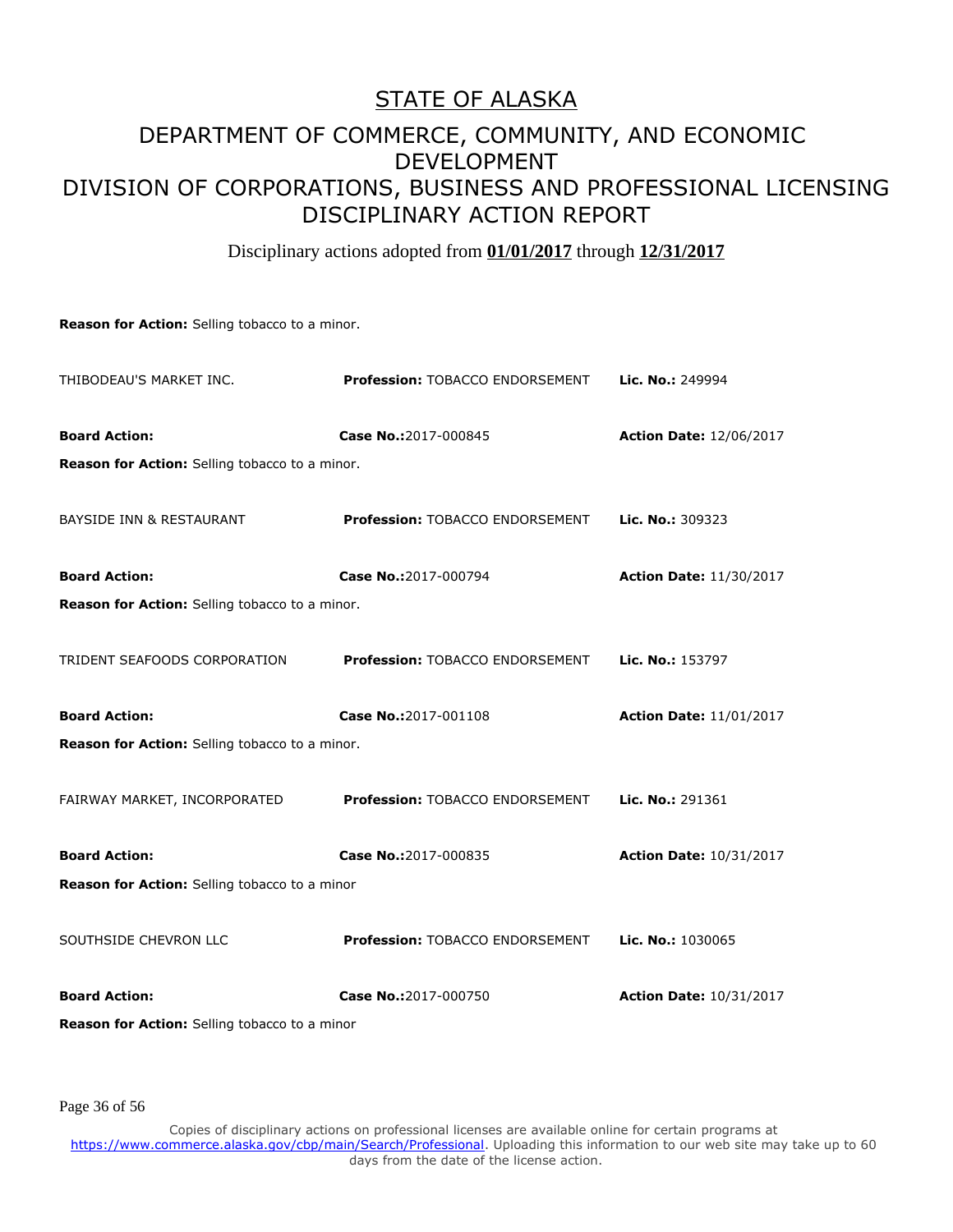#### STATE OF ALASKA

### DEPARTMENT OF COMMERCE, COMMUNITY, AND ECONOMIC DEVELOPMENT DIVISION OF CORPORATIONS, BUSINESS AND PROFESSIONAL LICENSING DISCIPLINARY ACTION REPORT

Disciplinary actions adopted from **01/01/2017** through **12/31/2017**

**Reason for Action:** Selling tobacco to a minor.

| THIBODEAU'S MARKET INC.                                                | Profession: TOBACCO ENDORSEMENT | Lic. No.: 249994               |
|------------------------------------------------------------------------|---------------------------------|--------------------------------|
| <b>Board Action:</b><br>Reason for Action: Selling tobacco to a minor. | Case No.:2017-000845            | <b>Action Date: 12/06/2017</b> |
|                                                                        |                                 |                                |
| BAYSIDE INN & RESTAURANT                                               | Profession: TOBACCO ENDORSEMENT | Lic. No.: 309323               |
| <b>Board Action:</b>                                                   | Case No.:2017-000794            | <b>Action Date: 11/30/2017</b> |
| Reason for Action: Selling tobacco to a minor.                         |                                 |                                |
|                                                                        |                                 |                                |
| TRIDENT SEAFOODS CORPORATION                                           | Profession: TOBACCO ENDORSEMENT | Lic. No.: 153797               |
| <b>Board Action:</b>                                                   | Case No.:2017-001108            | <b>Action Date: 11/01/2017</b> |
| Reason for Action: Selling tobacco to a minor.                         |                                 |                                |
|                                                                        |                                 |                                |
| FAIRWAY MARKET, INCORPORATED                                           | Profession: TOBACCO ENDORSEMENT | Lic. No.: 291361               |
|                                                                        |                                 |                                |
| <b>Board Action:</b>                                                   | Case No.:2017-000835            | <b>Action Date: 10/31/2017</b> |
| Reason for Action: Selling tobacco to a minor                          |                                 |                                |
|                                                                        |                                 |                                |
| SOUTHSIDE CHEVRON LLC                                                  | Profession: TOBACCO ENDORSEMENT | Lic. No.: 1030065              |
| <b>Board Action:</b>                                                   | Case No.:2017-000750            | <b>Action Date: 10/31/2017</b> |
| Reason for Action: Selling tobacco to a minor                          |                                 |                                |

Page 36 of 56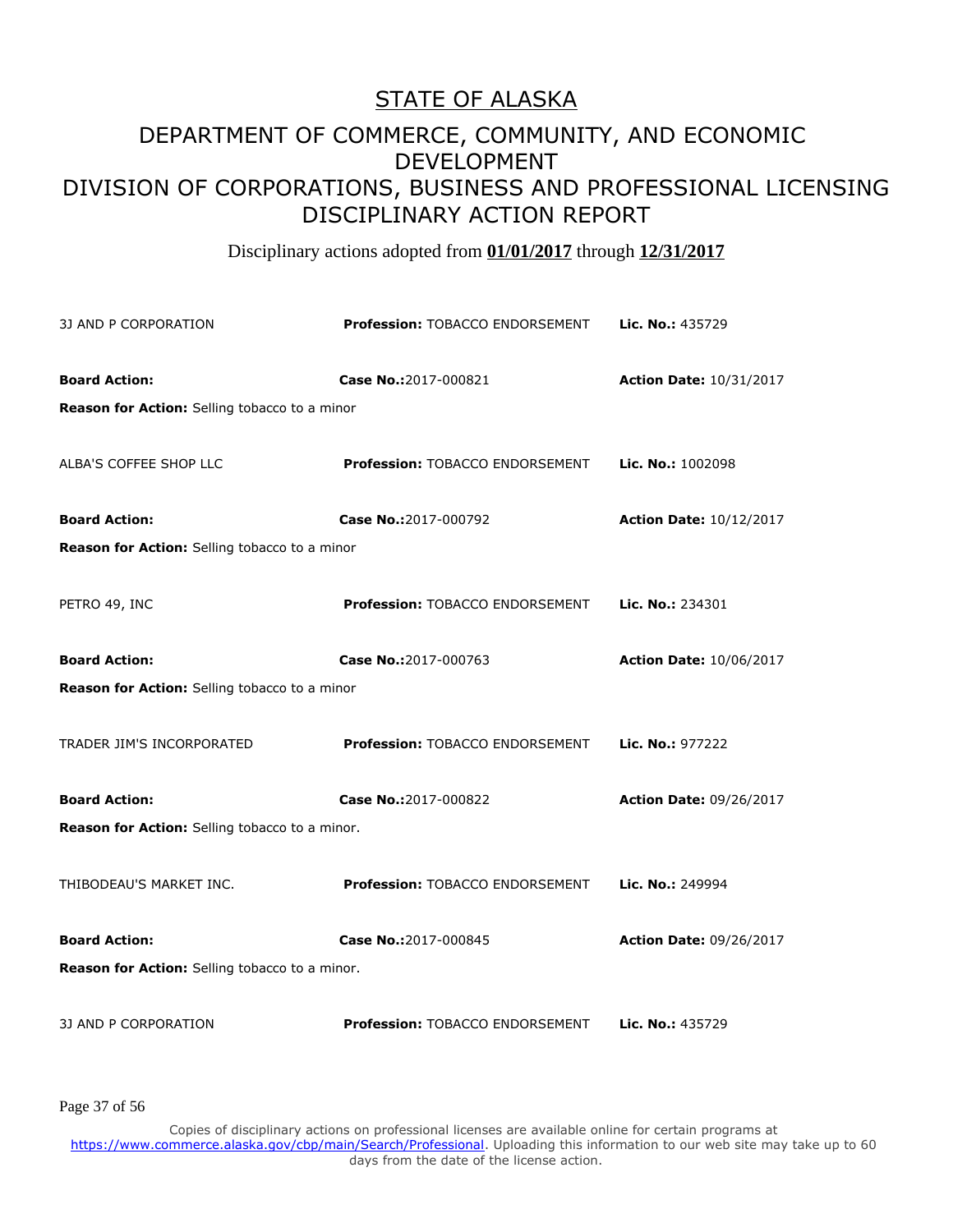#### STATE OF ALASKA

### DEPARTMENT OF COMMERCE, COMMUNITY, AND ECONOMIC DEVELOPMENT DIVISION OF CORPORATIONS, BUSINESS AND PROFESSIONAL LICENSING DISCIPLINARY ACTION REPORT

Disciplinary actions adopted from **01/01/2017** through **12/31/2017**

| 3J AND P CORPORATION                           | Profession: TOBACCO ENDORSEMENT | Lic. No.: 435729               |
|------------------------------------------------|---------------------------------|--------------------------------|
| <b>Board Action:</b>                           | Case No.:2017-000821            | <b>Action Date: 10/31/2017</b> |
| Reason for Action: Selling tobacco to a minor  |                                 |                                |
| ALBA'S COFFEE SHOP LLC                         | Profession: TOBACCO ENDORSEMENT | Lic. No.: 1002098              |
| <b>Board Action:</b>                           | Case No.:2017-000792            | <b>Action Date: 10/12/2017</b> |
| Reason for Action: Selling tobacco to a minor  |                                 |                                |
| PETRO 49, INC                                  | Profession: TOBACCO ENDORSEMENT | Lic. No.: 234301               |
| <b>Board Action:</b>                           | Case No.:2017-000763            | <b>Action Date: 10/06/2017</b> |
| Reason for Action: Selling tobacco to a minor  |                                 |                                |
| TRADER JIM'S INCORPORATED                      | Profession: TOBACCO ENDORSEMENT | Lic. No.: 977222               |
| <b>Board Action:</b>                           | Case No.:2017-000822            | <b>Action Date: 09/26/2017</b> |
| Reason for Action: Selling tobacco to a minor. |                                 |                                |
| THIBODEAU'S MARKET INC.                        | Profession: TOBACCO ENDORSEMENT | Lic. No.: 249994               |
| <b>Board Action:</b>                           | Case No.:2017-000845            | <b>Action Date: 09/26/2017</b> |
| Reason for Action: Selling tobacco to a minor. |                                 |                                |
| 3J AND P CORPORATION                           | Profession: TOBACCO ENDORSEMENT | Lic. No.: 435729               |

Page 37 of 56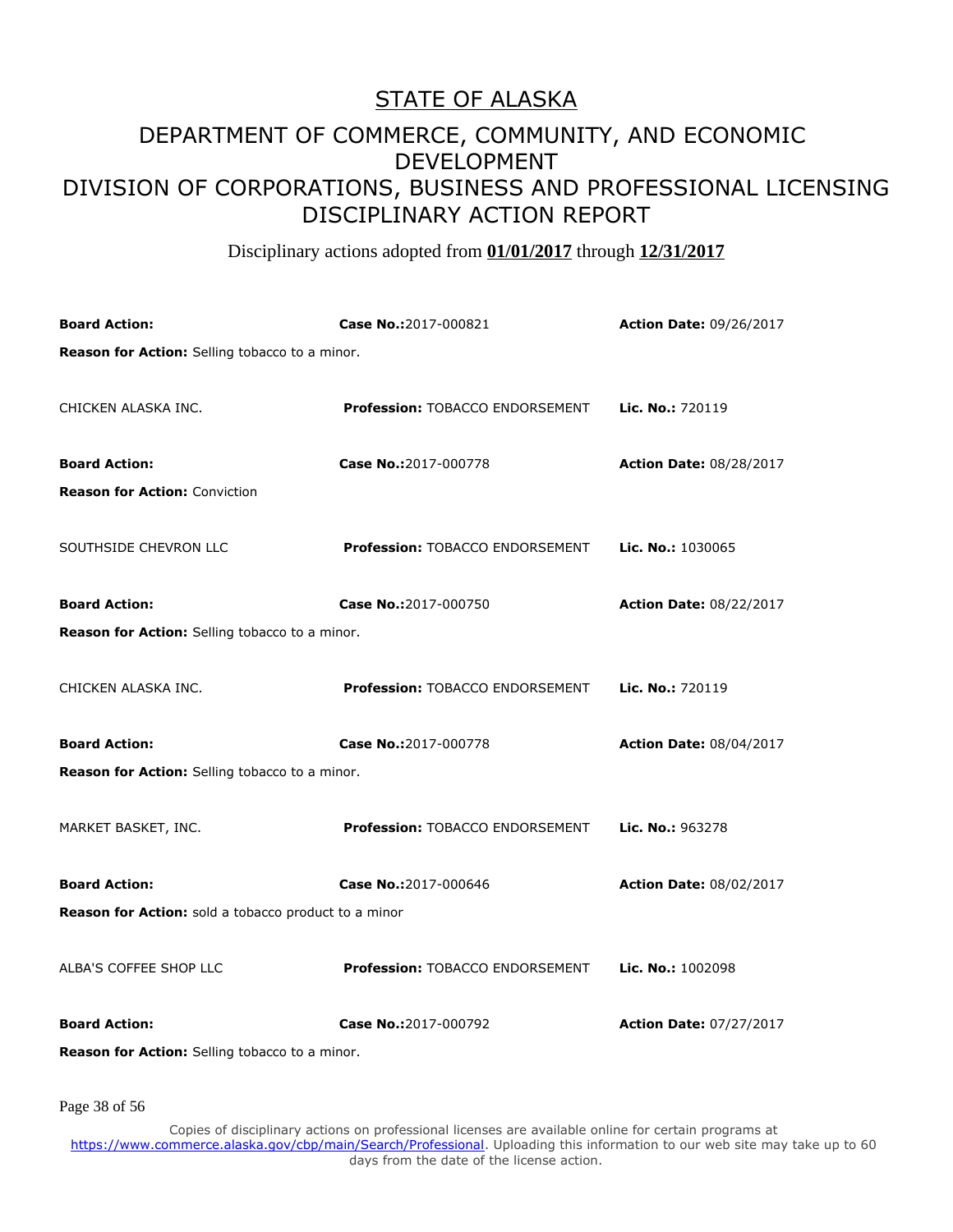Disciplinary actions adopted from **01/01/2017** through **12/31/2017**

| <b>Board Action:</b>                                 | Case No.:2017-000821                   | <b>Action Date: 09/26/2017</b> |  |
|------------------------------------------------------|----------------------------------------|--------------------------------|--|
| Reason for Action: Selling tobacco to a minor.       |                                        |                                |  |
|                                                      |                                        |                                |  |
| CHICKEN ALASKA INC.                                  | Profession: TOBACCO ENDORSEMENT        | Lic. No.: 720119               |  |
|                                                      |                                        |                                |  |
| <b>Board Action:</b>                                 | Case No.:2017-000778                   | <b>Action Date: 08/28/2017</b> |  |
| <b>Reason for Action: Conviction</b>                 |                                        |                                |  |
|                                                      |                                        |                                |  |
| SOUTHSIDE CHEVRON LLC                                | Profession: TOBACCO ENDORSEMENT        | Lic. No.: 1030065              |  |
| <b>Board Action:</b>                                 | Case No.:2017-000750                   | <b>Action Date: 08/22/2017</b> |  |
| Reason for Action: Selling tobacco to a minor.       |                                        |                                |  |
|                                                      |                                        |                                |  |
| CHICKEN ALASKA INC.                                  | Profession: TOBACCO ENDORSEMENT        | Lic. No.: 720119               |  |
|                                                      |                                        |                                |  |
| <b>Board Action:</b>                                 | Case No.:2017-000778                   | <b>Action Date: 08/04/2017</b> |  |
| Reason for Action: Selling tobacco to a minor.       |                                        |                                |  |
|                                                      |                                        |                                |  |
| MARKET BASKET, INC.                                  | <b>Profession: TOBACCO ENDORSEMENT</b> | Lic. No.: 963278               |  |
|                                                      |                                        |                                |  |
| <b>Board Action:</b>                                 | Case No.:2017-000646                   | <b>Action Date: 08/02/2017</b> |  |
| Reason for Action: sold a tobacco product to a minor |                                        |                                |  |
| ALBA'S COFFEE SHOP LLC                               | <b>Profession: TOBACCO ENDORSEMENT</b> | Lic. No.: 1002098              |  |
|                                                      |                                        |                                |  |
| <b>Board Action:</b>                                 | Case No.:2017-000792                   | <b>Action Date: 07/27/2017</b> |  |
| Reason for Action: Selling tobacco to a minor.       |                                        |                                |  |

Page 38 of 56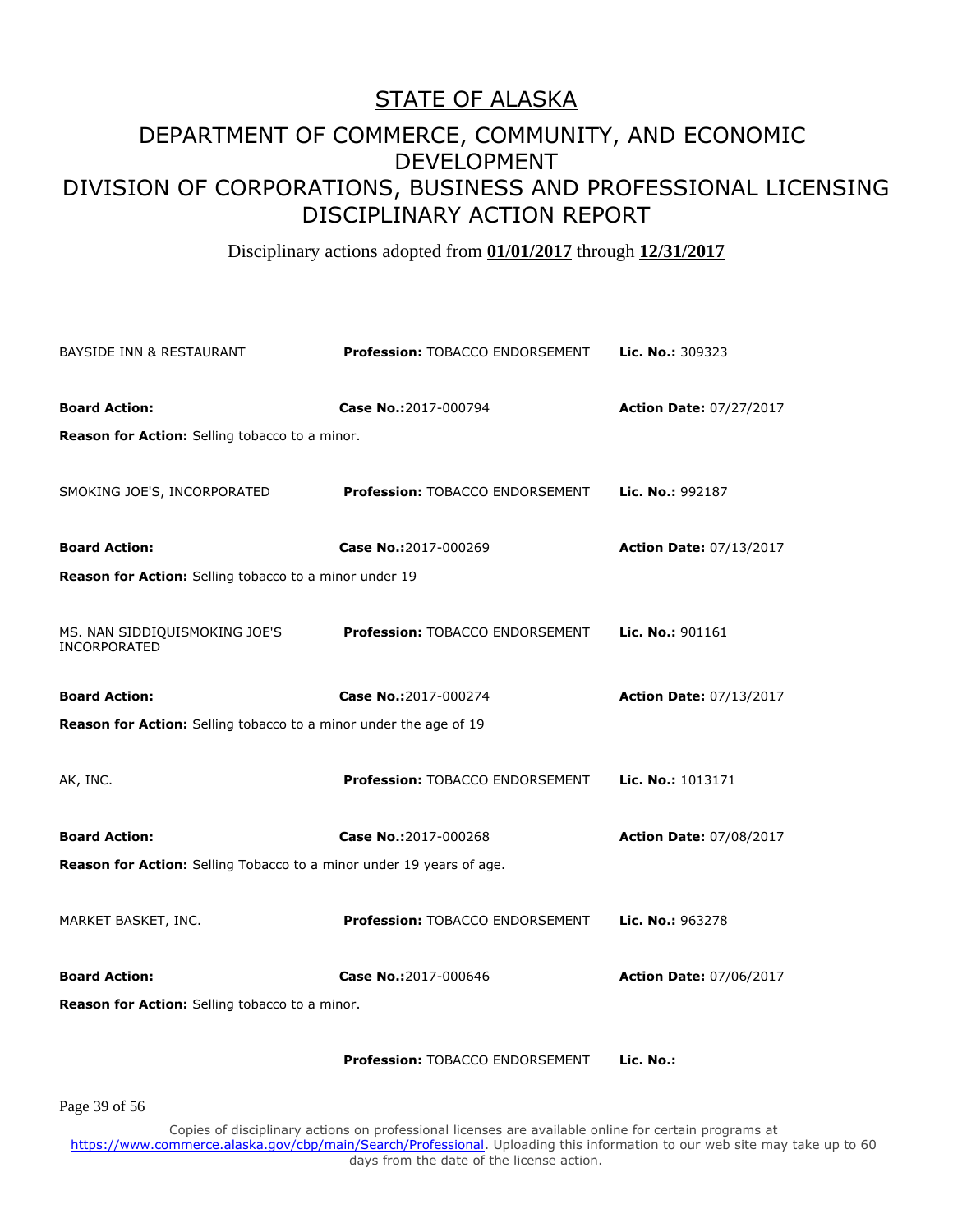#### STATE OF ALASKA

### DEPARTMENT OF COMMERCE, COMMUNITY, AND ECONOMIC DEVELOPMENT DIVISION OF CORPORATIONS, BUSINESS AND PROFESSIONAL LICENSING DISCIPLINARY ACTION REPORT

Disciplinary actions adopted from **01/01/2017** through **12/31/2017**

| BAYSIDE INN & RESTAURANT                                             | Profession: TOBACCO ENDORSEMENT        | Lic. No.: 309323               |
|----------------------------------------------------------------------|----------------------------------------|--------------------------------|
| <b>Board Action:</b>                                                 | Case No.:2017-000794                   | <b>Action Date: 07/27/2017</b> |
| Reason for Action: Selling tobacco to a minor.                       |                                        |                                |
| SMOKING JOE'S, INCORPORATED                                          | Profession: TOBACCO ENDORSEMENT        | Lic. No.: 992187               |
| <b>Board Action:</b>                                                 | Case No.:2017-000269                   | <b>Action Date: 07/13/2017</b> |
| Reason for Action: Selling tobacco to a minor under 19               |                                        |                                |
| MS. NAN SIDDIQUISMOKING JOE'S<br><b>INCORPORATED</b>                 | Profession: TOBACCO ENDORSEMENT        | Lic. No.: $901161$             |
| <b>Board Action:</b>                                                 | Case No.:2017-000274                   | <b>Action Date: 07/13/2017</b> |
| Reason for Action: Selling tobacco to a minor under the age of 19    |                                        |                                |
| AK, INC.                                                             | <b>Profession: TOBACCO ENDORSEMENT</b> | Lic. No.: 1013171              |
| <b>Board Action:</b>                                                 | Case No.:2017-000268                   | <b>Action Date: 07/08/2017</b> |
| Reason for Action: Selling Tobacco to a minor under 19 years of age. |                                        |                                |
| MARKET BASKET, INC.                                                  | Profession: TOBACCO ENDORSEMENT        | Lic. No.: 963278               |
| <b>Board Action:</b>                                                 | Case No.:2017-000646                   | <b>Action Date: 07/06/2017</b> |
| Reason for Action: Selling tobacco to a minor.                       |                                        |                                |
|                                                                      | <b>Profession: TOBACCO ENDORSEMENT</b> | Lic. No.:                      |

Page 39 of 56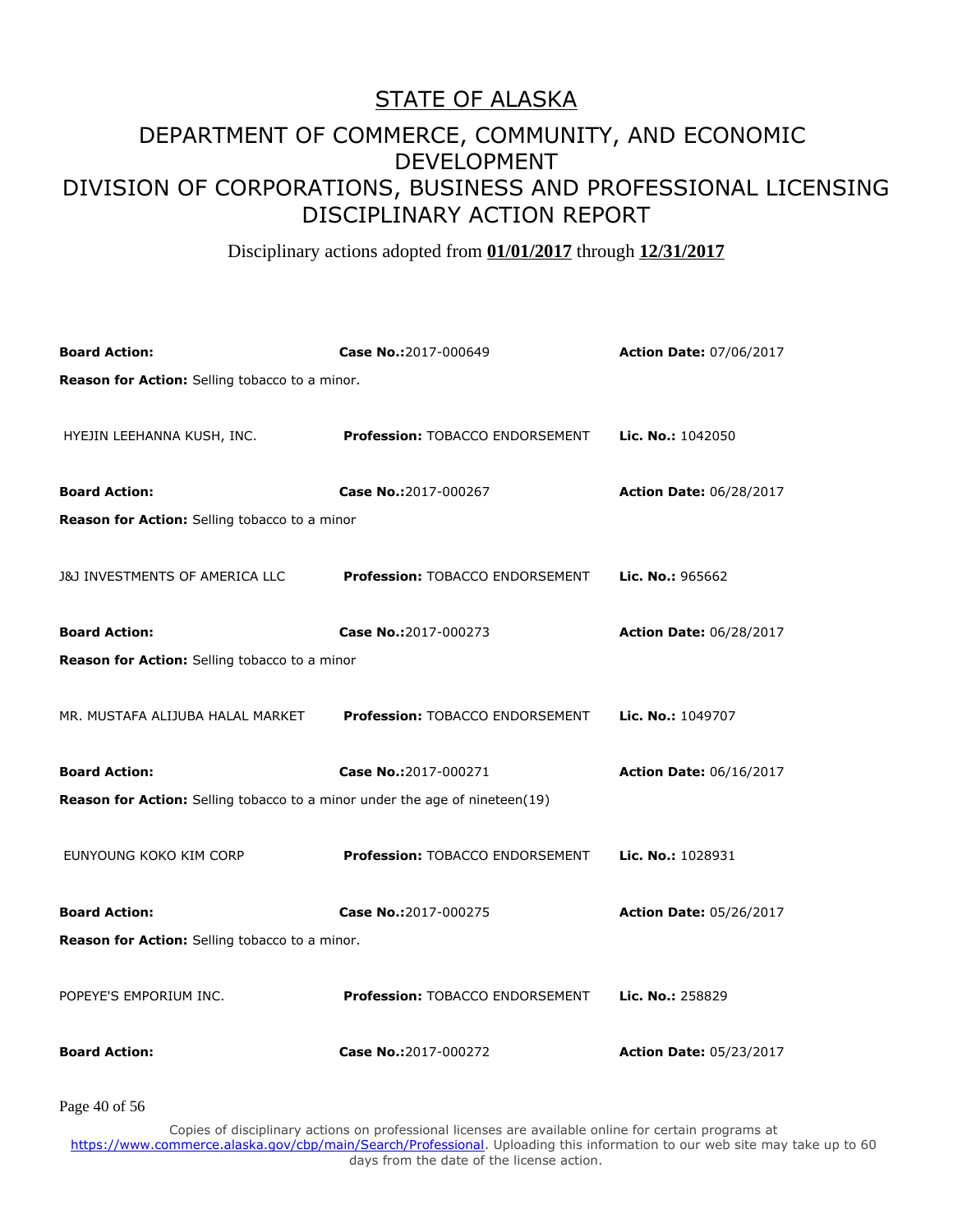Disciplinary actions adopted from **01/01/2017** through **12/31/2017**

| <b>Board Action:</b>                                                        | Case No.:2017-000649                   | <b>Action Date: 07/06/2017</b> |  |
|-----------------------------------------------------------------------------|----------------------------------------|--------------------------------|--|
| Reason for Action: Selling tobacco to a minor.                              |                                        |                                |  |
|                                                                             |                                        |                                |  |
| HYEJIN LEEHANNA KUSH, INC.                                                  | <b>Profession: TOBACCO ENDORSEMENT</b> | Lic. No.: 1042050              |  |
|                                                                             |                                        |                                |  |
| <b>Board Action:</b>                                                        | Case No.:2017-000267                   | <b>Action Date: 06/28/2017</b> |  |
| Reason for Action: Selling tobacco to a minor                               |                                        |                                |  |
|                                                                             |                                        |                                |  |
| <b>J&amp;J INVESTMENTS OF AMERICA LLC</b>                                   | Profession: TOBACCO ENDORSEMENT        | Lic. No.: 965662               |  |
|                                                                             |                                        |                                |  |
| <b>Board Action:</b>                                                        | Case No.:2017-000273                   | <b>Action Date: 06/28/2017</b> |  |
| Reason for Action: Selling tobacco to a minor                               |                                        |                                |  |
| MR. MUSTAFA ALIJUBA HALAL MARKET                                            | Profession: TOBACCO ENDORSEMENT        | Lic. No.: 1049707              |  |
|                                                                             |                                        |                                |  |
| <b>Board Action:</b>                                                        | Case No.:2017-000271                   | <b>Action Date: 06/16/2017</b> |  |
| Reason for Action: Selling tobacco to a minor under the age of nineteen(19) |                                        |                                |  |
|                                                                             |                                        |                                |  |
| EUNYOUNG KOKO KIM CORP                                                      | Profession: TOBACCO ENDORSEMENT        | Lic. No.: 1028931              |  |
|                                                                             |                                        |                                |  |
| <b>Board Action:</b>                                                        | Case No.:2017-000275                   | <b>Action Date: 05/26/2017</b> |  |
| Reason for Action: Selling tobacco to a minor.                              |                                        |                                |  |
|                                                                             |                                        |                                |  |
| POPEYE'S EMPORIUM INC.                                                      | Profession: TOBACCO ENDORSEMENT        | Lic. No.: 258829               |  |
|                                                                             |                                        |                                |  |
| <b>Board Action:</b>                                                        | Case No.:2017-000272                   | <b>Action Date: 05/23/2017</b> |  |
|                                                                             |                                        |                                |  |

Page 40 of 56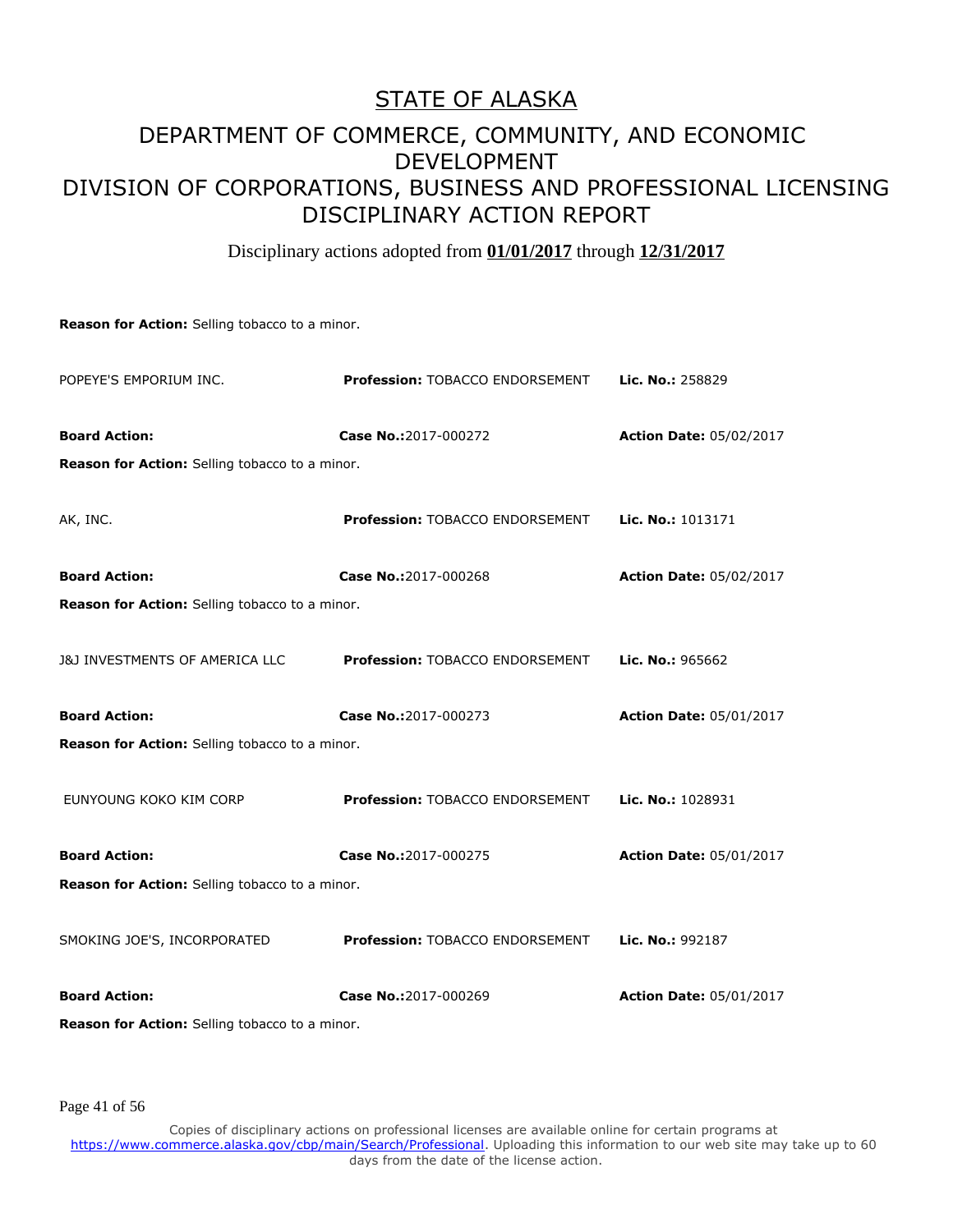#### STATE OF ALASKA

### DEPARTMENT OF COMMERCE, COMMUNITY, AND ECONOMIC DEVELOPMENT DIVISION OF CORPORATIONS, BUSINESS AND PROFESSIONAL LICENSING DISCIPLINARY ACTION REPORT

Disciplinary actions adopted from **01/01/2017** through **12/31/2017**

**Reason for Action:** Selling tobacco to a minor. POPEYE'S EMPORIUM INC. **Profession:** TOBACCO ENDORSEMENT **Lic. No.:** 258829 **Board Action: Case No.:**2017-000272 **Action Date:** 05/02/2017 **Reason for Action:** Selling tobacco to a minor. AK, INC. **Profession:** TOBACCO ENDORSEMENT **Lic. No.:** 1013171 **Board Action: Case No.:**2017-000268 **Action Date:** 05/02/2017 **Reason for Action:** Selling tobacco to a minor. J&J INVESTMENTS OF AMERICA LLC **Profession:** TOBACCO ENDORSEMENT **Lic. No.:** 965662 **Board Action: Case No.:**2017-000273 **Action Date:** 05/01/2017 **Reason for Action:** Selling tobacco to a minor. EUNYOUNG KOKO KIM CORP **Profession:** TOBACCO ENDORSEMENT **Lic. No.:** 1028931 **Board Action: Case No.:**2017-000275 **Action Date:** 05/01/2017 **Reason for Action:** Selling tobacco to a minor. SMOKING JOE'S, INCORPORATED **Profession:** TOBACCO ENDORSEMENT **Lic. No.:** 992187 **Board Action: Case No.:**2017-000269 **Action Date:** 05/01/2017 **Reason for Action:** Selling tobacco to a minor.

Page 41 of 56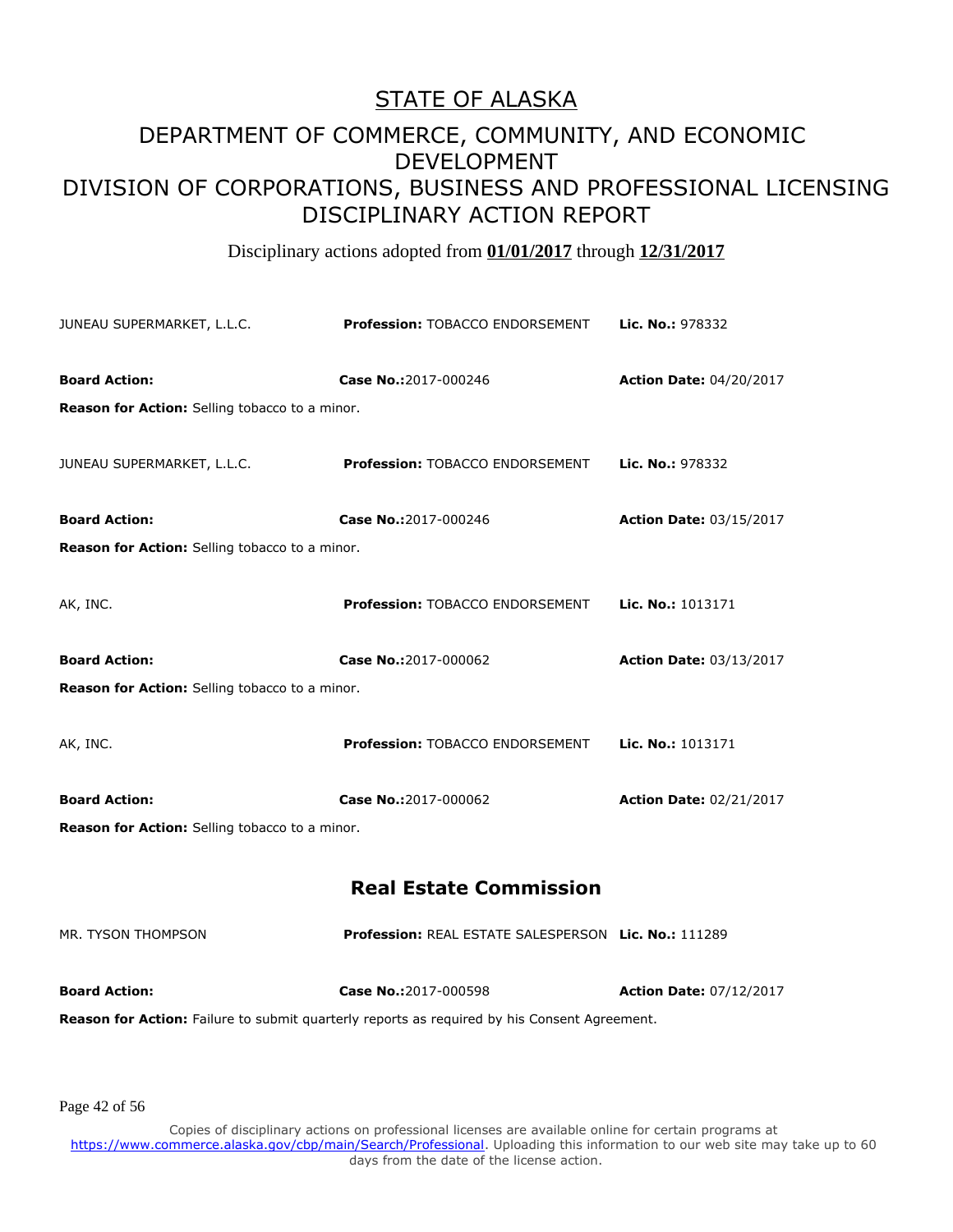#### STATE OF ALASKA

### DEPARTMENT OF COMMERCE, COMMUNITY, AND ECONOMIC DEVELOPMENT DIVISION OF CORPORATIONS, BUSINESS AND PROFESSIONAL LICENSING DISCIPLINARY ACTION REPORT

Disciplinary actions adopted from **01/01/2017** through **12/31/2017**

| JUNEAU SUPERMARKET, L.L.C.                     | <b>Profession: TOBACCO ENDORSEMENT</b>               | Lic. No.: 978332               |
|------------------------------------------------|------------------------------------------------------|--------------------------------|
| <b>Board Action:</b>                           | Case No.:2017-000246                                 | <b>Action Date: 04/20/2017</b> |
| Reason for Action: Selling tobacco to a minor. |                                                      |                                |
| JUNEAU SUPERMARKET, L.L.C.                     | Profession: TOBACCO ENDORSEMENT                      | Lic. No.: 978332               |
| <b>Board Action:</b>                           | Case No.:2017-000246                                 | <b>Action Date: 03/15/2017</b> |
| Reason for Action: Selling tobacco to a minor. |                                                      |                                |
| AK, INC.                                       | Profession: TOBACCO ENDORSEMENT                      | Lic. No.: 1013171              |
| <b>Board Action:</b>                           | Case No.:2017-000062                                 | <b>Action Date: 03/13/2017</b> |
| Reason for Action: Selling tobacco to a minor. |                                                      |                                |
| AK, INC.                                       | Profession: TOBACCO ENDORSEMENT                      | Lic. No.: 1013171              |
| <b>Board Action:</b>                           | Case No.:2017-000062                                 | <b>Action Date: 02/21/2017</b> |
| Reason for Action: Selling tobacco to a minor. |                                                      |                                |
|                                                | <b>Real Estate Commission</b>                        |                                |
| MR. TYSON THOMPSON                             | Profession: REAL ESTATE SALESPERSON Lic. No.: 111289 |                                |

**Board Action: Case No.:**2017-000598 **Action Date:** 07/12/2017

**Reason for Action:** Failure to submit quarterly reports as required by his Consent Agreement.

Page 42 of 56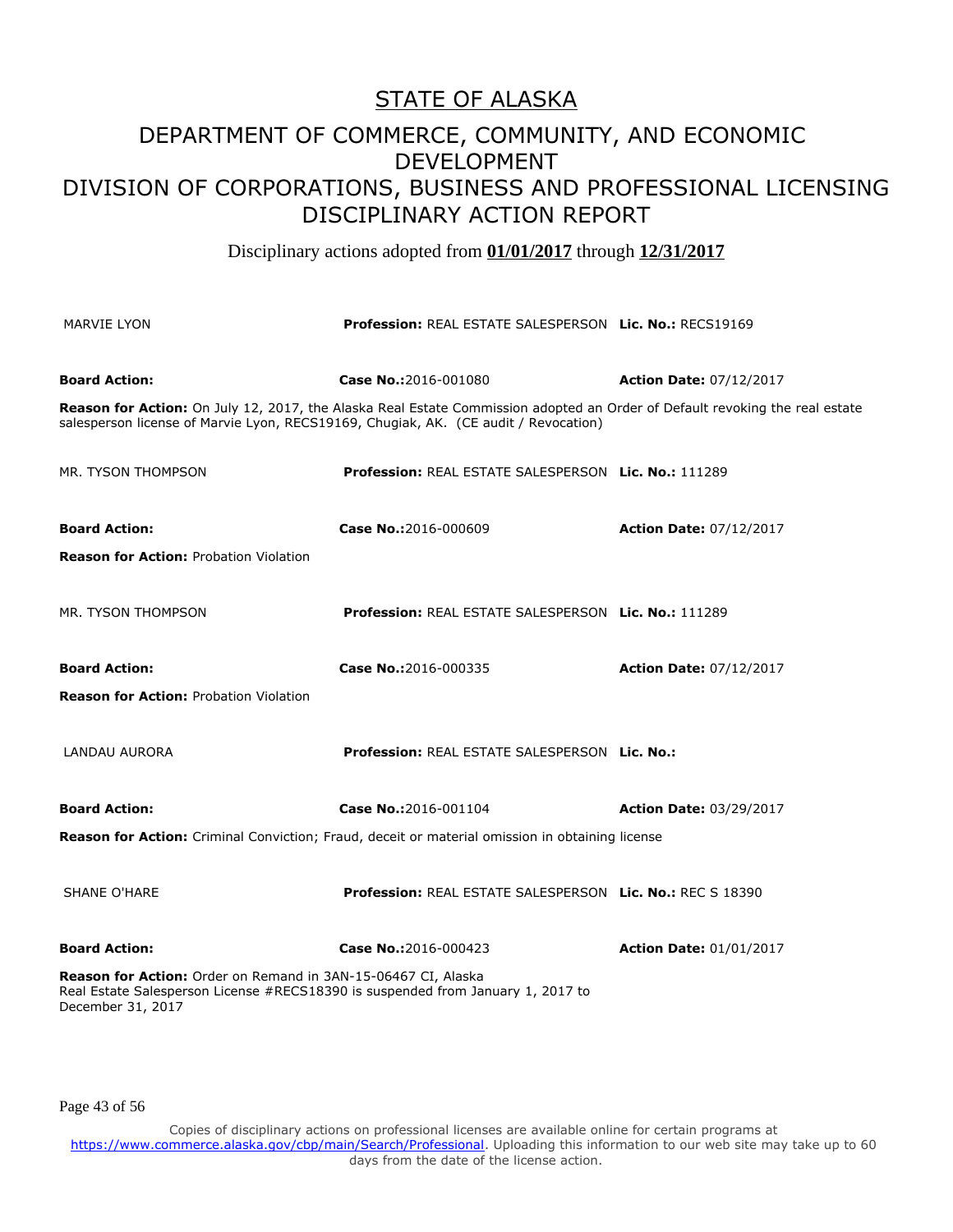Disciplinary actions adopted from **01/01/2017** through **12/31/2017**

| MARVIE LYON                                                                        | <b>Profession: REAL ESTATE SALESPERSON Lic. No.: RECS19169</b>                                                                                                                                                     |                                |
|------------------------------------------------------------------------------------|--------------------------------------------------------------------------------------------------------------------------------------------------------------------------------------------------------------------|--------------------------------|
| <b>Board Action:</b>                                                               | Case No.:2016-001080                                                                                                                                                                                               | <b>Action Date: 07/12/2017</b> |
|                                                                                    | Reason for Action: On July 12, 2017, the Alaska Real Estate Commission adopted an Order of Default revoking the real estate<br>salesperson license of Marvie Lyon, RECS19169, Chugiak, AK. (CE audit / Revocation) |                                |
| MR. TYSON THOMPSON                                                                 | Profession: REAL ESTATE SALESPERSON Lic. No.: 111289                                                                                                                                                               |                                |
| <b>Board Action:</b>                                                               | Case No.:2016-000609                                                                                                                                                                                               | <b>Action Date: 07/12/2017</b> |
| <b>Reason for Action: Probation Violation</b>                                      |                                                                                                                                                                                                                    |                                |
| MR. TYSON THOMPSON                                                                 | <b>Profession: REAL ESTATE SALESPERSON Lic. No.: 111289</b>                                                                                                                                                        |                                |
| <b>Board Action:</b>                                                               | Case No.:2016-000335                                                                                                                                                                                               | <b>Action Date: 07/12/2017</b> |
| <b>Reason for Action: Probation Violation</b>                                      |                                                                                                                                                                                                                    |                                |
| LANDAU AURORA                                                                      | <b>Profession: REAL ESTATE SALESPERSON Lic. No.:</b>                                                                                                                                                               |                                |
| <b>Board Action:</b>                                                               | Case No.:2016-001104                                                                                                                                                                                               | <b>Action Date: 03/29/2017</b> |
|                                                                                    | Reason for Action: Criminal Conviction; Fraud, deceit or material omission in obtaining license                                                                                                                    |                                |
| <b>SHANE O'HARE</b>                                                                | Profession: REAL ESTATE SALESPERSON Lic. No.: REC S 18390                                                                                                                                                          |                                |
| <b>Board Action:</b>                                                               | Case No.:2016-000423                                                                                                                                                                                               | <b>Action Date: 01/01/2017</b> |
| Reason for Action: Order on Remand in 3AN-15-06467 CI, Alaska<br>December 31, 2017 | Real Estate Salesperson License #RECS18390 is suspended from January 1, 2017 to                                                                                                                                    |                                |

Page 43 of 56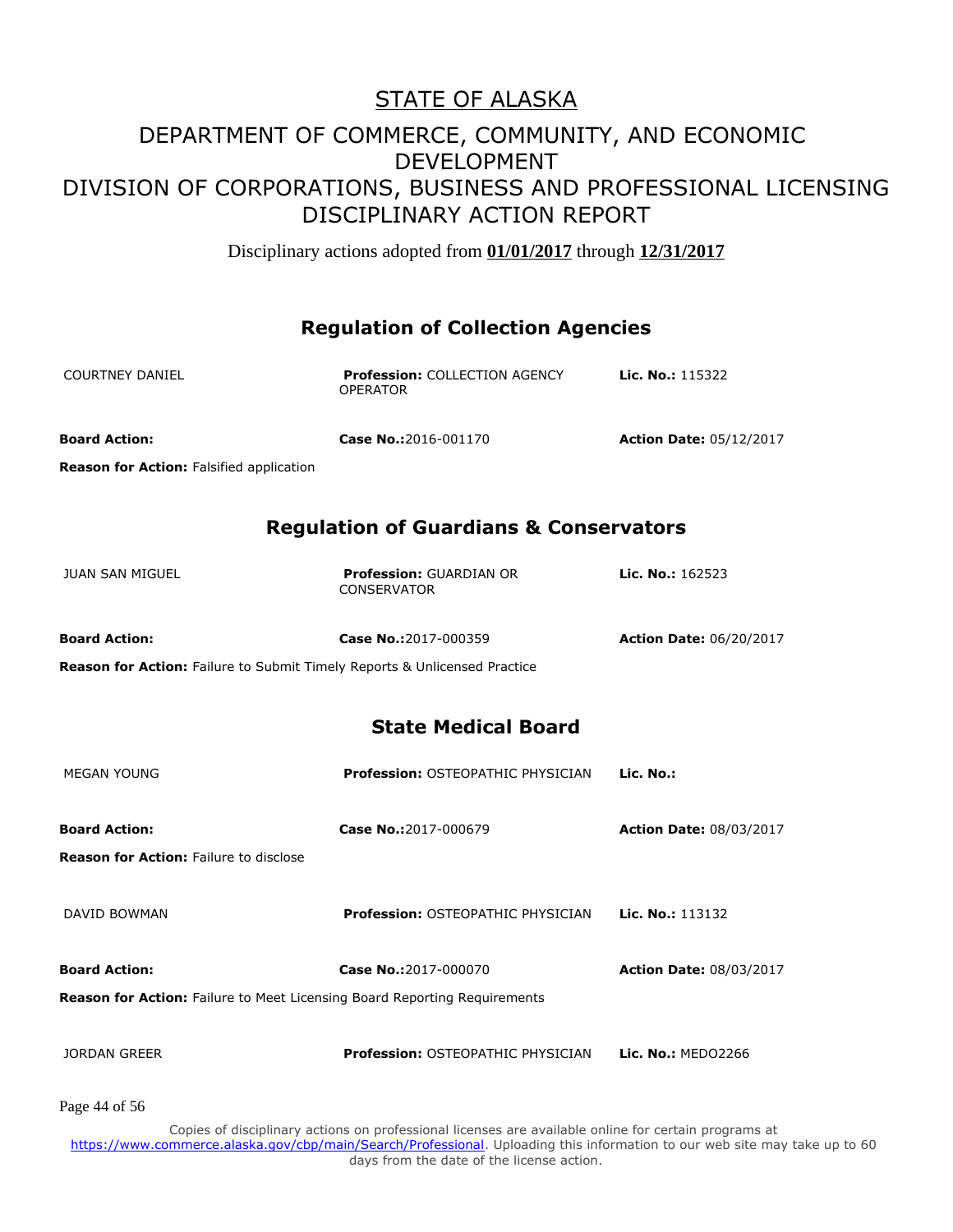Disciplinary actions adopted from **01/01/2017** through **12/31/2017**

#### **Regulation of Collection Agencies**

| <b>COURTNEY DANIEL</b>                          | <b>Profession: COLLECTION AGENCY</b><br><b>OPERATOR</b> | Lic. No.: $115322$             |
|-------------------------------------------------|---------------------------------------------------------|--------------------------------|
| <b>Board Action:</b>                            | Case No.:2016-001170                                    | <b>Action Date: 05/12/2017</b> |
| <b>Reason for Action:</b> Falsified application |                                                         |                                |

#### **Regulation of Guardians & Conservators**

| JUAN SAN MIGUEL      | <b>Profession: GUARDIAN OR</b><br><b>CONSERVATOR</b> | <b>Lic. No.:</b> $162523$      |
|----------------------|------------------------------------------------------|--------------------------------|
| <b>Board Action:</b> | Case No.:2017-000359                                 | <b>Action Date: 06/20/2017</b> |

**Reason for Action:** Failure to Submit Timely Reports & Unlicensed Practice

#### **State Medical Board**

| MEGAN YOUNG                                                                                              | <b>Profession: OSTEOPATHIC PHYSICIAN</b> | Lic. No.:                      |
|----------------------------------------------------------------------------------------------------------|------------------------------------------|--------------------------------|
| <b>Board Action:</b><br><b>Reason for Action:</b> Failure to disclose                                    | Case No.:2017-000679                     | <b>Action Date: 08/03/2017</b> |
| DAVID BOWMAN                                                                                             | <b>Profession: OSTEOPATHIC PHYSICIAN</b> | Lic. No.: 113132               |
| <b>Board Action:</b><br><b>Reason for Action:</b> Failure to Meet Licensing Board Reporting Requirements | Case No.:2017-000070                     | <b>Action Date: 08/03/2017</b> |
| <b>JORDAN GREER</b>                                                                                      | Profession: OSTEOPATHIC PHYSICIAN        | Lic. No.: MED02266             |

Page 44 of 56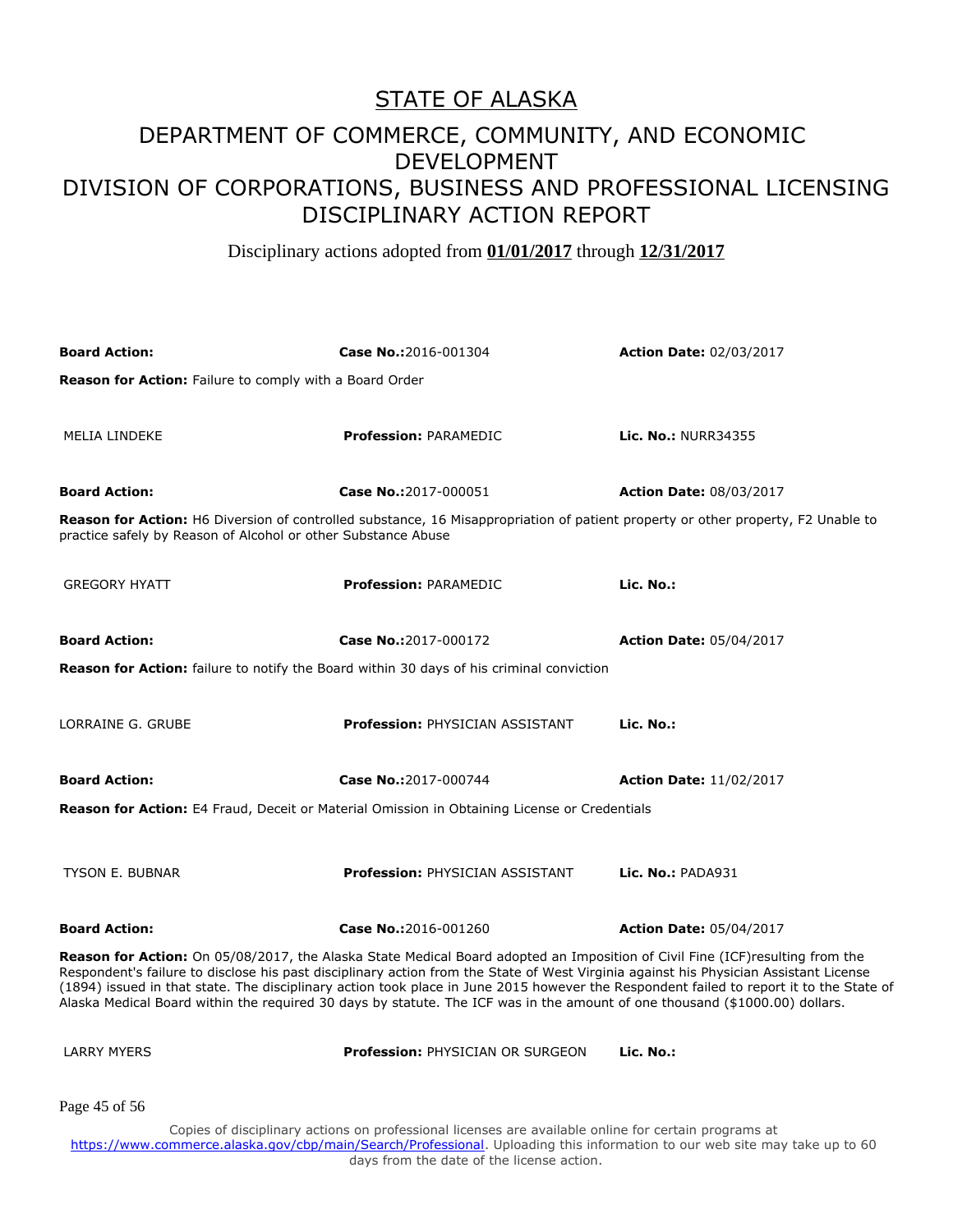Disciplinary actions adopted from **01/01/2017** through **12/31/2017**

| <b>Board Action:</b>                                                                                                                                                                                                                                                                                                                                                                                                                                                                                                                             | Case No.:2016-001304                                                                                                                                                                                                               | <b>Action Date: 02/03/2017</b> |  |
|--------------------------------------------------------------------------------------------------------------------------------------------------------------------------------------------------------------------------------------------------------------------------------------------------------------------------------------------------------------------------------------------------------------------------------------------------------------------------------------------------------------------------------------------------|------------------------------------------------------------------------------------------------------------------------------------------------------------------------------------------------------------------------------------|--------------------------------|--|
| <b>Reason for Action:</b> Failure to comply with a Board Order                                                                                                                                                                                                                                                                                                                                                                                                                                                                                   |                                                                                                                                                                                                                                    |                                |  |
|                                                                                                                                                                                                                                                                                                                                                                                                                                                                                                                                                  |                                                                                                                                                                                                                                    |                                |  |
| <b>MELIA LINDEKE</b>                                                                                                                                                                                                                                                                                                                                                                                                                                                                                                                             | <b>Profession: PARAMEDIC</b>                                                                                                                                                                                                       | <b>Lic. No.: NURR34355</b>     |  |
|                                                                                                                                                                                                                                                                                                                                                                                                                                                                                                                                                  |                                                                                                                                                                                                                                    |                                |  |
| <b>Board Action:</b>                                                                                                                                                                                                                                                                                                                                                                                                                                                                                                                             | Case No.:2017-000051                                                                                                                                                                                                               | <b>Action Date: 08/03/2017</b> |  |
| practice safely by Reason of Alcohol or other Substance Abuse                                                                                                                                                                                                                                                                                                                                                                                                                                                                                    | Reason for Action: H6 Diversion of controlled substance, 16 Misappropriation of patient property or other property, F2 Unable to                                                                                                   |                                |  |
| <b>GREGORY HYATT</b>                                                                                                                                                                                                                                                                                                                                                                                                                                                                                                                             | <b>Profession: PARAMEDIC</b>                                                                                                                                                                                                       | Lic. No.:                      |  |
|                                                                                                                                                                                                                                                                                                                                                                                                                                                                                                                                                  |                                                                                                                                                                                                                                    |                                |  |
| <b>Board Action:</b>                                                                                                                                                                                                                                                                                                                                                                                                                                                                                                                             | Case No.:2017-000172                                                                                                                                                                                                               | <b>Action Date: 05/04/2017</b> |  |
|                                                                                                                                                                                                                                                                                                                                                                                                                                                                                                                                                  | <b>Reason for Action:</b> failure to notify the Board within 30 days of his criminal conviction                                                                                                                                    |                                |  |
|                                                                                                                                                                                                                                                                                                                                                                                                                                                                                                                                                  |                                                                                                                                                                                                                                    |                                |  |
| LORRAINE G. GRUBE                                                                                                                                                                                                                                                                                                                                                                                                                                                                                                                                | <b>Profession: PHYSICIAN ASSISTANT</b>                                                                                                                                                                                             | Lic. No.:                      |  |
|                                                                                                                                                                                                                                                                                                                                                                                                                                                                                                                                                  |                                                                                                                                                                                                                                    |                                |  |
| <b>Board Action:</b>                                                                                                                                                                                                                                                                                                                                                                                                                                                                                                                             | Case No.:2017-000744                                                                                                                                                                                                               | <b>Action Date: 11/02/2017</b> |  |
| <b>Reason for Action:</b> E4 Fraud, Deceit or Material Omission in Obtaining License or Credentials                                                                                                                                                                                                                                                                                                                                                                                                                                              |                                                                                                                                                                                                                                    |                                |  |
|                                                                                                                                                                                                                                                                                                                                                                                                                                                                                                                                                  |                                                                                                                                                                                                                                    |                                |  |
| <b>TYSON E. BUBNAR</b>                                                                                                                                                                                                                                                                                                                                                                                                                                                                                                                           | <b>Profession: PHYSICIAN ASSISTANT</b>                                                                                                                                                                                             | Lic. No.: PADA931              |  |
|                                                                                                                                                                                                                                                                                                                                                                                                                                                                                                                                                  |                                                                                                                                                                                                                                    |                                |  |
| <b>Board Action:</b>                                                                                                                                                                                                                                                                                                                                                                                                                                                                                                                             | Case No.:2016-001260                                                                                                                                                                                                               | <b>Action Date: 05/04/2017</b> |  |
| Reason for Action: On 05/08/2017, the Alaska State Medical Board adopted an Imposition of Civil Fine (ICF) resulting from the<br>Respondent's failure to disclose his past disciplinary action from the State of West Virginia against his Physician Assistant License<br>(1894) issued in that state. The disciplinary action took place in June 2015 however the Respondent failed to report it to the State of<br>Alaska Medical Board within the required 30 days by statute. The ICF was in the amount of one thousand (\$1000.00) dollars. |                                                                                                                                                                                                                                    |                                |  |
| <b>LARRY MYERS</b>                                                                                                                                                                                                                                                                                                                                                                                                                                                                                                                               | <b>Profession: PHYSICIAN OR SURGEON</b>                                                                                                                                                                                            | Lic. No.:                      |  |
| Page 45 of 56                                                                                                                                                                                                                                                                                                                                                                                                                                                                                                                                    |                                                                                                                                                                                                                                    |                                |  |
|                                                                                                                                                                                                                                                                                                                                                                                                                                                                                                                                                  | Copies of disciplinary actions on professional licenses are available online for certain programs at<br>https://www.commerce.alaska.gov/cbp/main/Search/Professional. Uploading this information to our web site may take up to 60 |                                |  |
|                                                                                                                                                                                                                                                                                                                                                                                                                                                                                                                                                  |                                                                                                                                                                                                                                    |                                |  |

days from the date of the license action.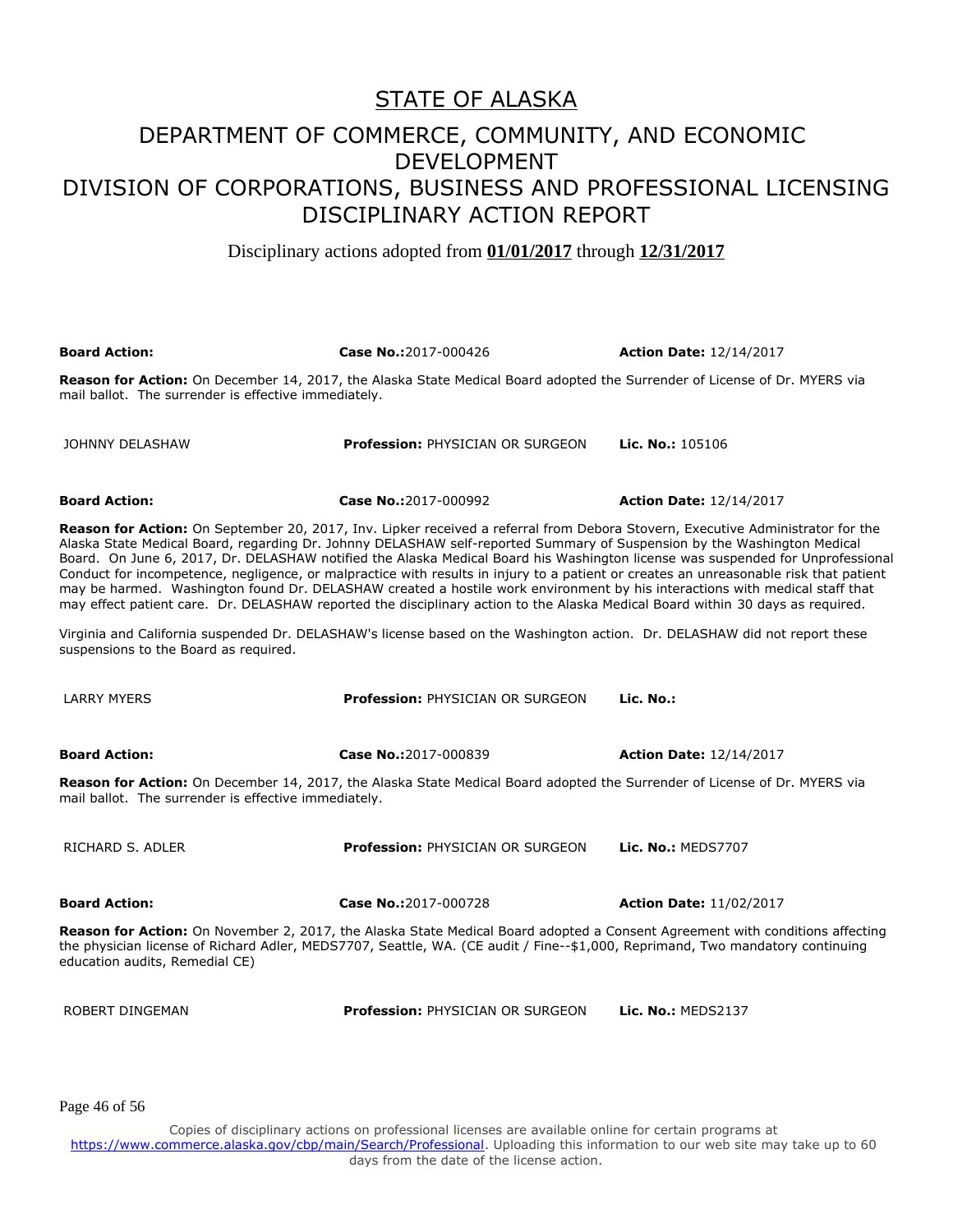Disciplinary actions adopted from **01/01/2017** through **12/31/2017**

**Board Action: Case No.:**2017-000426 **Action Date:** 12/14/2017 **Reason for Action:** On December 14, 2017, the Alaska State Medical Board adopted the Surrender of License of Dr. MYERS via mail ballot. The surrender is effective immediately. JOHNNY DELASHAW **Profession:** PHYSICIAN OR SURGEON **Lic. No.:** 105106 **Board Action: Case No.:**2017-000992 **Action Date:** 12/14/2017 **Reason for Action:** On September 20, 2017, Inv. Lipker received a referral from Debora Stovern, Executive Administrator for the Alaska State Medical Board, regarding Dr. Johnny DELASHAW self-reported Summary of Suspension by the Washington Medical Board. On June 6, 2017, Dr. DELASHAW notified the Alaska Medical Board his Washington license was suspended for Unprofessional Conduct for incompetence, negligence, or malpractice with results in injury to a patient or creates an unreasonable risk that patient may be harmed. Washington found Dr. DELASHAW created a hostile work environment by his interactions with medical staff that may effect patient care. Dr. DELASHAW reported the disciplinary action to the Alaska Medical Board within 30 days as required. Virginia and California suspended Dr. DELASHAW's license based on the Washington action. Dr. DELASHAW did not report these suspensions to the Board as required. LARRY MYERS **Profession:** PHYSICIAN OR SURGEON **Lic. No.: Board Action: Case No.:**2017-000839 **Action Date:** 12/14/2017 **Reason for Action:** On December 14, 2017, the Alaska State Medical Board adopted the Surrender of License of Dr. MYERS via mail ballot. The surrender is effective immediately. RICHARD S. ADLER **Profession:** PHYSICIAN OR SURGEON **Lic. No.:** MEDS7707 **Board Action: Case No.:**2017-000728 **Action Date:** 11/02/2017 **Reason for Action:** On November 2, 2017, the Alaska State Medical Board adopted a Consent Agreement with conditions affecting the physician license of Richard Adler, MEDS7707, Seattle, WA. (CE audit / Fine--\$1,000, Reprimand, Two mandatory continuing education audits, Remedial CE) ROBERT DINGEMAN **Profession:** PHYSICIAN OR SURGEON **Lic. No.:** MEDS2137

Page 46 of 56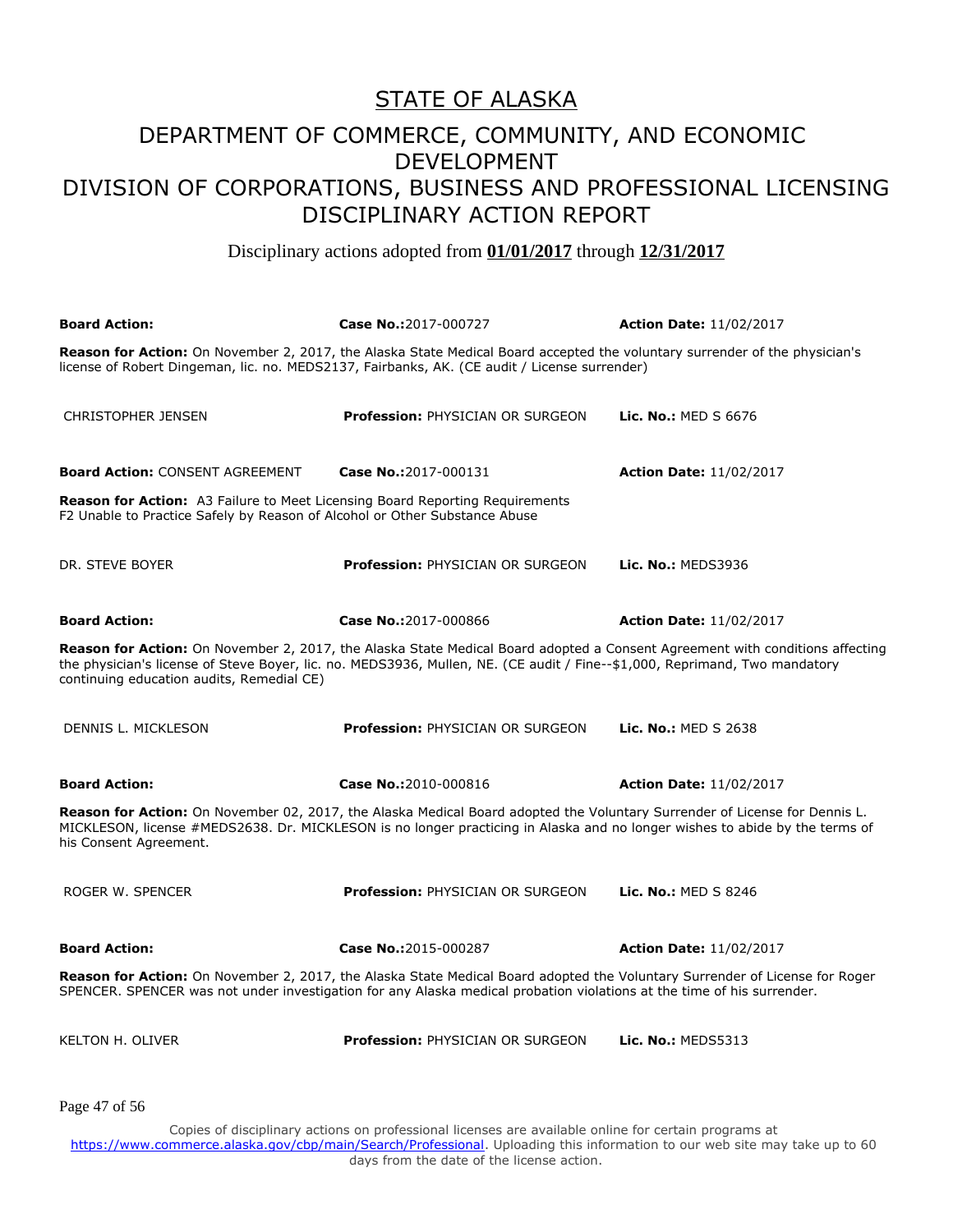### STATE OF ALASKA

### DEPARTMENT OF COMMERCE, COMMUNITY, AND ECONOMIC DEVELOPMENT DIVISION OF CORPORATIONS, BUSINESS AND PROFESSIONAL LICENSING DISCIPLINARY ACTION REPORT

Disciplinary actions adopted from **01/01/2017** through **12/31/2017**

| <b>Board Action:</b>                                                                                                                                                                                                                                                                | Case No.:2017-000727                                                                                                                                                                                                                                       | <b>Action Date: 11/02/2017</b> |  |
|-------------------------------------------------------------------------------------------------------------------------------------------------------------------------------------------------------------------------------------------------------------------------------------|------------------------------------------------------------------------------------------------------------------------------------------------------------------------------------------------------------------------------------------------------------|--------------------------------|--|
| <b>Reason for Action:</b> On November 2, 2017, the Alaska State Medical Board accepted the voluntary surrender of the physician's<br>license of Robert Dingeman, lic. no. MEDS2137, Fairbanks, AK. (CE audit / License surrender)                                                   |                                                                                                                                                                                                                                                            |                                |  |
| <b>CHRISTOPHER JENSEN</b>                                                                                                                                                                                                                                                           | <b>Profession: PHYSICIAN OR SURGEON</b>                                                                                                                                                                                                                    | Lic. No.: MED S 6676           |  |
| <b>Board Action: CONSENT AGREEMENT</b>                                                                                                                                                                                                                                              | Case No.:2017-000131                                                                                                                                                                                                                                       | <b>Action Date: 11/02/2017</b> |  |
| <b>Reason for Action:</b> A3 Failure to Meet Licensing Board Reporting Requirements<br>F2 Unable to Practice Safely by Reason of Alcohol or Other Substance Abuse                                                                                                                   |                                                                                                                                                                                                                                                            |                                |  |
| DR. STEVE BOYER                                                                                                                                                                                                                                                                     | <b>Profession: PHYSICIAN OR SURGEON</b>                                                                                                                                                                                                                    | Lic. No.: MEDS3936             |  |
| <b>Board Action:</b>                                                                                                                                                                                                                                                                | Case No.:2017-000866                                                                                                                                                                                                                                       | <b>Action Date: 11/02/2017</b> |  |
| continuing education audits, Remedial CE)                                                                                                                                                                                                                                           | Reason for Action: On November 2, 2017, the Alaska State Medical Board adopted a Consent Agreement with conditions affecting<br>the physician's license of Steve Boyer, lic. no. MEDS3936, Mullen, NE. (CE audit / Fine--\$1,000, Reprimand, Two mandatory |                                |  |
| DENNIS L. MICKLESON                                                                                                                                                                                                                                                                 | <b>Profession: PHYSICIAN OR SURGEON</b>                                                                                                                                                                                                                    | <b>Lic. No.: MED S 2638</b>    |  |
| <b>Board Action:</b>                                                                                                                                                                                                                                                                | Case No.:2010-000816                                                                                                                                                                                                                                       | <b>Action Date: 11/02/2017</b> |  |
| Reason for Action: On November 02, 2017, the Alaska Medical Board adopted the Voluntary Surrender of License for Dennis L.<br>MICKLESON, license #MEDS2638. Dr. MICKLESON is no longer practicing in Alaska and no longer wishes to abide by the terms of<br>his Consent Agreement. |                                                                                                                                                                                                                                                            |                                |  |
| ROGER W. SPENCER                                                                                                                                                                                                                                                                    | <b>Profession: PHYSICIAN OR SURGEON</b>                                                                                                                                                                                                                    | <b>Lic. No.: MED S 8246</b>    |  |
| <b>Board Action:</b>                                                                                                                                                                                                                                                                | Case No.:2015-000287                                                                                                                                                                                                                                       | <b>Action Date: 11/02/2017</b> |  |
| Reason for Action: On November 2, 2017, the Alaska State Medical Board adopted the Voluntary Surrender of License for Roger<br>SPENCER. SPENCER was not under investigation for any Alaska medical probation violations at the time of his surrender.                               |                                                                                                                                                                                                                                                            |                                |  |
| KELTON H. OLIVER                                                                                                                                                                                                                                                                    | Profession: PHYSICIAN OR SURGEON                                                                                                                                                                                                                           | <b>Lic. No.: MEDS5313</b>      |  |
| Page 47 of 56                                                                                                                                                                                                                                                                       |                                                                                                                                                                                                                                                            |                                |  |
|                                                                                                                                                                                                                                                                                     | Copies of disciplinary actions on professional licenses are available online for certain programs at                                                                                                                                                       |                                |  |

https://www.commerce.alaska.gov/cbp/main/Search/Professional</u>. Uploading this information to our web site may take up to 60 days from the date of the license action.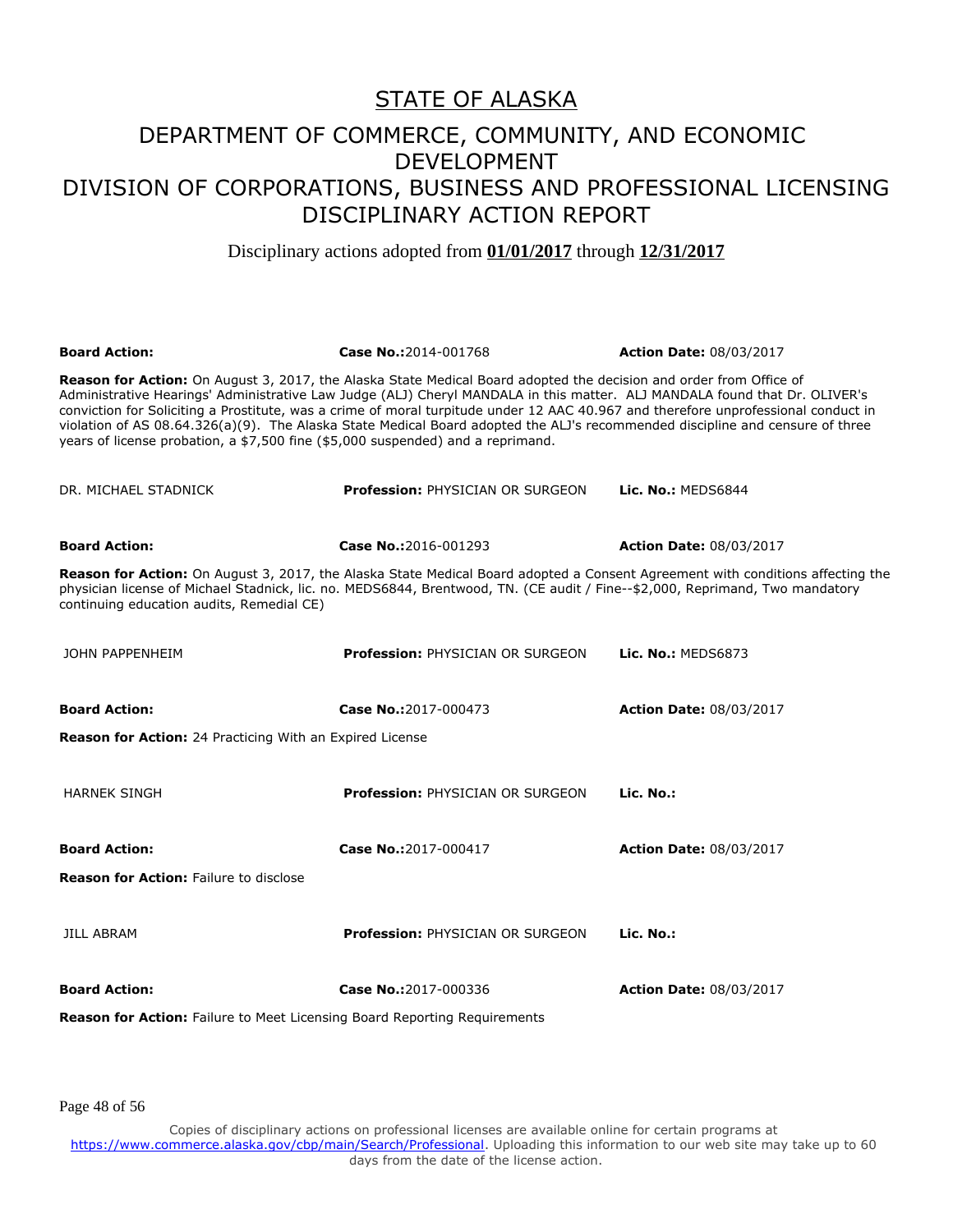Disciplinary actions adopted from **01/01/2017** through **12/31/2017**

| <b>Board Action:</b>                                                                                                                                                                                                                                                                                                                                                                                                                                                                                                                                                                                       | Case No.:2014-001768                    | <b>Action Date: 08/03/2017</b> |  |
|------------------------------------------------------------------------------------------------------------------------------------------------------------------------------------------------------------------------------------------------------------------------------------------------------------------------------------------------------------------------------------------------------------------------------------------------------------------------------------------------------------------------------------------------------------------------------------------------------------|-----------------------------------------|--------------------------------|--|
| Reason for Action: On August 3, 2017, the Alaska State Medical Board adopted the decision and order from Office of<br>Administrative Hearings' Administrative Law Judge (ALJ) Cheryl MANDALA in this matter. ALJ MANDALA found that Dr. OLIVER's<br>conviction for Soliciting a Prostitute, was a crime of moral turpitude under 12 AAC 40.967 and therefore unprofessional conduct in<br>violation of AS 08.64.326(a)(9). The Alaska State Medical Board adopted the ALJ's recommended discipline and censure of three<br>years of license probation, a \$7,500 fine (\$5,000 suspended) and a reprimand. |                                         |                                |  |
| DR. MICHAEL STADNICK                                                                                                                                                                                                                                                                                                                                                                                                                                                                                                                                                                                       | <b>Profession: PHYSICIAN OR SURGEON</b> | <b>Lic. No.: MEDS6844</b>      |  |
| <b>Board Action:</b>                                                                                                                                                                                                                                                                                                                                                                                                                                                                                                                                                                                       | Case No.:2016-001293                    | <b>Action Date: 08/03/2017</b> |  |
| Reason for Action: On August 3, 2017, the Alaska State Medical Board adopted a Consent Agreement with conditions affecting the<br>physician license of Michael Stadnick, lic. no. MEDS6844, Brentwood, TN. (CE audit / Fine--\$2,000, Reprimand, Two mandatory<br>continuing education audits, Remedial CE)                                                                                                                                                                                                                                                                                                |                                         |                                |  |
| JOHN PAPPENHEIM                                                                                                                                                                                                                                                                                                                                                                                                                                                                                                                                                                                            | <b>Profession: PHYSICIAN OR SURGEON</b> | <b>Lic. No.: MEDS6873</b>      |  |
| <b>Board Action:</b>                                                                                                                                                                                                                                                                                                                                                                                                                                                                                                                                                                                       | Case No.:2017-000473                    | <b>Action Date: 08/03/2017</b> |  |
| Reason for Action: 24 Practicing With an Expired License                                                                                                                                                                                                                                                                                                                                                                                                                                                                                                                                                   |                                         |                                |  |
| <b>HARNEK SINGH</b>                                                                                                                                                                                                                                                                                                                                                                                                                                                                                                                                                                                        | Profession: PHYSICIAN OR SURGEON        | Lic. No.:                      |  |
| <b>Board Action:</b>                                                                                                                                                                                                                                                                                                                                                                                                                                                                                                                                                                                       | Case No.:2017-000417                    | <b>Action Date: 08/03/2017</b> |  |
| <b>Reason for Action: Failure to disclose</b>                                                                                                                                                                                                                                                                                                                                                                                                                                                                                                                                                              |                                         |                                |  |
| <b>JILL ABRAM</b>                                                                                                                                                                                                                                                                                                                                                                                                                                                                                                                                                                                          | <b>Profession: PHYSICIAN OR SURGEON</b> | Lic. No.:                      |  |
| <b>Board Action:</b>                                                                                                                                                                                                                                                                                                                                                                                                                                                                                                                                                                                       | Case No.:2017-000336                    | <b>Action Date: 08/03/2017</b> |  |
| <b>Reason for Action:</b> Failure to Meet Licensing Board Reporting Requirements                                                                                                                                                                                                                                                                                                                                                                                                                                                                                                                           |                                         |                                |  |

Page 48 of 56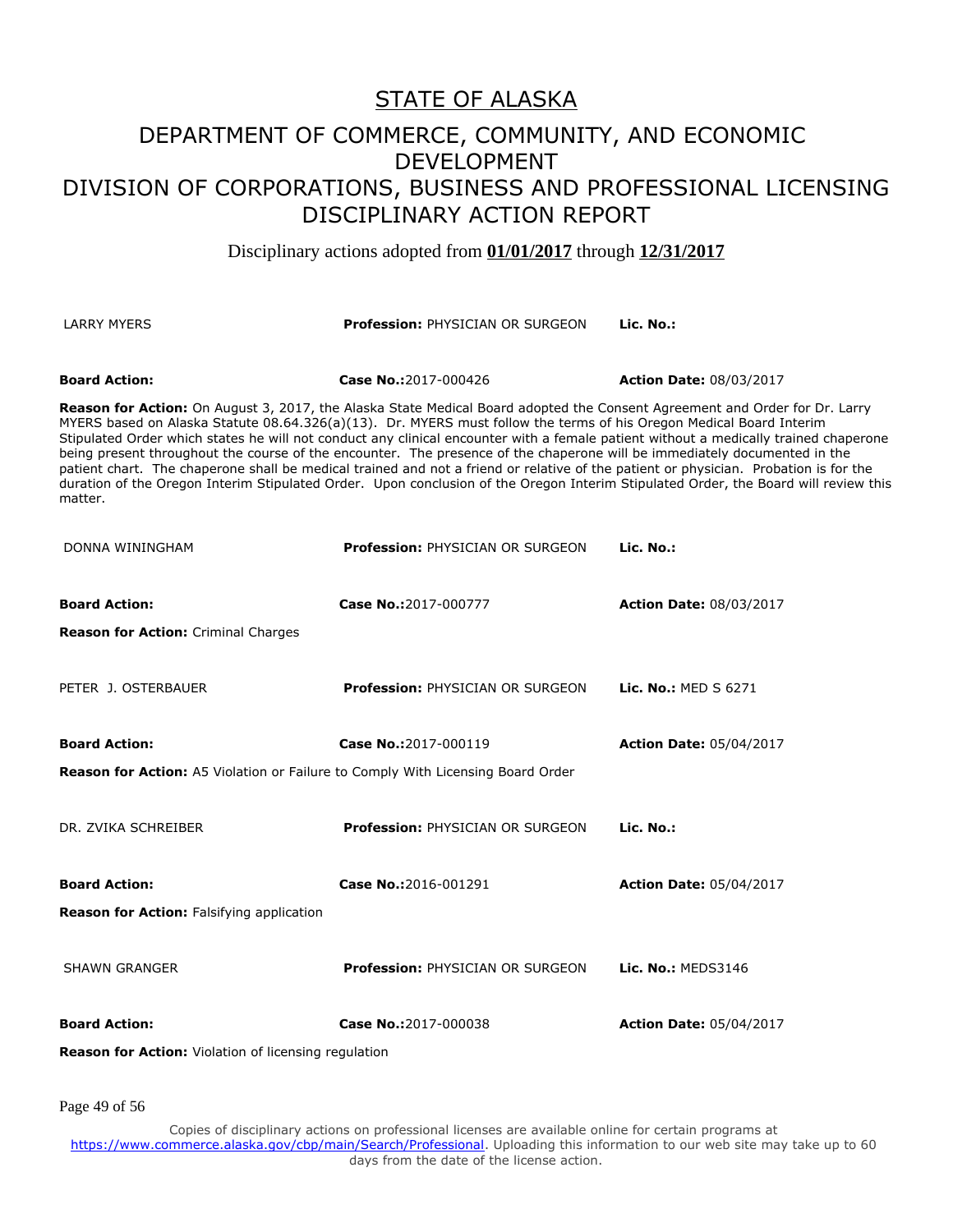Disciplinary actions adopted from **01/01/2017** through **12/31/2017**

| <b>LARRY MYERS</b>                                                                     | <b>Profession: PHYSICIAN OR SURGEON</b>                                                                                                                                                                                                                                                                                                                                                                                                                                                                                                                                                                                                                        | Lic. No.:                                                                                                                           |
|----------------------------------------------------------------------------------------|----------------------------------------------------------------------------------------------------------------------------------------------------------------------------------------------------------------------------------------------------------------------------------------------------------------------------------------------------------------------------------------------------------------------------------------------------------------------------------------------------------------------------------------------------------------------------------------------------------------------------------------------------------------|-------------------------------------------------------------------------------------------------------------------------------------|
| <b>Board Action:</b>                                                                   | Case No.:2017-000426                                                                                                                                                                                                                                                                                                                                                                                                                                                                                                                                                                                                                                           | <b>Action Date: 08/03/2017</b>                                                                                                      |
| matter.                                                                                | Reason for Action: On August 3, 2017, the Alaska State Medical Board adopted the Consent Agreement and Order for Dr. Larry<br>MYERS based on Alaska Statute 08.64.326(a)(13). Dr. MYERS must follow the terms of his Oregon Medical Board Interim<br>Stipulated Order which states he will not conduct any clinical encounter with a female patient without a medically trained chaperone<br>being present throughout the course of the encounter. The presence of the chaperone will be immediately documented in the<br>patient chart. The chaperone shall be medical trained and not a friend or relative of the patient or physician. Probation is for the | duration of the Oregon Interim Stipulated Order. Upon conclusion of the Oregon Interim Stipulated Order, the Board will review this |
| DONNA WININGHAM                                                                        | <b>Profession: PHYSICIAN OR SURGEON</b>                                                                                                                                                                                                                                                                                                                                                                                                                                                                                                                                                                                                                        | Lic. No.:                                                                                                                           |
| <b>Board Action:</b>                                                                   | Case No.:2017-000777                                                                                                                                                                                                                                                                                                                                                                                                                                                                                                                                                                                                                                           | <b>Action Date: 08/03/2017</b>                                                                                                      |
| <b>Reason for Action: Criminal Charges</b>                                             |                                                                                                                                                                                                                                                                                                                                                                                                                                                                                                                                                                                                                                                                |                                                                                                                                     |
| PETER J. OSTERBAUER                                                                    | <b>Profession: PHYSICIAN OR SURGEON</b>                                                                                                                                                                                                                                                                                                                                                                                                                                                                                                                                                                                                                        | <b>Lic. No.: MED S 6271</b>                                                                                                         |
| <b>Board Action:</b>                                                                   | Case No.:2017-000119                                                                                                                                                                                                                                                                                                                                                                                                                                                                                                                                                                                                                                           | <b>Action Date: 05/04/2017</b>                                                                                                      |
| <b>Reason for Action:</b> A5 Violation or Failure to Comply With Licensing Board Order |                                                                                                                                                                                                                                                                                                                                                                                                                                                                                                                                                                                                                                                                |                                                                                                                                     |
| DR. ZVIKA SCHREIBER                                                                    | <b>Profession: PHYSICIAN OR SURGEON</b>                                                                                                                                                                                                                                                                                                                                                                                                                                                                                                                                                                                                                        | Lic. No.:                                                                                                                           |
| <b>Board Action:</b>                                                                   | Case No.:2016-001291                                                                                                                                                                                                                                                                                                                                                                                                                                                                                                                                                                                                                                           | <b>Action Date: 05/04/2017</b>                                                                                                      |
| <b>Reason for Action:</b> Falsifying application                                       |                                                                                                                                                                                                                                                                                                                                                                                                                                                                                                                                                                                                                                                                |                                                                                                                                     |
| <b>SHAWN GRANGER</b>                                                                   | <b>Profession: PHYSICIAN OR SURGEON</b>                                                                                                                                                                                                                                                                                                                                                                                                                                                                                                                                                                                                                        | <b>Lic. No.: MEDS3146</b>                                                                                                           |
| <b>Board Action:</b>                                                                   | Case No.:2017-000038                                                                                                                                                                                                                                                                                                                                                                                                                                                                                                                                                                                                                                           | <b>Action Date: 05/04/2017</b>                                                                                                      |
| Reason for Action: Violation of licensing regulation                                   |                                                                                                                                                                                                                                                                                                                                                                                                                                                                                                                                                                                                                                                                |                                                                                                                                     |
|                                                                                        |                                                                                                                                                                                                                                                                                                                                                                                                                                                                                                                                                                                                                                                                |                                                                                                                                     |

Page 49 of 56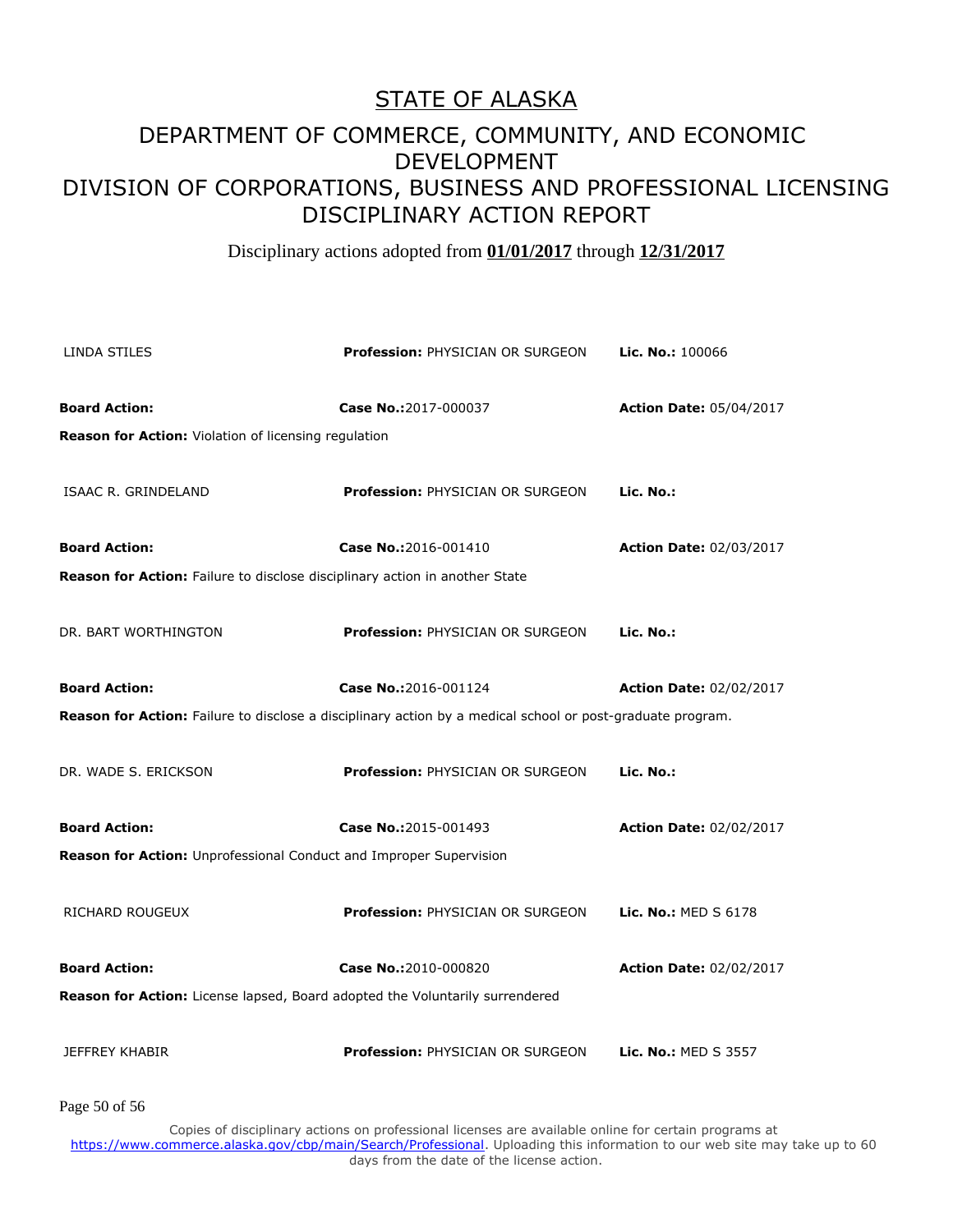Disciplinary actions adopted from **01/01/2017** through **12/31/2017**

| <b>LINDA STILES</b>                                                                                        | <b>Profession: PHYSICIAN OR SURGEON</b> | Lic. No.: 100066               |  |
|------------------------------------------------------------------------------------------------------------|-----------------------------------------|--------------------------------|--|
| <b>Board Action:</b>                                                                                       | Case No.:2017-000037                    | <b>Action Date: 05/04/2017</b> |  |
| Reason for Action: Violation of licensing regulation                                                       |                                         |                                |  |
| ISAAC R. GRINDELAND                                                                                        | Profession: PHYSICIAN OR SURGEON        | Lic. No.:                      |  |
| <b>Board Action:</b>                                                                                       | Case No.:2016-001410                    | <b>Action Date: 02/03/2017</b> |  |
| Reason for Action: Failure to disclose disciplinary action in another State                                |                                         |                                |  |
| DR. BART WORTHINGTON                                                                                       | <b>Profession: PHYSICIAN OR SURGEON</b> | Lic. No.:                      |  |
| <b>Board Action:</b>                                                                                       | Case No.:2016-001124                    | <b>Action Date: 02/02/2017</b> |  |
| Reason for Action: Failure to disclose a disciplinary action by a medical school or post-graduate program. |                                         |                                |  |
| DR. WADE S. ERICKSON                                                                                       | Profession: PHYSICIAN OR SURGEON        | Lic. No.:                      |  |
| <b>Board Action:</b>                                                                                       | Case No.:2015-001493                    | <b>Action Date: 02/02/2017</b> |  |
| Reason for Action: Unprofessional Conduct and Improper Supervision                                         |                                         |                                |  |
| <b>RICHARD ROUGEUX</b>                                                                                     | <b>Profession: PHYSICIAN OR SURGEON</b> | Lic. No.: MED S 6178           |  |
| <b>Board Action:</b>                                                                                       | Case No.:2010-000820                    | <b>Action Date: 02/02/2017</b> |  |
| Reason for Action: License lapsed, Board adopted the Voluntarily surrendered                               |                                         |                                |  |
| <b>JEFFREY KHABIR</b>                                                                                      | <b>Profession: PHYSICIAN OR SURGEON</b> | <b>Lic. No.: MED S 3557</b>    |  |

Page 50 of 56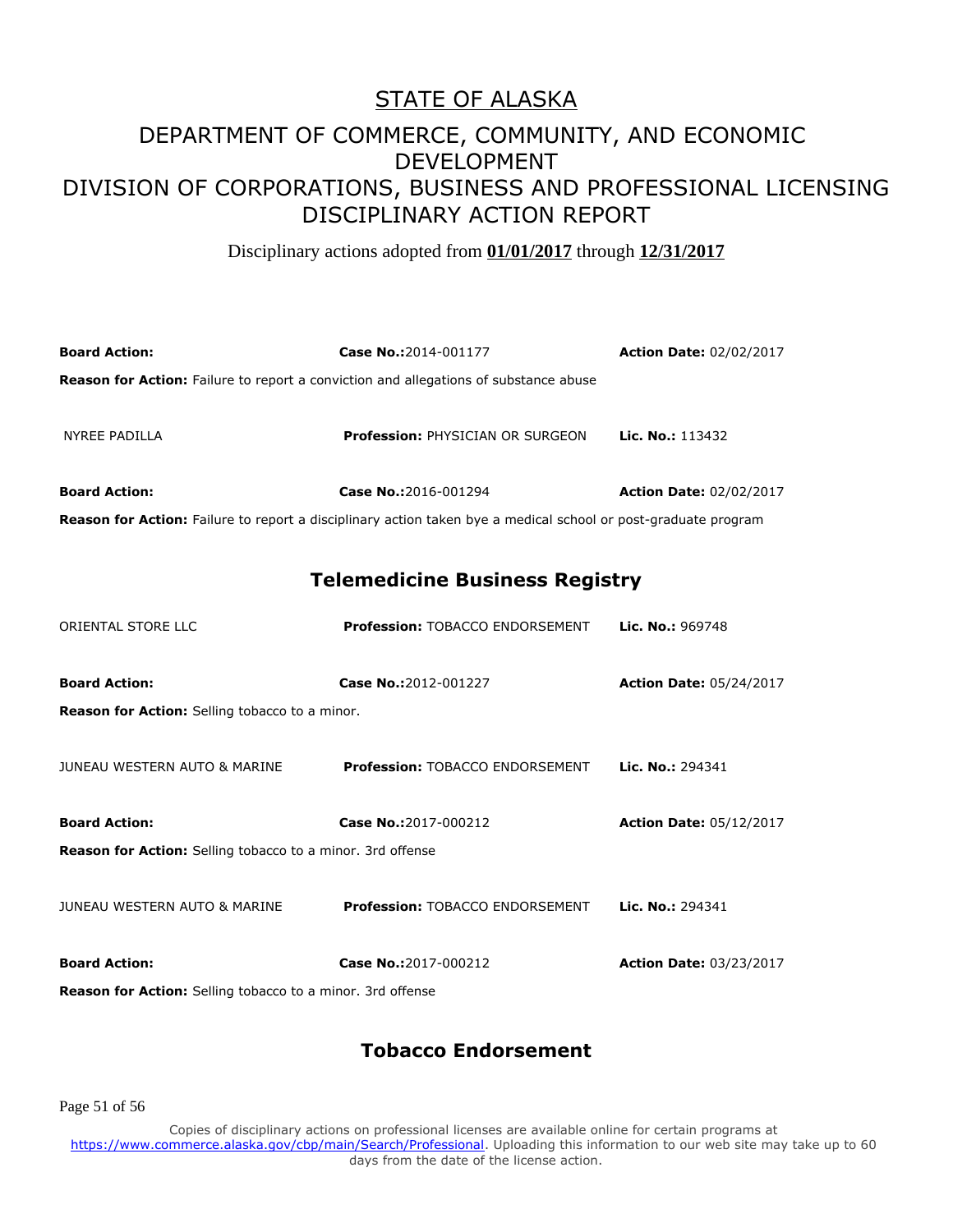Disciplinary actions adopted from **01/01/2017** through **12/31/2017**

| <b>Board Action:</b>                                                                        | Case No.:2014-001177                                                                                                                   | <b>Action Date: 02/02/2017</b> |  |  |  |
|---------------------------------------------------------------------------------------------|----------------------------------------------------------------------------------------------------------------------------------------|--------------------------------|--|--|--|
| <b>Reason for Action:</b> Failure to report a conviction and allegations of substance abuse |                                                                                                                                        |                                |  |  |  |
| <b>NYREE PADILLA</b>                                                                        | <b>Profession: PHYSICIAN OR SURGEON</b>                                                                                                | Lic. No.: 113432               |  |  |  |
| <b>Board Action:</b>                                                                        | Case No.:2016-001294<br>Reason for Action: Failure to report a disciplinary action taken bye a medical school or post-graduate program | <b>Action Date: 02/02/2017</b> |  |  |  |
| <b>Telemedicine Business Registry</b>                                                       |                                                                                                                                        |                                |  |  |  |
| ORIENTAL STORE LLC                                                                          | Profession: TOBACCO ENDORSEMENT                                                                                                        | Lic. No.: 969748               |  |  |  |
| <b>Board Action:</b>                                                                        | Case No.:2012-001227                                                                                                                   | <b>Action Date: 05/24/2017</b> |  |  |  |
| Reason for Action: Selling tobacco to a minor.                                              |                                                                                                                                        |                                |  |  |  |
| <b>JUNEAU WESTERN AUTO &amp; MARINE</b>                                                     | Profession: TOBACCO ENDORSEMENT                                                                                                        | Lic. No.: 294341               |  |  |  |
| <b>Board Action:</b>                                                                        | Case No.:2017-000212                                                                                                                   | <b>Action Date: 05/12/2017</b> |  |  |  |
| Reason for Action: Selling tobacco to a minor. 3rd offense                                  |                                                                                                                                        |                                |  |  |  |
| <b>JUNEAU WESTERN AUTO &amp; MARINE</b>                                                     | Profession: TOBACCO ENDORSEMENT                                                                                                        | Lic. No.: 294341               |  |  |  |
| <b>Board Action:</b>                                                                        | Case No.:2017-000212                                                                                                                   | <b>Action Date: 03/23/2017</b> |  |  |  |
| Reason for Action: Selling tobacco to a minor. 3rd offense                                  |                                                                                                                                        |                                |  |  |  |

#### **Tobacco Endorsement**

Page 51 of 56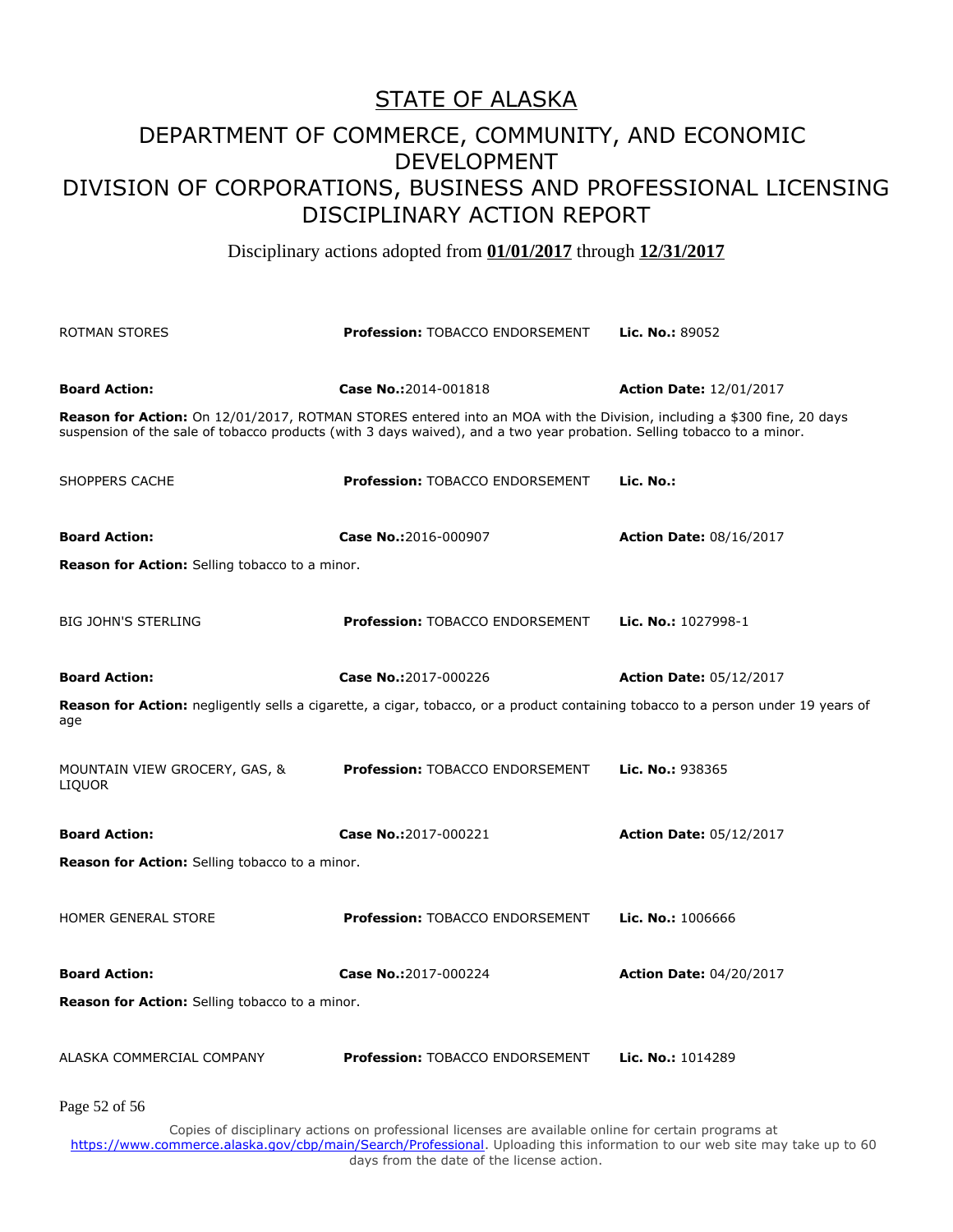Disciplinary actions adopted from **01/01/2017** through **12/31/2017**

| ROTMAN STORES                                                                                        | <b>Profession: TOBACCO ENDORSEMENT</b>                                                                                                                                                                                                           | <b>Lic. No.: 89052</b>         |  |  |
|------------------------------------------------------------------------------------------------------|--------------------------------------------------------------------------------------------------------------------------------------------------------------------------------------------------------------------------------------------------|--------------------------------|--|--|
| <b>Board Action:</b>                                                                                 | Case No.:2014-001818                                                                                                                                                                                                                             | <b>Action Date: 12/01/2017</b> |  |  |
|                                                                                                      | Reason for Action: On 12/01/2017, ROTMAN STORES entered into an MOA with the Division, including a \$300 fine, 20 days<br>suspension of the sale of tobacco products (with 3 days waived), and a two year probation. Selling tobacco to a minor. |                                |  |  |
| SHOPPERS CACHE                                                                                       | Profession: TOBACCO ENDORSEMENT                                                                                                                                                                                                                  | Lic. No.:                      |  |  |
| <b>Board Action:</b>                                                                                 | Case No.:2016-000907                                                                                                                                                                                                                             | <b>Action Date: 08/16/2017</b> |  |  |
| Reason for Action: Selling tobacco to a minor.                                                       |                                                                                                                                                                                                                                                  |                                |  |  |
| <b>BIG JOHN'S STERLING</b>                                                                           | <b>Profession: TOBACCO ENDORSEMENT</b>                                                                                                                                                                                                           | Lic. No.: 1027998-1            |  |  |
| <b>Board Action:</b>                                                                                 | Case No.:2017-000226                                                                                                                                                                                                                             | <b>Action Date: 05/12/2017</b> |  |  |
| age                                                                                                  | Reason for Action: negligently sells a cigarette, a cigar, tobacco, or a product containing tobacco to a person under 19 years of                                                                                                                |                                |  |  |
| MOUNTAIN VIEW GROCERY, GAS, &<br><b>LIQUOR</b>                                                       | Profession: TOBACCO ENDORSEMENT                                                                                                                                                                                                                  | Lic. No.: 938365               |  |  |
| <b>Board Action:</b>                                                                                 | Case No.:2017-000221                                                                                                                                                                                                                             | <b>Action Date: 05/12/2017</b> |  |  |
| Reason for Action: Selling tobacco to a minor.                                                       |                                                                                                                                                                                                                                                  |                                |  |  |
| HOMER GENERAL STORE                                                                                  | Profession: TOBACCO ENDORSEMENT                                                                                                                                                                                                                  | Lic. No.: 1006666              |  |  |
| <b>Board Action:</b>                                                                                 | Case No.:2017-000224                                                                                                                                                                                                                             | <b>Action Date: 04/20/2017</b> |  |  |
| Reason for Action: Selling tobacco to a minor.                                                       |                                                                                                                                                                                                                                                  |                                |  |  |
| ALASKA COMMERCIAL COMPANY                                                                            | Profession: TOBACCO ENDORSEMENT                                                                                                                                                                                                                  | Lic. No.: 1014289              |  |  |
| Page 52 of 56                                                                                        |                                                                                                                                                                                                                                                  |                                |  |  |
| Copies of disciplinary actions on professional licenses are available online for certain programs at |                                                                                                                                                                                                                                                  |                                |  |  |

https://www.commerce.alaska.gov/cbp/main/Search/Professional</u>. Uploading this information to our web site may take up to 60 days from the date of the license action.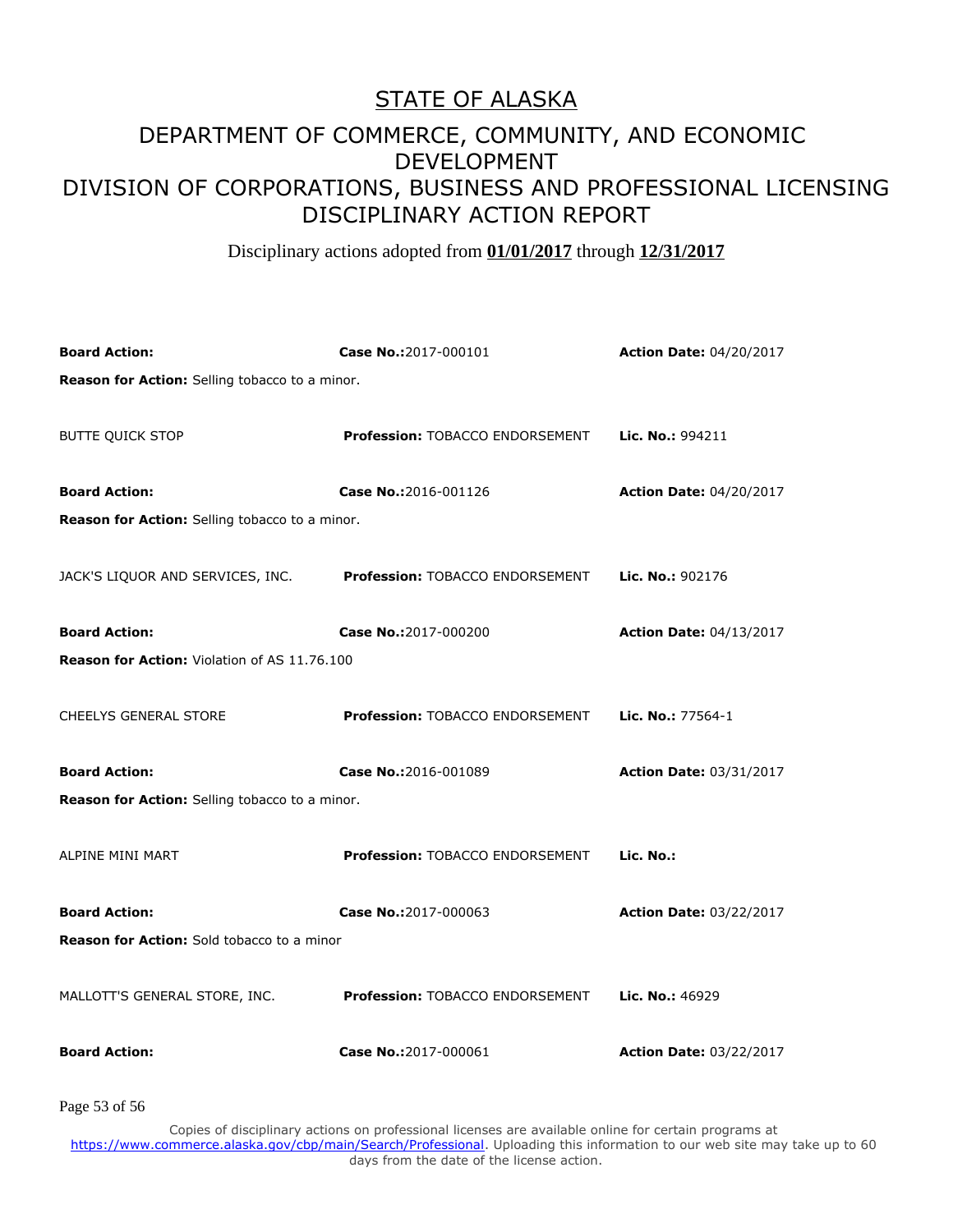Disciplinary actions adopted from **01/01/2017** through **12/31/2017**

| <b>Board Action:</b>                                | Case No.:2017-000101                   | <b>Action Date: 04/20/2017</b> |  |  |
|-----------------------------------------------------|----------------------------------------|--------------------------------|--|--|
| Reason for Action: Selling tobacco to a minor.      |                                        |                                |  |  |
|                                                     |                                        |                                |  |  |
| <b>BUTTE QUICK STOP</b>                             | <b>Profession: TOBACCO ENDORSEMENT</b> | Lic. No.: 994211               |  |  |
|                                                     |                                        |                                |  |  |
| <b>Board Action:</b>                                | Case No.:2016-001126                   | <b>Action Date: 04/20/2017</b> |  |  |
| Reason for Action: Selling tobacco to a minor.      |                                        |                                |  |  |
|                                                     |                                        |                                |  |  |
| JACK'S LIQUOR AND SERVICES, INC.                    | Profession: TOBACCO ENDORSEMENT        | Lic. No.: 902176               |  |  |
|                                                     |                                        |                                |  |  |
| <b>Board Action:</b>                                | Case No.:2017-000200                   | <b>Action Date: 04/13/2017</b> |  |  |
| <b>Reason for Action: Violation of AS 11.76.100</b> |                                        |                                |  |  |
|                                                     |                                        |                                |  |  |
| <b>CHEELYS GENERAL STORE</b>                        | Profession: TOBACCO ENDORSEMENT        | Lic. No.: 77564-1              |  |  |
|                                                     |                                        |                                |  |  |
| <b>Board Action:</b>                                | Case No.:2016-001089                   | <b>Action Date: 03/31/2017</b> |  |  |
| Reason for Action: Selling tobacco to a minor.      |                                        |                                |  |  |
|                                                     |                                        |                                |  |  |
| ALPINE MINI MART                                    | <b>Profession: TOBACCO ENDORSEMENT</b> | Lic. No.:                      |  |  |
|                                                     |                                        |                                |  |  |
| <b>Board Action:</b>                                | Case No.:2017-000063                   | <b>Action Date: 03/22/2017</b> |  |  |
| <b>Reason for Action:</b> Sold tobacco to a minor   |                                        |                                |  |  |
|                                                     |                                        |                                |  |  |
| MALLOTT'S GENERAL STORE, INC.                       | Profession: TOBACCO ENDORSEMENT        | Lic. No.: 46929                |  |  |
|                                                     |                                        |                                |  |  |
| <b>Board Action:</b>                                | Case No.:2017-000061                   | <b>Action Date: 03/22/2017</b> |  |  |
|                                                     |                                        |                                |  |  |
|                                                     |                                        |                                |  |  |

Page 53 of 56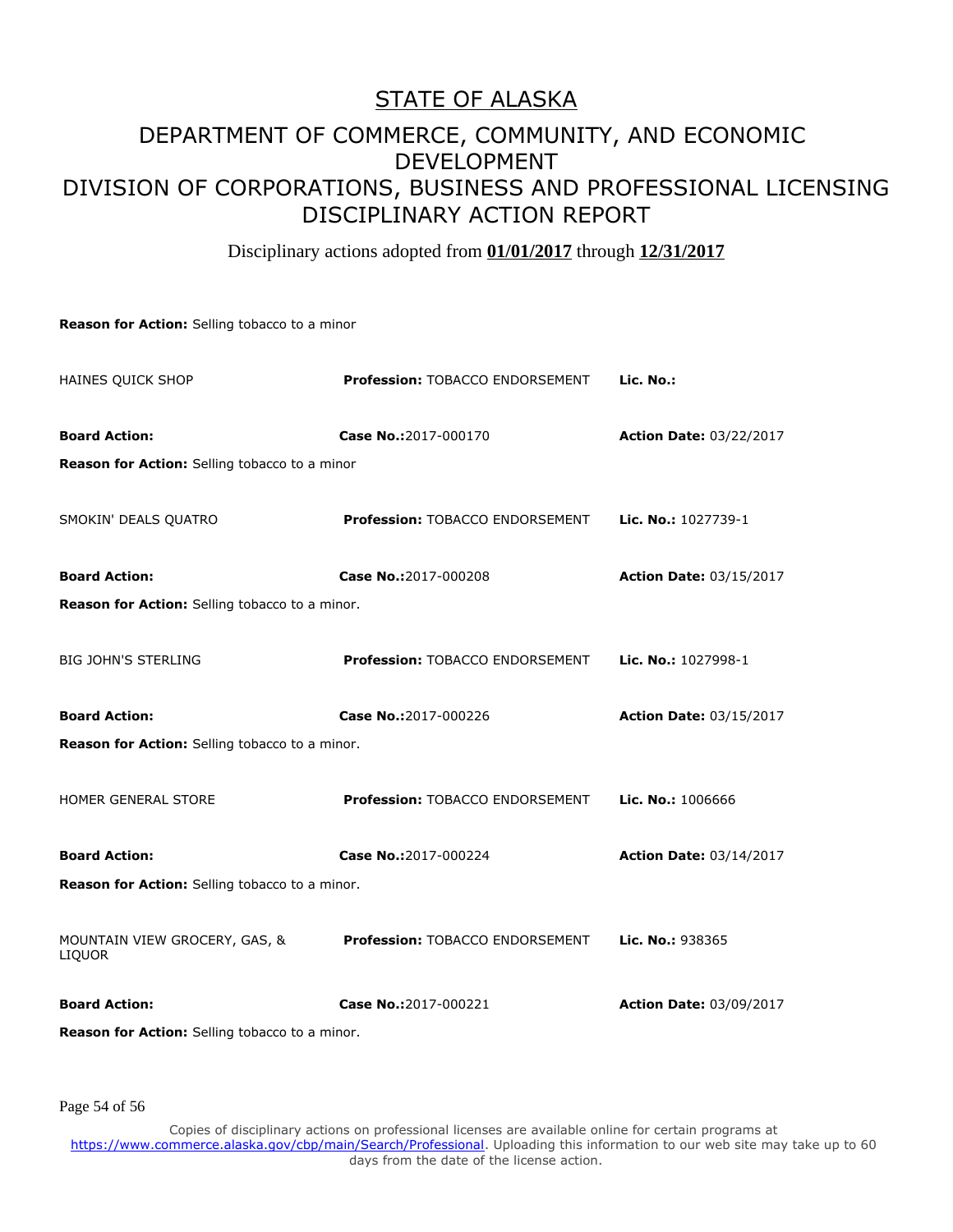#### STATE OF ALASKA

### DEPARTMENT OF COMMERCE, COMMUNITY, AND ECONOMIC DEVELOPMENT DIVISION OF CORPORATIONS, BUSINESS AND PROFESSIONAL LICENSING DISCIPLINARY ACTION REPORT

Disciplinary actions adopted from **01/01/2017** through **12/31/2017**

| <b>Reason for Action:</b> Selling tobacco to a minor  |                                        |                                |  |  |
|-------------------------------------------------------|----------------------------------------|--------------------------------|--|--|
| HAINES QUICK SHOP                                     | Profession: TOBACCO ENDORSEMENT        | Lic. No.:                      |  |  |
| <b>Board Action:</b>                                  | Case No.:2017-000170                   | <b>Action Date: 03/22/2017</b> |  |  |
| Reason for Action: Selling tobacco to a minor         |                                        |                                |  |  |
| SMOKIN' DEALS QUATRO                                  | <b>Profession: TOBACCO ENDORSEMENT</b> | Lic. No.: 1027739-1            |  |  |
| <b>Board Action:</b>                                  | Case No.:2017-000208                   | <b>Action Date: 03/15/2017</b> |  |  |
| <b>Reason for Action:</b> Selling tobacco to a minor. |                                        |                                |  |  |
| <b>BIG JOHN'S STERLING</b>                            | <b>Profession: TOBACCO ENDORSEMENT</b> | Lic. No.: 1027998-1            |  |  |
| <b>Board Action:</b>                                  | Case No.:2017-000226                   | <b>Action Date: 03/15/2017</b> |  |  |
| Reason for Action: Selling tobacco to a minor.        |                                        |                                |  |  |
| <b>HOMER GENERAL STORE</b>                            | <b>Profession: TOBACCO ENDORSEMENT</b> | Lic. No.: 1006666              |  |  |
| <b>Board Action:</b>                                  | Case No.:2017-000224                   | <b>Action Date: 03/14/2017</b> |  |  |
| Reason for Action: Selling tobacco to a minor.        |                                        |                                |  |  |
| MOUNTAIN VIEW GROCERY, GAS, &<br><b>LIQUOR</b>        | Profession: TOBACCO ENDORSEMENT        | Lic. No.: 938365               |  |  |
| <b>Board Action:</b>                                  | Case No.:2017-000221                   | <b>Action Date: 03/09/2017</b> |  |  |
| Reason for Action: Selling tobacco to a minor.        |                                        |                                |  |  |

Page 54 of 56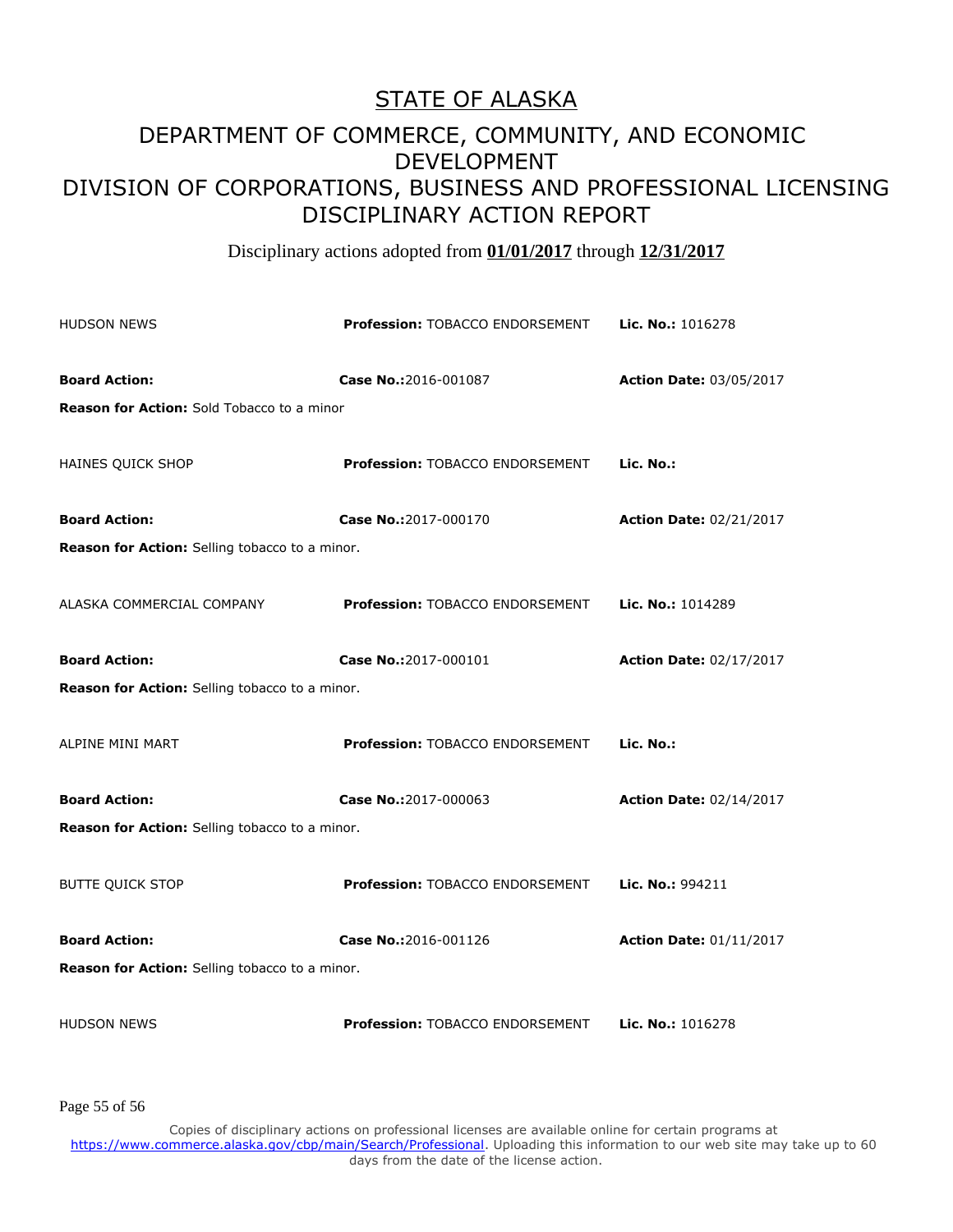#### STATE OF ALASKA

### DEPARTMENT OF COMMERCE, COMMUNITY, AND ECONOMIC DEVELOPMENT DIVISION OF CORPORATIONS, BUSINESS AND PROFESSIONAL LICENSING DISCIPLINARY ACTION REPORT

Disciplinary actions adopted from **01/01/2017** through **12/31/2017**

| <b>HUDSON NEWS</b>                             | Profession: TOBACCO ENDORSEMENT | Lic. No.: 1016278              |  |
|------------------------------------------------|---------------------------------|--------------------------------|--|
| <b>Board Action:</b>                           | Case No.:2016-001087            | <b>Action Date: 03/05/2017</b> |  |
| Reason for Action: Sold Tobacco to a minor     |                                 |                                |  |
| HAINES QUICK SHOP                              | Profession: TOBACCO ENDORSEMENT | Lic. No.:                      |  |
| <b>Board Action:</b>                           | Case No.:2017-000170            | <b>Action Date: 02/21/2017</b> |  |
| Reason for Action: Selling tobacco to a minor. |                                 |                                |  |
| ALASKA COMMERCIAL COMPANY                      | Profession: TOBACCO ENDORSEMENT | Lic. No.: 1014289              |  |
| <b>Board Action:</b>                           | Case No.:2017-000101            | <b>Action Date: 02/17/2017</b> |  |
| Reason for Action: Selling tobacco to a minor. |                                 |                                |  |
| ALPINE MINI MART                               | Profession: TOBACCO ENDORSEMENT | Lic. No.:                      |  |
| <b>Board Action:</b>                           | Case No.:2017-000063            | <b>Action Date: 02/14/2017</b> |  |
| Reason for Action: Selling tobacco to a minor. |                                 |                                |  |
| <b>BUTTE QUICK STOP</b>                        | Profession: TOBACCO ENDORSEMENT | Lic. No.: 994211               |  |
| <b>Board Action:</b>                           | Case No.:2016-001126            | <b>Action Date: 01/11/2017</b> |  |
| Reason for Action: Selling tobacco to a minor. |                                 |                                |  |
| <b>HUDSON NEWS</b>                             | Profession: TOBACCO ENDORSEMENT | Lic. No.: 1016278              |  |

Page 55 of 56